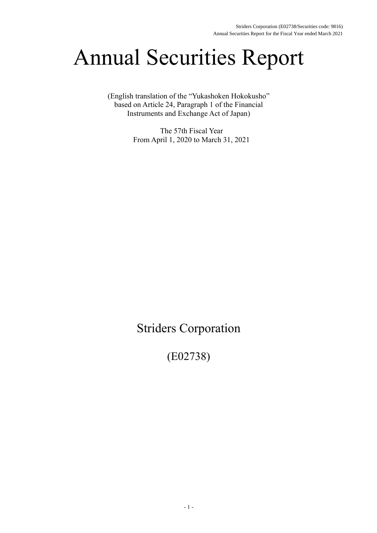# Annual Securities Report

(English translation of the "Yukashoken Hokokusho" based on Article 24, Paragraph 1 of the Financial Instruments and Exchange Act of Japan)

> The 57th Fiscal Year From April 1, 2020 to March 31, 2021

## Striders Corporation

(E02738)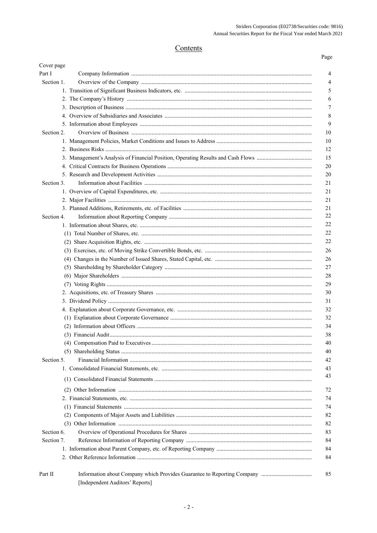## Contents

| Cover page |                                 |    |
|------------|---------------------------------|----|
| Part I     |                                 | 4  |
| Section 1. |                                 | 4  |
|            |                                 | 5  |
|            |                                 | 6  |
|            |                                 | 7  |
|            |                                 | 8  |
|            |                                 | 9  |
| Section 2. |                                 | 10 |
|            |                                 | 10 |
|            |                                 | 12 |
|            |                                 | 15 |
|            |                                 | 20 |
|            |                                 | 20 |
| Section 3. |                                 | 21 |
|            |                                 | 21 |
|            |                                 | 21 |
|            |                                 | 21 |
| Section 4. |                                 | 22 |
|            |                                 | 22 |
|            |                                 | 22 |
|            |                                 | 22 |
|            |                                 | 26 |
|            |                                 | 26 |
|            |                                 | 27 |
|            |                                 | 28 |
|            |                                 | 29 |
|            |                                 | 30 |
|            |                                 | 31 |
|            |                                 | 32 |
|            |                                 | 32 |
|            |                                 | 34 |
|            |                                 | 38 |
|            |                                 | 40 |
|            |                                 | 40 |
| Section 5. |                                 | 42 |
|            |                                 | 43 |
|            |                                 | 43 |
|            |                                 | 72 |
|            |                                 | 74 |
|            |                                 | 74 |
|            |                                 | 82 |
|            |                                 | 82 |
| Section 6. |                                 | 83 |
| Section 7. |                                 | 84 |
|            |                                 | 84 |
|            |                                 | 84 |
|            |                                 |    |
| Part II    | [Independent Auditors' Reports] | 85 |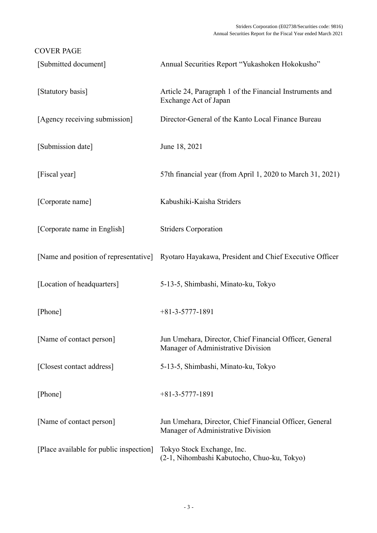| <b>COVER PAGE</b>                       |                                                                                               |
|-----------------------------------------|-----------------------------------------------------------------------------------------------|
| [Submitted document]                    | Annual Securities Report "Yukashoken Hokokusho"                                               |
| [Statutory basis]                       | Article 24, Paragraph 1 of the Financial Instruments and<br>Exchange Act of Japan             |
| [Agency receiving submission]           | Director-General of the Kanto Local Finance Bureau                                            |
| [Submission date]                       | June 18, 2021                                                                                 |
| [Fiscal year]                           | 57th financial year (from April 1, 2020 to March 31, 2021)                                    |
| [Corporate name]                        | Kabushiki-Kaisha Striders                                                                     |
| [Corporate name in English]             | <b>Striders Corporation</b>                                                                   |
|                                         | [Name and position of representative] Ryotaro Hayakawa, President and Chief Executive Officer |
| [Location of headquarters]              | 5-13-5, Shimbashi, Minato-ku, Tokyo                                                           |
| [Phone]                                 | $+81-3-5777-1891$                                                                             |
| [Name of contact person]                | Jun Umehara, Director, Chief Financial Officer, General<br>Manager of Administrative Division |
| [Closest contact address]               | 5-13-5, Shimbashi, Minato-ku, Tokyo                                                           |
| [Phone]                                 | $+81-3-5777-1891$                                                                             |
| [Name of contact person]                | Jun Umehara, Director, Chief Financial Officer, General<br>Manager of Administrative Division |
| [Place available for public inspection] | Tokyo Stock Exchange, Inc.<br>(2-1, Nihombashi Kabutocho, Chuo-ku, Tokyo)                     |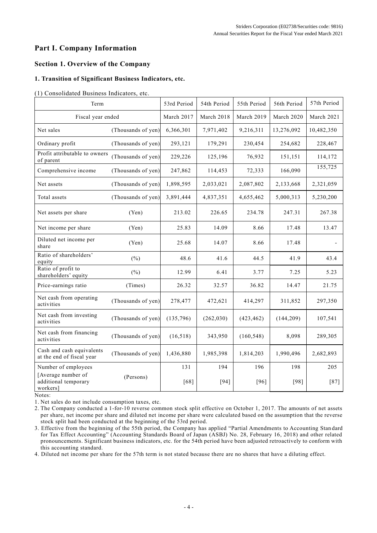## **Part I. Company Information**

## **Section 1. Overview of the Company**

## **1. Transition of Significant Business Indicators, etc.**

#### (1) Consolidated Business Indicators, etc.

| Term                                                   |                    | 53rd Period | 54th Period | 55th Period | 56th Period | 57th Period |
|--------------------------------------------------------|--------------------|-------------|-------------|-------------|-------------|-------------|
| Fiscal year ended                                      |                    | March 2017  | March 2018  | March 2019  | March 2020  | March 2021  |
| Net sales                                              | (Thousands of yen) | 6,366,301   | 7,971,402   | 9,216,311   | 13,276,092  | 10,482,350  |
| Ordinary profit                                        | (Thousands of yen) | 293,121     | 179,291     | 230,454     | 254,682     | 228,467     |
| Profit attributable to owners<br>of parent             | (Thousands of yen) | 229,226     | 125,196     | 76,932      | 151,151     | 114,172     |
| Comprehensive income                                   | (Thousands of yen) | 247,862     | 114,453     | 72,333      | 166,090     | 155,725     |
| Net assets                                             | (Thousands of yen) | 1,898,595   | 2,033,021   | 2,087,802   | 2,133,668   | 2,321,059   |
| Total assets                                           | (Thousands of yen) | 3,891,444   | 4,837,351   | 4,655,462   | 5,000,313   | 5,230,200   |
| Net assets per share                                   | (Yen)              | 213.02      | 226.65      | 234.78      | 247.31      | 267.38      |
| Net income per share                                   | (Yen)              | 25.83       | 14.09       | 8.66        | 17.48       | 13.47       |
| Diluted net income per<br>share                        | (Yen)              | 25.68       | 14.07       | 8.66        | 17.48       |             |
| Ratio of shareholders'<br>equity                       | $(\% )$            | 48.6        | 41.6        | 44.5        | 41.9        | 43.4        |
| Ratio of profit to<br>shareholders' equity             | $(\% )$            | 12.99       | 6.41        | 3.77        | 7.25        | 5.23        |
| Price-earnings ratio                                   | (Times)            | 26.32       | 32.57       | 36.82       | 14.47       | 21.75       |
| Net cash from operating<br>activities                  | (Thousands of yen) | 278,477     | 472,621     | 414,297     | 311,852     | 297,350     |
| Net cash from investing<br>activities                  | (Thousands of yen) | (135,796)   | (262, 030)  | (423, 462)  | (144, 209)  | 107,541     |
| Net cash from financing<br>activities                  | (Thousands of yen) | (16,518)    | 343,950     | (160, 548)  | 8,098       | 289,305     |
| Cash and cash equivalents<br>at the end of fiscal year | (Thousands of yen) | 1,436,880   | 1,985,398   | 1,814,203   | 1,990,496   | 2,682,893   |
| Number of employees                                    |                    | 131         | 194         | 196         | 198         | 205         |
| [Average number of<br>additional temporary<br>workers] | (Persons)          | $[68]$      | $[94]$      | $[96]$      | $[98]$      | $[87]$      |

Notes:

1. Net sales do not include consumption taxes, etc.

2. The Company conducted a 1-for-10 reverse common stock split effective on October 1, 2017. The amounts of net assets per share, net income per share and diluted net income per share were calculated based on the assumption that the reverse stock split had been conducted at the beginning of the 53rd period.

3. Effective from the beginning of the 55th period, the Company has applied "Partial Amendments to Accounting Stan dard for Tax Effect Accounting" (Accounting Standards Board of Japan (ASBJ) No. 28, February 16, 2018) and other related pronouncements. Significant business indicators, etc. for the 54th period have been adjusted retroactively to conform with this accounting standard.

4. Diluted net income per share for the 57th term is not stated because there are no shares that have a diluting effect.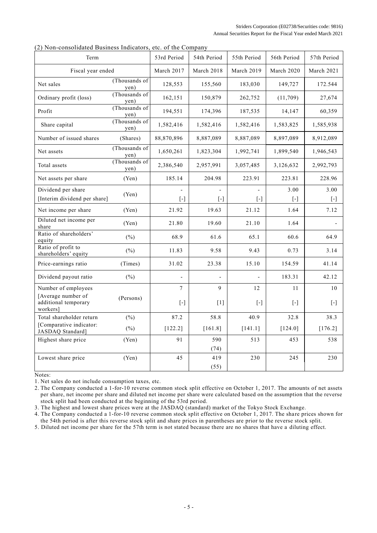|  | (2) Non-consolidated Business Indicators, etc. of the Company |  |
|--|---------------------------------------------------------------|--|
|  |                                                               |  |

| Ton consonance Basiness mercators,                     |                       |                                                                                                                                                                                                       |             |                                                                                                                                                                                                                                                                                                                                                                                                                                                                                                                                          |                     |                                                                                                                                                                                                                                                                                                                                                                                                                                                                                                                                                                                                                                                                                                                                                                    |
|--------------------------------------------------------|-----------------------|-------------------------------------------------------------------------------------------------------------------------------------------------------------------------------------------------------|-------------|------------------------------------------------------------------------------------------------------------------------------------------------------------------------------------------------------------------------------------------------------------------------------------------------------------------------------------------------------------------------------------------------------------------------------------------------------------------------------------------------------------------------------------------|---------------------|--------------------------------------------------------------------------------------------------------------------------------------------------------------------------------------------------------------------------------------------------------------------------------------------------------------------------------------------------------------------------------------------------------------------------------------------------------------------------------------------------------------------------------------------------------------------------------------------------------------------------------------------------------------------------------------------------------------------------------------------------------------------|
| Term                                                   |                       | 53rd Period                                                                                                                                                                                           | 54th Period | 55th Period                                                                                                                                                                                                                                                                                                                                                                                                                                                                                                                              | 56th Period         | 57th Period                                                                                                                                                                                                                                                                                                                                                                                                                                                                                                                                                                                                                                                                                                                                                        |
| Fiscal year ended                                      |                       | March 2017                                                                                                                                                                                            | March 2018  | March 2019                                                                                                                                                                                                                                                                                                                                                                                                                                                                                                                               | March 2020          | March 2021                                                                                                                                                                                                                                                                                                                                                                                                                                                                                                                                                                                                                                                                                                                                                         |
| Net sales                                              | (Thousands of<br>yen) | 128,553                                                                                                                                                                                               | 155,560     | 183,030                                                                                                                                                                                                                                                                                                                                                                                                                                                                                                                                  | 149,727             | 172.544                                                                                                                                                                                                                                                                                                                                                                                                                                                                                                                                                                                                                                                                                                                                                            |
| Ordinary profit (loss)                                 | (Thousands of<br>yen) | 162,151                                                                                                                                                                                               | 150,879     | 262,752                                                                                                                                                                                                                                                                                                                                                                                                                                                                                                                                  | (11,709)            | 27,674                                                                                                                                                                                                                                                                                                                                                                                                                                                                                                                                                                                                                                                                                                                                                             |
| Profit                                                 | (Thousands of<br>yen) | 194,551                                                                                                                                                                                               | 174,396     | 187,535                                                                                                                                                                                                                                                                                                                                                                                                                                                                                                                                  | 14,147              | 60,359                                                                                                                                                                                                                                                                                                                                                                                                                                                                                                                                                                                                                                                                                                                                                             |
| Share capital                                          | (Thousands of<br>yen) | 1,582,416                                                                                                                                                                                             | 1,582,416   | 1,582,416                                                                                                                                                                                                                                                                                                                                                                                                                                                                                                                                | 1,583,825           | 1,585,938                                                                                                                                                                                                                                                                                                                                                                                                                                                                                                                                                                                                                                                                                                                                                          |
| Number of issued shares                                | (Shares)              | 88,870,896                                                                                                                                                                                            | 8,887,089   | 8,887,089                                                                                                                                                                                                                                                                                                                                                                                                                                                                                                                                | 8,897,089           | 8,912,089                                                                                                                                                                                                                                                                                                                                                                                                                                                                                                                                                                                                                                                                                                                                                          |
| Net assets                                             | (Thousands of<br>yen) | 1,650,261                                                                                                                                                                                             | 1,823,304   | 1,992,741                                                                                                                                                                                                                                                                                                                                                                                                                                                                                                                                | 1,899,540           | 1,946,543                                                                                                                                                                                                                                                                                                                                                                                                                                                                                                                                                                                                                                                                                                                                                          |
| Total assets                                           | (Thousands of<br>ven) | 2,386,540                                                                                                                                                                                             | 2,957,991   | 3,057,485                                                                                                                                                                                                                                                                                                                                                                                                                                                                                                                                | 3,126,632           | 2,992,793                                                                                                                                                                                                                                                                                                                                                                                                                                                                                                                                                                                                                                                                                                                                                          |
| Net assets per share                                   | (Yen)                 | 185.14                                                                                                                                                                                                | 204.98      | 223.91                                                                                                                                                                                                                                                                                                                                                                                                                                                                                                                                   | 223.81              | 228.96                                                                                                                                                                                                                                                                                                                                                                                                                                                                                                                                                                                                                                                                                                                                                             |
| Dividend per share                                     |                       |                                                                                                                                                                                                       |             |                                                                                                                                                                                                                                                                                                                                                                                                                                                                                                                                          | 3.00                | 3.00                                                                                                                                                                                                                                                                                                                                                                                                                                                                                                                                                                                                                                                                                                                                                               |
| [Interim dividend per share]                           | (Yen)                 | $[\cdot]$                                                                                                                                                                                             | $[\cdot]$   | $\left[ -\right] % \begin{minipage}[b]{.45\linewidth} \centering \includegraphics[width=\textwidth]{figs/fig_4} \caption{The number of times in the left and right.} \label{fig:fig_4} \end{minipage} \vspace{0.05\linewidth} \vspace{0.05\linewidth} \vspace{0.05\linewidth} \vspace{0.05\linewidth} \vspace{0.05\linewidth} \vspace{0.05\linewidth} \vspace{0.05\linewidth} \vspace{0.05\linewidth} \vspace{0.05\linewidth} \vspace{0.05\linewidth} \vspace{0.05\linewidth} \vspace{0.05\linewidth} \vspace{0.05\linewidth} \vspace{0$ | $[ - ]$             | $\left[ \cdot \right] % \includegraphics[width=0.9\textwidth]{images/TrDiS/N-Architecture.png} % \caption{The first two different values of $N$ in the \mbox{thick model} and the second two different values of $N$ in the \mbox{thick model} and the second two different values of $N$ in the \mbox{thick model} and the second two different values of $N$ in the \mbox{thick model} and the second two different values of $N$ in the \mbox{thick model} and the second two different values of $N$ in the \mbox{thick model} and the second two different values of $N$ in the \mbox{thick model} and the third two different values of $N$ in the \mbox{thick model} and the third two different values of $N$ in the \mbox{thick model} and the third two$ |
| Net income per share                                   | (Yen)                 | 21.92                                                                                                                                                                                                 | 19.63       | 21.12                                                                                                                                                                                                                                                                                                                                                                                                                                                                                                                                    | 1.64                | 7.12                                                                                                                                                                                                                                                                                                                                                                                                                                                                                                                                                                                                                                                                                                                                                               |
| Diluted net income per<br>share                        | (Yen)                 | 21.80                                                                                                                                                                                                 | 19.60       | 21.10                                                                                                                                                                                                                                                                                                                                                                                                                                                                                                                                    | 1.64                |                                                                                                                                                                                                                                                                                                                                                                                                                                                                                                                                                                                                                                                                                                                                                                    |
| Ratio of shareholders'<br>equity                       | (%)                   | 68.9                                                                                                                                                                                                  | 61.6        | 65.1                                                                                                                                                                                                                                                                                                                                                                                                                                                                                                                                     | 60.6                | 64.9                                                                                                                                                                                                                                                                                                                                                                                                                                                                                                                                                                                                                                                                                                                                                               |
| Ratio of profit to<br>shareholders' equity             | $(\% )$               | 11.83                                                                                                                                                                                                 | 9.58        | 9.43                                                                                                                                                                                                                                                                                                                                                                                                                                                                                                                                     | 0.73                | 3.14                                                                                                                                                                                                                                                                                                                                                                                                                                                                                                                                                                                                                                                                                                                                                               |
| Price-earnings ratio                                   | (Times)               | 31.02                                                                                                                                                                                                 | 23.38       | 15.10                                                                                                                                                                                                                                                                                                                                                                                                                                                                                                                                    | 154.59              | 41.14                                                                                                                                                                                                                                                                                                                                                                                                                                                                                                                                                                                                                                                                                                                                                              |
| Dividend payout ratio                                  | (%)                   |                                                                                                                                                                                                       |             |                                                                                                                                                                                                                                                                                                                                                                                                                                                                                                                                          | 183.31              | 42.12                                                                                                                                                                                                                                                                                                                                                                                                                                                                                                                                                                                                                                                                                                                                                              |
| Number of employees                                    |                       | $7\phantom{.0}$                                                                                                                                                                                       | 9           | 12                                                                                                                                                                                                                                                                                                                                                                                                                                                                                                                                       | 11                  | 10                                                                                                                                                                                                                                                                                                                                                                                                                                                                                                                                                                                                                                                                                                                                                                 |
| [Average number of<br>additional temporary<br>workers] | (Persons)             | $[\cdot] % \centering \includegraphics[width=0.9\textwidth]{images/TrDiS/N-Architecture.png} % \caption{The first two different values of $N$ in the left and right.} \label{TrDiS/N-Architecture} %$ | $[1]$       | $\left[ \cdot \right]$                                                                                                                                                                                                                                                                                                                                                                                                                                                                                                                   | $\lbrack - \rbrack$ | $[-]$                                                                                                                                                                                                                                                                                                                                                                                                                                                                                                                                                                                                                                                                                                                                                              |
| Total shareholder return                               | $(\%)$                | 87.2                                                                                                                                                                                                  | 58.8        | 40.9                                                                                                                                                                                                                                                                                                                                                                                                                                                                                                                                     | 32.8                | 38.3                                                                                                                                                                                                                                                                                                                                                                                                                                                                                                                                                                                                                                                                                                                                                               |
| [Comparative indicator:<br>JASDAQ Standard]            | (%)                   | [122.2]                                                                                                                                                                                               | $[161.8]$   | [141.1]                                                                                                                                                                                                                                                                                                                                                                                                                                                                                                                                  | $[124.0]$           | [176.2]                                                                                                                                                                                                                                                                                                                                                                                                                                                                                                                                                                                                                                                                                                                                                            |
| Highest share price                                    | (Yen)                 | 91                                                                                                                                                                                                    | 590         | 513                                                                                                                                                                                                                                                                                                                                                                                                                                                                                                                                      | 453                 | 538                                                                                                                                                                                                                                                                                                                                                                                                                                                                                                                                                                                                                                                                                                                                                                |
|                                                        |                       |                                                                                                                                                                                                       | (74)        |                                                                                                                                                                                                                                                                                                                                                                                                                                                                                                                                          |                     |                                                                                                                                                                                                                                                                                                                                                                                                                                                                                                                                                                                                                                                                                                                                                                    |
| Lowest share price                                     | (Yen)                 | 45                                                                                                                                                                                                    | 419<br>(55) | 230                                                                                                                                                                                                                                                                                                                                                                                                                                                                                                                                      | 245                 | 230                                                                                                                                                                                                                                                                                                                                                                                                                                                                                                                                                                                                                                                                                                                                                                |

Notes:

1. Net sales do not include consumption taxes, etc.

2. The Company conducted a 1-for-10 reverse common stock split effective on October 1, 2017. The amounts of net assets per share, net income per share and diluted net income per share were calculated based on the assumption that the reverse stock split had been conducted at the beginning of the 53rd period.

3. The highest and lowest share prices were at the JASDAQ (standard) market of the Tokyo Stock Exchange.

4. The Company conducted a 1-for-10 reverse common stock split effective on October 1, 2017. The share prices shown for the 54th period is after this reverse stock split and share prices in parentheses are prior to the reverse stock split.

5. Diluted net income per share for the 57th term is not stated because there are no shares that have a diluting effect.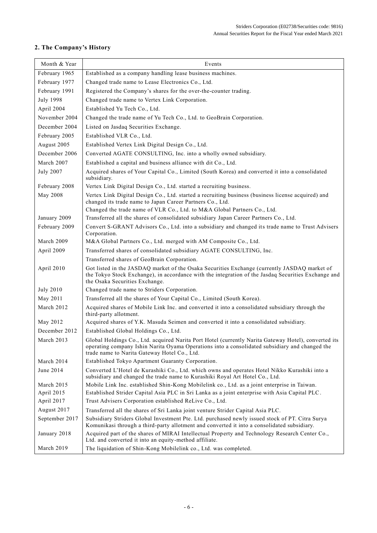## **2. The Company's History**

| Month & Year     | Events                                                                                                                                                                                                                                                  |
|------------------|---------------------------------------------------------------------------------------------------------------------------------------------------------------------------------------------------------------------------------------------------------|
| February 1965    | Established as a company handling lease business machines.                                                                                                                                                                                              |
| February 1977    | Changed trade name to Lease Electronics Co., Ltd.                                                                                                                                                                                                       |
| February 1991    | Registered the Company's shares for the over-the-counter trading.                                                                                                                                                                                       |
| <b>July 1998</b> | Changed trade name to Vertex Link Corporation.                                                                                                                                                                                                          |
| April 2004       | Established Yu Tech Co., Ltd.                                                                                                                                                                                                                           |
| November 2004    | Changed the trade name of Yu Tech Co., Ltd. to GeoBrain Corporation.                                                                                                                                                                                    |
| December 2004    | Listed on Jasdaq Securities Exchange.                                                                                                                                                                                                                   |
| February 2005    | Established VLR Co., Ltd.                                                                                                                                                                                                                               |
| August 2005      | Established Vertex Link Digital Design Co., Ltd.                                                                                                                                                                                                        |
| December 2006    | Converted AGATE CONSULTING, Inc. into a wholly owned subsidiary.                                                                                                                                                                                        |
| March 2007       | Established a capital and business alliance with dit Co., Ltd.                                                                                                                                                                                          |
| <b>July 2007</b> | Acquired shares of Your Capital Co., Limited (South Korea) and converted it into a consolidated<br>subsidiary.                                                                                                                                          |
| February 2008    | Vertex Link Digital Design Co., Ltd. started a recruiting business.                                                                                                                                                                                     |
| May 2008         | Vertex Link Digital Design Co., Ltd. started a recruiting business (business license acquired) and<br>changed its trade name to Japan Career Partners Co., Ltd.                                                                                         |
|                  | Changed the trade name of VLR Co., Ltd. to M&A Global Partners Co., Ltd.                                                                                                                                                                                |
| January 2009     | Transferred all the shares of consolidated subsidiary Japan Career Partners Co., Ltd.                                                                                                                                                                   |
| February 2009    | Convert S-GRANT Advisors Co., Ltd. into a subsidiary and changed its trade name to Trust Advisers<br>Corporation.                                                                                                                                       |
| March 2009       | M&A Global Partners Co., Ltd. merged with AM Composite Co., Ltd.                                                                                                                                                                                        |
| April 2009       | Transferred shares of consolidated subsidiary AGATE CONSULTING, Inc.                                                                                                                                                                                    |
|                  | Transferred shares of GeoBrain Corporation.                                                                                                                                                                                                             |
| April 2010       | Got listed in the JASDAQ market of the Osaka Securities Exchange (currently JASDAQ market of<br>the Tokyo Stock Exchange), in accordance with the integration of the Jasdaq Securities Exchange and<br>the Osaka Securities Exchange.                   |
| <b>July 2010</b> | Changed trade name to Striders Corporation.                                                                                                                                                                                                             |
| May 2011         | Transferred all the shares of Your Capital Co., Limited (South Korea).                                                                                                                                                                                  |
| March 2012       | Acquired shares of Mobile Link Inc. and converted it into a consolidated subsidiary through the<br>third-party allotment.                                                                                                                               |
| May 2012         | Acquired shares of Y.K. Masuda Seimen and converted it into a consolidated subsidiary.                                                                                                                                                                  |
| December 2012    | Established Global Holdings Co., Ltd.                                                                                                                                                                                                                   |
| March 2013       | Global Holdings Co., Ltd. acquired Narita Port Hotel (currently Narita Gateway Hotel), converted its<br>operating company Ishin Narita Oyama Operations into a consolidated subsidiary and changed the<br>trade name to Narita Gateway Hotel Co., Ltd.  |
| March 2014       | Established Tokyo Apartment Guaranty Corporation.                                                                                                                                                                                                       |
| June 2014        | Converted L'Hotel de Kurashiki Co., Ltd. which owns and operates Hotel Nikko Kurashiki into a<br>subsidiary and changed the trade name to Kurashiki Royal Art Hotel Co., Ltd.                                                                           |
| March 2015       | Mobile Link Inc. established Shin-Kong Mobilelink co., Ltd. as a joint enterprise in Taiwan.                                                                                                                                                            |
| April 2015       | Established Strider Capital Asia PLC in Sri Lanka as a joint enterprise with Asia Capital PLC.                                                                                                                                                          |
| April 2017       | Trust Advisers Corporation established ReLive Co., Ltd.                                                                                                                                                                                                 |
| August 2017      | Transferred all the shares of Sri Lanka joint venture Strider Capital Asia PLC.                                                                                                                                                                         |
| September 2017   | Subsidiary Striders Global Investment Pte. Ltd. purchased newly issued stock of PT. Citra Surya                                                                                                                                                         |
| January 2018     | Komunikasi through a third-party allotment and converted it into a consolidated subsidiary.<br>Acquired part of the shares of MIRAI Intellectual Property and Technology Research Center Co.,<br>Ltd. and converted it into an equity-method affiliate. |
| March 2019       | The liquidation of Shin-Kong Mobilelink co., Ltd. was completed.                                                                                                                                                                                        |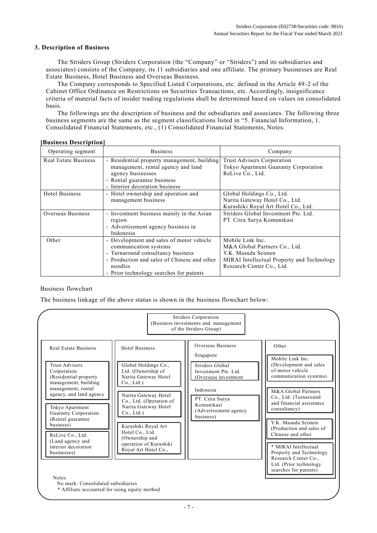## **3. Description of Business**

The Striders Group (Striders Corporation (the "Company" or "Striders") and its subsidiaries and associates) consists of the Company, its 11 subsidiaries and one affiliate. The primary businesses are Real Estate Business, Hotel Business and Overseas Business.

The Company corresponds to Specified Listed Corporations, etc. defined in the Article 49-2 of the Cabinet Office Ordinance on Restrictions on Securities Transactions, etc. Accordingly, insignificance criteria of material facts of insider trading regulations shall be determined base d on values on consolidated basis.

The followings are the description of business and the subsidiaries and associates. The following three business segments are the same as the segment classifications listed in "5. Financial Information, 1. Consolidated Financial Statements, etc., (1) Consolidated Financial Statements, Notes.

| Operating segment           | <b>Business</b>                                                                                                                                                                                             | Company                                                                                                                                            |
|-----------------------------|-------------------------------------------------------------------------------------------------------------------------------------------------------------------------------------------------------------|----------------------------------------------------------------------------------------------------------------------------------------------------|
| <b>Real Estate Business</b> | - Residential property management, building<br>management, rental agency and land<br>agency businesses<br>- Rental guarantee business<br>- Interior decoration business                                     | Trust Advisers Corporation<br>Tokyo Apartment Guaranty Corporation<br>ReLive Co., Ltd.                                                             |
| <b>Hotel Business</b>       | - Hotel ownership and operation and<br>management business                                                                                                                                                  | Global Holdings Co., Ltd.<br>Narita Gateway Hotel Co., Ltd.<br>Kurashiki Royal Art Hotel Co., Ltd.                                                 |
| Overseas Business           | - Investment business mainly in the Asian<br>region<br>- Advertisement agency business in<br>Indonesia                                                                                                      | Striders Global Investment Pte. Ltd.<br>PT. Citra Surya Komunikasi                                                                                 |
| Other                       | - Development and sales of motor vehicle<br>communication systems<br>- Turnaround consultancy business<br>- Production and sales of Chinese and other<br>noodles<br>- Prior technology searches for patents | Mobile Link Inc.<br>M&A Global Partners Co., Ltd.<br>Y.K. Masuda Seimen<br>MIRAI Intellectual Property and Technology<br>Research Center Co., Ltd. |

#### **[Business Description]**

## Business flowchart

The business linkage of the above status is shown in the business flowchart below:

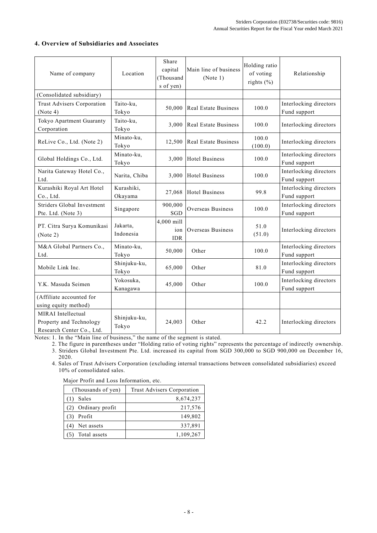## **4. Overview of Subsidiaries and Associates**

| Name of company                                                            | Location              | Share<br>capital<br>(Thousand<br>s of yen) | Main line of business<br>(Note 1) | Holding ratio<br>of voting<br>rights $(\% )$ | Relationship                           |
|----------------------------------------------------------------------------|-----------------------|--------------------------------------------|-----------------------------------|----------------------------------------------|----------------------------------------|
| (Consolidated subsidiary)                                                  |                       |                                            |                                   |                                              |                                        |
| Trust Advisers Corporation<br>(Note 4)                                     | Taito-ku,<br>Tokyo    | 50,000                                     | <b>Real Estate Business</b>       | 100.0                                        | Interlocking directors<br>Fund support |
| Tokyo Apartment Guaranty<br>Corporation                                    | Taito-ku,<br>Tokyo    | 3,000                                      | Real Estate Business              | 100.0                                        | Interlocking directors                 |
| ReLive Co., Ltd. (Note 2)                                                  | Minato-ku,<br>Tokyo   | 12,500                                     | <b>Real Estate Business</b>       | 100.0<br>(100.0)                             | Interlocking directors                 |
| Global Holdings Co., Ltd.                                                  | Minato-ku.<br>Tokyo   | 3,000                                      | <b>Hotel Business</b>             | 100.0                                        | Interlocking directors<br>Fund support |
| Narita Gateway Hotel Co.,<br>Ltd.                                          | Narita, Chiba         | 3,000                                      | <b>Hotel Business</b>             | 100.0                                        | Interlocking directors<br>Fund support |
| Kurashiki Royal Art Hotel<br>Co., Ltd.                                     | Kurashiki,<br>Okayama | 27,068                                     | <b>Hotel Business</b>             | 99.8                                         | Interlocking directors<br>Fund support |
| Striders Global Investment<br>Pte. Ltd. (Note 3)                           | Singapore             | 900,000<br>SGD                             | Overseas Business                 | 100.0                                        | Interlocking directors<br>Fund support |
| PT. Citra Surya Komunikasi<br>(Note 2)                                     | Jakarta,<br>Indonesia | 4,000 mill<br>ion<br><b>IDR</b>            | Overseas Business                 | 51.0<br>(51.0)                               | Interlocking directors                 |
| M&A Global Partners Co.,<br>Ltd.                                           | Minato-ku,<br>Tokyo   | 50,000                                     | Other                             | 100.0                                        | Interlocking directors<br>Fund support |
| Mobile Link Inc.                                                           | Shinjuku-ku,<br>Tokyo | 65,000                                     | Other                             | 81.0                                         | Interlocking directors<br>Fund support |
| Y.K. Masuda Seimen                                                         | Yokosuka,<br>Kanagawa | 45,000                                     | Other                             | 100.0                                        | Interlocking directors<br>Fund support |
| (Affiliate accounted for<br>using equity method)                           |                       |                                            |                                   |                                              |                                        |
| MIRAI Intellectual<br>Property and Technology<br>Research Center Co., Ltd. | Shinjuku-ku,<br>Tokyo | 24,003                                     | Other                             | 42.2                                         | Interlocking directors                 |

Notes: 1. In the "Main line of business," the name of the segment is stated.

2. The figure in parentheses under "Holding ratio of voting rights" represents the percentage of indirectly ownership.

3. Striders Global Investment Pte. Ltd. increased its capital from SGD 300,000 to SGD 900,000 on December 16, 2020.

4. Sales of Trust Advisers Corporation (excluding internal transactions between consolidated subsidiaries) exceed 10% of consolidated sales.

Major Profit and Loss Information, etc.

| (Thousands of yen)  | Trust Advisers Corporation |
|---------------------|----------------------------|
| Sales               | 8,674,237                  |
| (2) Ordinary profit | 217,576                    |
| Profit              | 149,802                    |
| Net assets          | 337,891                    |
| Total assets        | 1,109,267                  |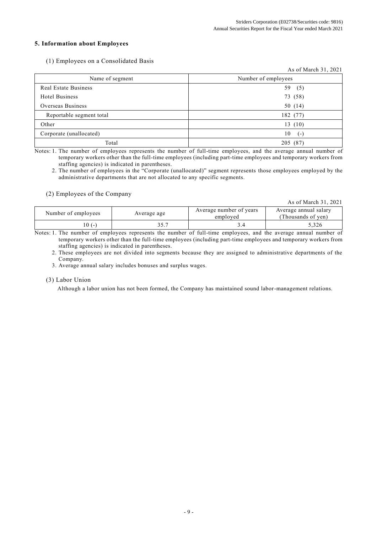## **5. Information about Employees**

## (1) Employees on a Consolidated Basis

|                             | As of March 31, 2021 |
|-----------------------------|----------------------|
| Name of segment             | Number of employees  |
| <b>Real Estate Business</b> | 59<br>(5)            |
| <b>Hotel Business</b>       | 73 (58)              |
| Overseas Business           | 50 (14)              |
| Reportable segment total    | 182 (77)             |
| Other                       | 13(10)               |
| Corporate (unallocated)     | 10<br>$(-)$          |
| Total                       | (87)<br>205          |

Notes: 1. The number of employees represents the number of full-time employees, and the average annual number of temporary workers other than the full-time employees (including part-time employees and temporary workers from staffing agencies) is indicated in parentheses.

2. The number of employees in the "Corporate (unallocated)" segment represents those employees employed by the administrative departments that are not allocated to any specific segments.

#### (2) Employees of the Company

As of March 31, 2021

| Number of employees | Average age | Average number of years<br>employed | Average annual salary<br>(Thousands of ven) |
|---------------------|-------------|-------------------------------------|---------------------------------------------|
| $0(-$               |             |                                     | 5,326                                       |

Notes: 1. The number of employees represents the number of full-time employees, and the average annual number of temporary workers other than the full-time employees (including part-time employees and temporary workers from staffing agencies) is indicated in parentheses.

2. These employees are not divided into segments because they are assigned to administrative departments of the Company.

3. Average annual salary includes bonuses and surplus wages.

#### (3) Labor Union

Although a labor union has not been formed, the Company has maintained sound labor-management relations.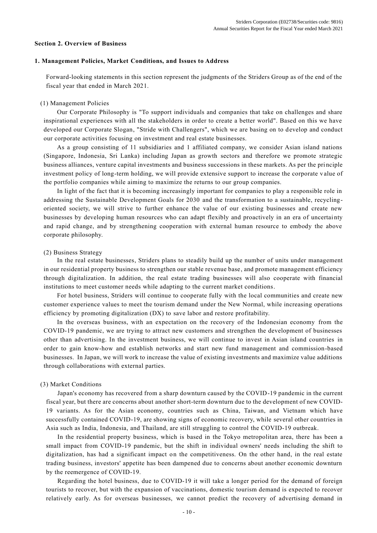#### **Section 2. Overview of Business**

#### **1. Management Policies, Market Conditions, and Issues to Address**

Forward-looking statements in this section represent the judgments of the Striders Group as of the end of the fiscal year that ended in March 2021.

#### (1) Management Policies

Our Corporate Philosophy is "To support individuals and companies that take on challenges and share inspirational experiences with all the stakeholders in order to create a better world". Based on this we have developed our Corporate Slogan, "Stride with Challengers", which we are basing on to develop and conduct our corporate activities focusing on investment and real estate businesses.

As a group consisting of 11 subsidiaries and 1 affiliated company, we consider Asian island nations (Singapore, Indonesia, Sri Lanka) including Japan as growth sectors and therefore we promote strategic business alliances, venture capital investments and business successions in these markets. As per the principle investment policy of long-term holding, we will provide extensive support to increase the corporate v alue of the portfolio companies while aiming to maximize the returns to our group companies.

In light of the fact that it is becoming increasingly important for companies to play a responsible role in addressing the Sustainable Development Goals for 2030 and the transformation to a sustainable, recyclingoriented society, we will strive to further enhance the value of our existing businesses and create new businesses by developing human resources who can adapt flexibly and proactively in an era of uncertai nty and rapid change, and by strengthening cooperation with external human resource to embody the above corporate philosophy.

#### (2) Business Strategy

In the real estate businesses, Striders plans to steadily build up the number of units under management in our residential property business to strengthen our stable revenue base , and promote management efficiency through digitalization. In addition, the real estate trading businesses will also cooperate with financial institutions to meet customer needs while adapting to the current market conditions.

For hotel business, Striders will continue to cooperate fully with the local communities and create new customer experience values to meet the tourism demand under the New Normal, while increasing operations efficiency by promoting digitalization (DX) to save labor and restore profitability.

In the overseas business, with an expectation on the recovery of the Indonesian economy from the COVID-19 pandemic, we are trying to attract new customers and strengthen the development of businesses other than advertising. In the investment business, we will continue to invest in Asian island countries in order to gain know-how and establish networks and start new fund management and commission-based businesses. In Japan, we will work to increase the value of existing investments and maximize value additions through collaborations with external parties.

#### (3) Market Conditions

Japan's economy has recovered from a sharp downturn caused by the COVID-19 pandemic in the current fiscal year, but there are concerns about another short-term downturn due to the development of new COVID-19 variants. As for the Asian economy, countries such as China, Taiwan, and Vietnam which have successfully contained COVID-19, are showing signs of economic recovery, while several other countries in Asia such as India, Indonesia, and Thailand, are still struggling to control the COVID-19 outbreak.

In the residential property business, which is based in the Tokyo metropolitan area, there has been a small impact from COVID-19 pandemic, but the shift in individual owners' needs including the shift to digitalization, has had a significant impact on the competitiveness. On the other hand, in the real estate trading business, investors' appetite has been dampened due to concerns about another economic downturn by the reemergence of COVID-19.

Regarding the hotel business, due to COVID-19 it will take a longer period for the demand of foreign tourists to recover, but with the expansion of vaccinations, domestic tourism demand is expected to recover relatively early. As for overseas businesses, we cannot predict the recovery of advertising demand in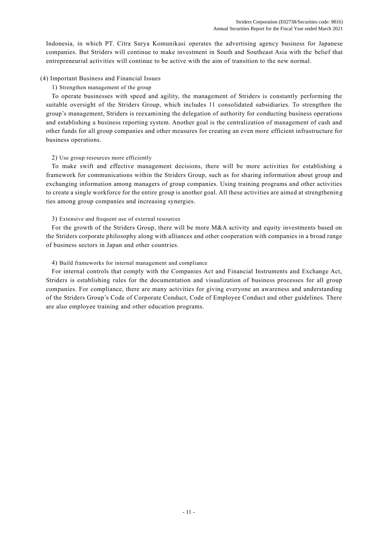Indonesia, in which PT. Citra Surya Komunikasi operates the advertising agency business for Japanese companies. But Striders will continue to make investment in South and Southeast Asia with the belief that entrepreneurial activities will continue to be active with the aim of transition to the new normal.

## (4) Important Business and Financial Issues

## 1) Strengthen management of the group

To operate businesses with speed and agility, the management of Striders is constantly performing the suitable oversight of the Striders Group, which includes 11 consolidated subsidiaries. To strengthen the group's management, Striders is reexamining the delegation of authority for conducting business operations and establishing a business reporting system. Another goal is the centralization of management of cash and other funds for all group companies and other measures for creating an even more efficient infrastructure for business operations.

## 2) Use group resources more efficiently

To make swift and effective management decisions, there will be more activities for establishing a framework for communications within the Striders Group, such as for sharing information about group and exchanging information among managers of group companies. Using training programs and other activities to create a single workforce for the entire group is another goal. All these activities are aimed at strengthenin g ties among group companies and increasing synergies.

## 3) Extensive and frequent use of external resources

For the growth of the Striders Group, there will be more M&A activity and equity investments based on the Striders corporate philosophy along with alliances and other cooperation with companies in a broad range of business sectors in Japan and other countries.

## 4) Build frameworks for internal management and compliance

For internal controls that comply with the Companies Act and Financial Instruments and Exchange Act, Striders is establishing rules for the documentation and visualization of business processes for all group companies. For compliance, there are many activities for giving everyone an awareness and understanding of the Striders Group's Code of Corporate Conduct, Code of Employee Conduct and other guidelines. There are also employee training and other education programs.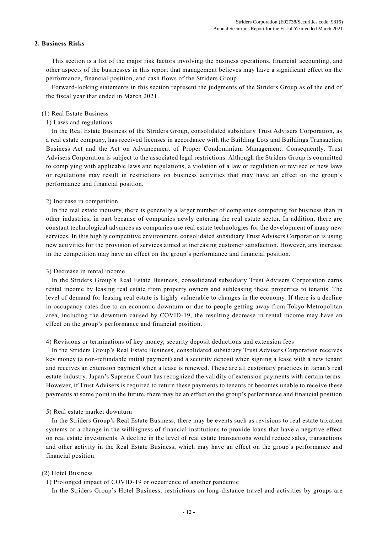#### **2. Business Risks**

This section is a list of the major risk factors involving the business operations, financial accounting, and other aspects of the businesses in this report that management believes may have a significant effect on the performance, financial position, and cash flows of the Striders Group.

Forward-looking statements in this section represent the judgments of the Striders Group as of the end of the fiscal year that ended in March 2021.

#### (1) Real Estate Business

#### 1) Laws and regulations

In the Real Estate Business of the Striders Group, consolidated subsidiary Trust Advisers Corporation, as a real estate company, has received licenses in accordance with the Building Lots and Buildings Transaction Business Act and the Act on Advancement of Proper Condominium Management. Consequently, Trust Advisers Corporation is subject to the associated legal restrictions. Although the Striders Group is committed to complying with applicable laws and regulations, a violation of a law or regulation or revised or new laws or regulations may result in restrictions on business activities that may have an effect on the group's performance and financial position.

#### 2) Increase in competition

In the real estate industry, there is generally a larger number of companies competing for business than in other industries, in part because of companies newly entering the real estate sector. In addition, there are constant technological advances as companies use real estate technologies for the development of many new services. In this highly competitive environment, consolidated subsidiary Trust Advisers Corporation is using new activities for the provision of services aimed at increasing customer satisfaction. However, any increase in the competition may have an effect on the group's performance and financial position.

#### 3) Decrease in rental income

In the Striders Group's Real Estate Business, consolidated subsidiary Trust Advisers Corporation earns rental income by leasing real estate from property owners and subleasing these properties to tenants. The level of demand for leasing real estate is highly vulnerable to changes in the economy. If there is a decline in occupancy rates due to an economic downturn or due to people getting away from Tokyo Metropolitan area, including the downturn caused by COVID-19, the resulting decrease in rental income may have an effect on the group's performance and financial position.

#### 4) Revisions or terminations of key money, security deposit deductions and extension fees

In the Striders Group's Real Estate Business, consolidated subsidiary Trust Advisers Corporation receives key money (a non-refundable initial payment) and a security deposit when signing a lease with a new tenant and receives an extension payment when a lease is renewed. These are all customary practices in Japan's real estate industry. Japan's Supreme Court has recognized the validity of extension payments with certain terms. However, if Trust Advisers is required to return these payments to tenants or becomes unable to rece ive these payments at some point in the future, there may be an effect on the group's performance and financial position.

#### 5) Real estate market downturn

In the Striders Group's Real Estate Business, there may be events such as revisions to real estate tax ation systems or a change in the willingness of financial institutions to provide loans that have a negative effect on real estate investments. A decline in the level of real estate transactions would reduce sales, transactions and other activity in the Real Estate Business, which may have an effect on the group's performance and financial position.

## (2) Hotel Business

1) Prolonged impact of COVID-19 or occurrence of another pandemic

In the Striders Group's Hotel Business, restrictions on long-distance travel and activities by groups are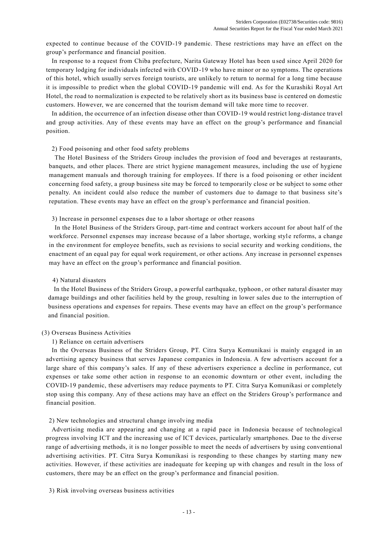expected to continue because of the COVID-19 pandemic. These restrictions may have an effect on the group's performance and financial position.

In response to a request from Chiba prefecture, Narita Gateway Hotel has been u sed since April 2020 for temporary lodging for individuals infected with COVID-19 who have minor or no symptoms. The operations of this hotel, which usually serves foreign tourists, are unlikely to return to normal for a long time because it is impossible to predict when the global COVID-19 pandemic will end. As for the Kurashiki Royal Art Hotel, the road to normalization is expected to be relatively short as its business base is centered on domestic customers. However, we are concerned that the tourism demand will take more time to recover.

In addition, the occurrence of an infection disease other than COVID-19 would restrict long-distance travel and group activities. Any of these events may have an effect on the group's performance and financial position.

#### 2) Food poisoning and other food safety problems

The Hotel Business of the Striders Group includes the provision of food and beverages at restaurants, banquets, and other places. There are strict hygiene management measures, including the use of hygiene management manuals and thorough training for employees. If there is a food poisoning or other incident concerning food safety, a group business site may be forced to temporarily close or be subject to some other penalty. An incident could also reduce the number of customers due to damage to that business site's reputation. These events may have an effect on the group's performance and financial position.

3) Increase in personnel expenses due to a labor shortage or other reasons

In the Hotel Business of the Striders Group, part-time and contract workers account for about half of the workforce. Personnel expenses may increase because of a labor shortage, working style reforms, a change in the environment for employee benefits, such as revisions to social security and working conditions, the enactment of an equal pay for equal work requirement, or other actions. Any increase in personnel expenses may have an effect on the group's performance and financial position.

#### 4) Natural disasters

In the Hotel Business of the Striders Group, a powerful earthquake, typhoon , or other natural disaster may damage buildings and other facilities held by the group, resulting in lower sales due to the interruption of business operations and expenses for repairs. These events may have an effect on the group's performance and financial position.

#### (3) Overseas Business Activities

#### 1) Reliance on certain advertisers

In the Overseas Business of the Striders Group, PT. Citra Surya Komunikasi is mainly engaged in an advertising agency business that serves Japanese companies in Indonesia. A few advertisers account for a large share of this company's sales. If any of these advertisers experience a decline in performance, cut expenses or take some other action in response to an economic downturn or other event, including the COVID-19 pandemic, these advertisers may reduce payments to PT. Citra Surya Komunikasi or completely stop using this company. Any of these actions may have an effect on the Striders Group's performance and financial position.

2) New technologies and structural change involving media

Advertising media are appearing and changing at a rapid pace in Indonesia because of technological progress involving ICT and the increasing use of ICT devices, particularly smartphones. Due to the diverse range of advertising methods, it is no longer possible to meet the needs of advertisers by using conventional advertising activities. PT. Citra Surya Komunikasi is responding to these changes by starting many new activities. However, if these activities are inadequate for keeping up with changes and result in the loss of customers, there may be an effect on the group's performance and financial position.

#### 3) Risk involving overseas business activities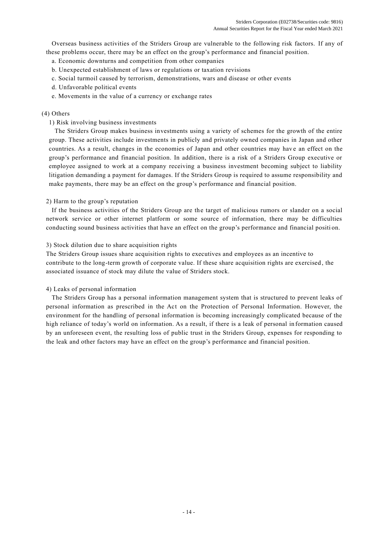Overseas business activities of the Striders Group are vulnerable to the following risk factors. If any of these problems occur, there may be an effect on the group's performance and financial position.

a. Economic downturns and competition from other companies

- b. Unexpected establishment of laws or regulations or taxation revisions
- c. Social turmoil caused by terrorism, demonstrations, wars and disease or other events
- d. Unfavorable political events
- e. Movements in the value of a currency or exchange rates

## (4) Others

## 1) Risk involving business investments

The Striders Group makes business investments using a variety of schemes for the growth of the entire group. These activities include investments in publicly and privately owned companies in Japan and other countries. As a result, changes in the economies of Japan and other countries may have an effect on the group's performance and financial position. In addition, there is a risk of a Striders Group executive or employee assigned to work at a company receiving a business investment becoming subject to liability litigation demanding a payment for damages. If the Striders Group is required to assume responsibility and make payments, there may be an effect on the group's performance and financial position.

## 2) Harm to the group's reputation

If the business activities of the Striders Group are the target of malicious rumors or slander on a social network service or other internet platform or some source of information, there may be difficulties conducting sound business activities that have an effect on the group's performance and financial positi on.

## 3) Stock dilution due to share acquisition rights

The Striders Group issues share acquisition rights to executives and employees as an incentive to contribute to the long-term growth of corporate value. If these share acquisition rights are exercised , the associated issuance of stock may dilute the value of Striders stock.

## 4) Leaks of personal information

The Striders Group has a personal information management system that is structured to prevent leaks of personal information as prescribed in the Act on the Protection of Personal Information. However, the environment for the handling of personal information is becoming increasingly complicated because of the high reliance of today's world on information. As a result, if there is a leak of personal in formation caused by an unforeseen event, the resulting loss of public trust in the Striders Group, expenses for responding to the leak and other factors may have an effect on the group's performance and financial position.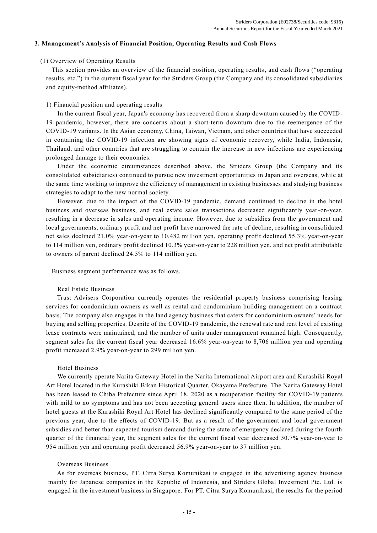#### **3. Management's Analysis of Financial Position, Operating Results and Cash Flows**

#### (1) Overview of Operating Results

This section provides an overview of the financial position, operating results, and cash flows ("operating results, etc.") in the current fiscal year for the Striders Group (the Company and its consolidated subsidiaries and equity-method affiliates).

#### 1) Financial position and operating results

In the current fiscal year, Japan's economy has recovered from a sharp downturn caused by the COVID-19 pandemic, however, there are concerns about a short-term downturn due to the reemergence of the COVID-19 variants. In the Asian economy, China, Taiwan, Vietnam, and other countries that have succeeded in containing the COVID-19 infection are showing signs of economic recovery, while India, Indonesia, Thailand, and other countries that are struggling to contain the increase in new infections are experiencing prolonged damage to their economies.

Under the economic circumstances described above, the Striders Group (the Company and its consolidated subsidiaries) continued to pursue new investment opportunities in Japan and overseas, while at the same time working to improve the efficiency of management in existing businesses and studying business strategies to adapt to the new normal society.

However, due to the impact of the COVID-19 pandemic, demand continued to decline in the hotel business and overseas business, and real estate sales transactions decreased significantly year-on-year, resulting in a decrease in sales and operating income. However, due to subsidies from the government and local governments, ordinary profit and net profit have narrowed the rate of decline, resulting in consolidated net sales declined 21.0% year-on-year to 10,482 million yen, operating profit declined 55.3% year-on-year to 114 million yen, ordinary profit declined 10.3% year-on-year to 228 million yen, and net profit attributable to owners of parent declined 24.5% to 114 million yen.

Business segment performance was as follows.

#### Real Estate Business

Trust Advisers Corporation currently operates the residential property business comprising leasing services for condominium owners as well as rental and condominium building management on a contract basis. The company also engages in the land agency business that caters for condominium owners' needs for buying and selling properties. Despite of the COVID-19 pandemic, the renewal rate and rent level of existing lease contracts were maintained, and the number of units under management remained high. Consequently, segment sales for the current fiscal year decreased 16.6% year-on-year to 8,706 million yen and operating profit increased 2.9% year-on-year to 299 million yen.

#### Hotel Business

We currently operate Narita Gateway Hotel in the Narita International Airp ort area and Kurashiki Royal Art Hotel located in the Kurashiki Bikan Historical Quarter, Okayama Prefecture. The Narita Gateway Hotel has been leased to Chiba Prefecture since April 18, 2020 as a recuperation facility for COVID-19 patients with mild to no symptoms and has not been accepting general users since then. In addition, the number of hotel guests at the Kurashiki Royal Art Hotel has declined significantly compared to the same period of the previous year, due to the effects of COVID-19. But as a result of the government and local government subsidies and better than expected tourism demand during the state of emergency declared during the fourth quarter of the financial year, the segment sales for the current fiscal year decreased 30.7% year-on-year to 954 million yen and operating profit decreased 56.9% year-on-year to 37 million yen.

#### Overseas Business

As for overseas business, PT. Citra Surya Komunikasi is engaged in the advertising agency business mainly for Japanese companies in the Republic of Indonesia, and Striders Global Investment Pte. Ltd. is engaged in the investment business in Singapore. For PT. Citra Surya Komunikasi, the results for the period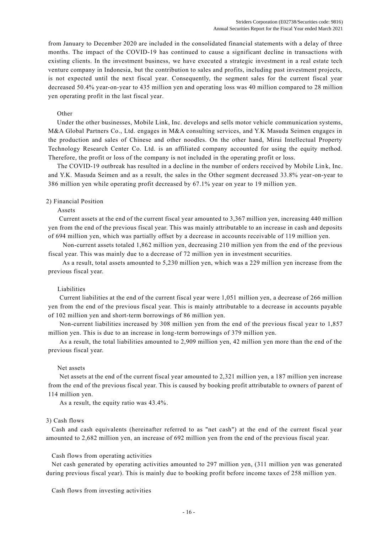from January to December 2020 are included in the consolidated financial statements with a delay of three months. The impact of the COVID-19 has continued to cause a significant decline in transactions with existing clients. In the investment business, we have executed a strategic investment in a real estate tech venture company in Indonesia, but the contribution to sales and profits, including past investment projects, is not expected until the next fiscal year. Consequently, the segment sales for the current fiscal year decreased 50.4% year-on-year to 435 million yen and operating loss was 40 million compared to 28 million yen operating profit in the last fiscal year.

#### Other

Under the other businesses, Mobile Link, Inc. develops and sells motor vehicle communication systems, M&A Global Partners Co., Ltd. engages in M&A consulting services, and Y.K Masuda Seimen engages in the production and sales of Chinese and other noodles. On the other hand, Mirai Intellectual Property Technology Research Center Co. Ltd. is an affiliated company accounted for using the equity method. Therefore, the profit or loss of the company is not included in the operating profit or loss.

The COVID-19 outbreak has resulted in a decline in the number of orders received by Mobile Lin k, Inc. and Y.K. Masuda Seimen and as a result, the sales in the Other segment decreased 33.8% year-on-year to 386 million yen while operating profit decreased by 67.1% year on year to 19 million yen.

#### 2) Financial Position

#### Assets

 Current assets at the end of the current fiscal year amounted to 3,367 million yen, increasing 440 million yen from the end of the previous fiscal year. This was mainly attributable to an increase in cash and deposits of 694 million yen, which was partially offset by a decrease in accounts receivable of 119 million yen.

 Non-current assets totaled 1,862 million yen, decreasing 210 million yen from the end of the previous fiscal year. This was mainly due to a decrease of 72 million yen in investment securities.

 As a result, total assets amounted to 5,230 million yen, which was a 229 million yen increase from the previous fiscal year.

#### Liabilities

Current liabilities at the end of the current fiscal year were 1,051 million yen, a decrease of 266 million yen from the end of the previous fiscal year. This is mainly attributable to a decrease in accounts payable of 102 million yen and short-term borrowings of 86 million yen.

Non-current liabilities increased by 308 million yen from the end of the previous fiscal year to 1,857 million yen. This is due to an increase in long-term borrowings of 379 million yen.

As a result, the total liabilities amounted to 2,909 million yen, 42 million yen more than the end of the previous fiscal year.

#### Net assets

Net assets at the end of the current fiscal year amounted to 2,321 million yen, a 187 million yen increase from the end of the previous fiscal year. This is caused by booking profit attributable to owners of parent of 114 million yen.

As a result, the equity ratio was 43.4%.

#### 3) Cash flows

Cash and cash equivalents (hereinafter referred to as "net cash") at the end of the current fiscal year amounted to 2,682 million yen, an increase of 692 million yen from the end of the previous fiscal year.

#### Cash flows from operating activities

Net cash generated by operating activities amounted to 297 million yen, (311 million yen was generated during previous fiscal year). This is mainly due to booking profit before income taxes of 258 million yen.

Cash flows from investing activities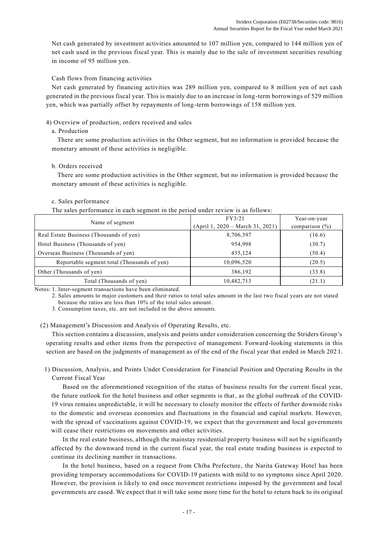Net cash generated by investment activities amounted to 107 million yen, compared to 144 million yen of net cash used in the previous fiscal year. This is mainly due to the sale of investment securities resulting in income of 95 million yen.

## Cash flows from financing activities

Net cash generated by financing activities was 289 million yen, compared to 8 million yen of net cash generated in the previous fiscal year. This is mainly due to an increase in long-term borrowings of 529 million yen, which was partially offset by repayments of long-term borrowings of 158 million yen.

## 4) Overview of production, orders received and sales

#### a. Production

There are some production activities in the Other segment, but no information is provided because the monetary amount of these activities is negligible.

## b. Orders received

There are some production activities in the Other segment, but no information is provided because the monetary amount of these activities is negligible.

## c. Sales performance

The sales performance in each segment in the period under review is as follows:

| Name of segment                             | FY3/21<br>$(April 1, 2020 - March 31, 2021)$ | Year-on-year<br>comparison $(\% )$ |
|---------------------------------------------|----------------------------------------------|------------------------------------|
| Real Estate Business (Thousands of yen)     | 8,706,397                                    | (16.6)                             |
| Hotel Business (Thousands of yen)           | 954,998                                      | (30.7)                             |
| Overseas Business (Thousands of yen)        | 435,124                                      | (50.4)                             |
| Reportable segment total (Thousands of yen) | 10,096,520                                   | (20.5)                             |
| Other (Thousands of yen)                    | 386,192                                      | (33.8)                             |
| Total (Thousands of yen)                    | 10,482,713                                   | (21.1)                             |

Notes: 1. Inter-segment transactions have been eliminated.

2. Sales amounts to major customers and their ratios to total sales amount in the last two fiscal years are not stated because the ratios are less than 10% of the total sales amount.

3. Consumption taxes, etc. are not included in the above amounts.

#### (2) Management's Discussion and Analysis of Operating Results, etc.

This section contains a discussion, analysis and points under consideration concerning the Striders Group's operating results and other items from the perspective of management. Forward-looking statements in this section are based on the judgments of management as of the end of the fiscal year that ended in March 202 1.

1) Discussion, Analysis, and Points Under Consideration for Financial Position and Operating Results in the Current Fiscal Year

Based on the aforementioned recognition of the status of business results for the current fiscal year, the future outlook for the hotel business and other segments is that, as the global outbreak of the COVID-19 virus remains unpredictable, it will be necessary to closely monitor the effects of further downside risks to the domestic and overseas economies and fluctuations in the financial and capital markets. However, with the spread of vaccinations against COVID-19, we expect that the government and local governments will cease their restrictions on movements and other activities.

In the real estate business, although the mainstay residential property business will not be significantly affected by the downward trend in the current fiscal year, the real estate trading business is expected to continue its declining number in transactions.

In the hotel business, based on a request from Chiba Prefecture, the Narita Gateway Hotel has been providing temporary accommodations for COVID-19 patients with mild to no symptoms since April 2020. However, the provision is likely to end once movement restrictions imposed by the government and local governments are eased. We expect that it will take some more time for the hotel to return back to its original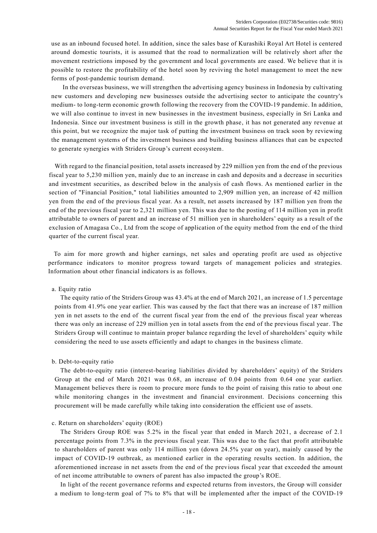use as an inbound focused hotel. In addition, since the sales base of Kurashiki Royal Art Hotel is centered around domestic tourists, it is assumed that the road to normalization will be relatively short after the movement restrictions imposed by the government and local governments are eased. We believe that it is possible to restore the profitability of the hotel soon by reviving the hotel management to meet the new forms of post-pandemic tourism demand.

In the overseas business, we will strengthen the advertising agency business in Indonesia by cultivating new customers and developing new businesses outside the advertising sector to anticipate the country's medium- to long-term economic growth following the recovery from the COVID-19 pandemic. In addition, we will also continue to invest in new businesses in the investment business, especially in Sri Lanka and Indonesia. Since our investment business is still in the growth phase, it has not generated any revenue at this point, but we recognize the major task of putting the investment business on track soon by reviewing the management systems of the investment business and building business alliances that can be expected to generate synergies with Striders Group's current ecosystem.

With regard to the financial position, total assets increased by 229 million yen from the end of the previous fiscal year to 5,230 million yen, mainly due to an increase in cash and deposits and a decrease in securities and investment securities, as described below in the analysis of cash flows. As mentioned earlier in the section of "Financial Position," total liabilities amounted to 2,909 million yen, an increase of 42 million yen from the end of the previous fiscal year. As a result, net assets increased by 187 million yen from the end of the previous fiscal year to 2,321 million yen. This was due to the posting of 114 million yen in profit attributable to owners of parent and an increase of 51 million yen in shareholders' equity as a result of the exclusion of Amagasa Co., Ltd from the scope of application of the equity method from the end of the third quarter of the current fiscal year.

To aim for more growth and higher earnings, net sales and operating profit are used as objective performance indicators to monitor progress toward targets of management policies and strategies. Information about other financial indicators is as follows.

#### a. Equity ratio

The equity ratio of the Striders Group was 43.4% at the end of March 2021, an increase of 1.5 percentage points from 41.9% one year earlier. This was caused by the fact that there was an increase of 187 million yen in net assets to the end of the current fiscal year from the end of the previous fiscal year whereas there was only an increase of 229 million yen in total assets from the end of the previous fiscal year. The Striders Group will continue to maintain proper balance regarding the level of shareholders' equity while considering the need to use assets efficiently and adapt to changes in the business climate.

#### b. Debt-to-equity ratio

The debt-to-equity ratio (interest-bearing liabilities divided by shareholders' equity) of the Striders Group at the end of March 2021 was 0.68, an increase of 0.04 points from 0.64 one year earlier. Management believes there is room to procure more funds to the point of raising this ratio to about one while monitoring changes in the investment and financial environment. Decisions concerning this procurement will be made carefully while taking into consideration the efficient use of assets.

#### c. Return on shareholders' equity (ROE)

The Striders Group ROE was 5.2% in the fiscal year that ended in March 2021, a decrease of 2.1 percentage points from 7.3% in the previous fiscal year. This was due to the fact that profit attributable to shareholders of parent was only 114 million yen (down 24.5% year on year), mainly caused by the impact of COVID-19 outbreak, as mentioned earlier in the operating results section. In addition, the aforementioned increase in net assets from the end of the previous fiscal year that exceeded the amount of net income attributable to owners of parent has also impacted the group's ROE.

In light of the recent governance reforms and expected returns from investors, the Group will consider a medium to long-term goal of 7% to 8% that will be implemented after the impact of the COVID-19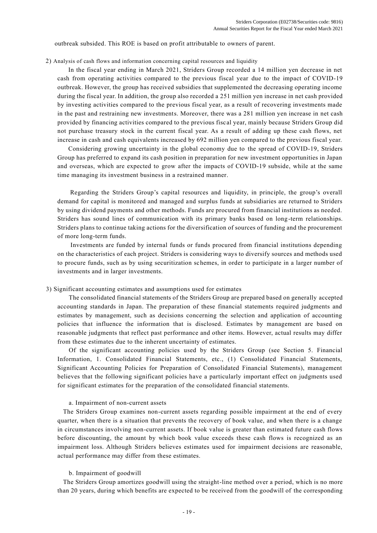outbreak subsided. This ROE is based on profit attributable to owners of parent.

#### 2) Analysis of cash flows and information concerning capital resources and liquidity

 In the fiscal year ending in March 2021, Striders Group recorded a 14 million yen decrease in net cash from operating activities compared to the previous fiscal year due to the impact of COVID-19 outbreak. However, the group has received subsidies that supplemented the decreasing operating income during the fiscal year. In addition, the group also recorded a 251 million yen increase in net cash provided by investing activities compared to the previous fiscal year, as a result of recovering investments made in the past and restraining new investments. Moreover, there was a 281 million yen increase in net cash provided by financing activities compared to the previous fiscal year, mainly because Striders Group did not purchase treasury stock in the current fiscal year. As a result of adding up these cash flows, net increase in cash and cash equivalents increased by 692 million yen compared to the previous fiscal year.

 Considering growing uncertainty in the global economy due to the spread of COVID-19, Striders Group has preferred to expand its cash position in preparation for new investment opportunities in Japan and overseas, which are expected to grow after the impacts of COVID-19 subside, while at the same time managing its investment business in a restrained manner.

 Regarding the Striders Group's capital resources and liquidity, in principle, the group's overall demand for capital is monitored and managed and surplus funds at subsidiaries are returned to Striders by using dividend payments and other methods. Funds are procured from financial institutions as needed. Striders has sound lines of communication with its primary banks based on long-term relationships. Striders plans to continue taking actions for the diversification of sources of funding and the procurement of more long-term funds.

Investments are funded by internal funds or funds procured from financial institutions depending on the characteristics of each project. Striders is considering ways to diversify sources and methods used to procure funds, such as by using securitization schemes, in order to participate in a larger number of investments and in larger investments.

#### 3) Significant accounting estimates and assumptions used for estimates

The consolidated financial statements of the Striders Group are prepared based on generally accepted accounting standards in Japan. The preparation of these financial statements required judgments and estimates by management, such as decisions concerning the selection and application of accounting policies that influence the information that is disclosed. Estimates by management are based on reasonable judgments that reflect past performance and other items. However, actual results may differ from these estimates due to the inherent uncertainty of estimates.

Of the significant accounting policies used by the Striders Group (see Section 5. Financial Information, 1. Consolidated Financial Statements, etc., (1) Consolidated Financial Statements, Significant Accounting Policies for Preparation of Consolidated Financial Statements), management believes that the following significant policies have a particularly important effect on judgments used for significant estimates for the preparation of the consolidated financial statements.

#### a. Impairment of non-current assets

The Striders Group examines non-current assets regarding possible impairment at the end of every quarter, when there is a situation that prevents the recovery of book value, and when there is a change in circumstances involving non-current assets. If book value is greater than estimated future cash flows before discounting, the amount by which book value exceeds these cash flows is recognized as an impairment loss. Although Striders believes estimates used for impairment decisions are reasonable, actual performance may differ from these estimates.

#### b. Impairment of goodwill

The Striders Group amortizes goodwill using the straight-line method over a period, which is no more than 20 years, during which benefits are expected to be received from the goodwill of the corresponding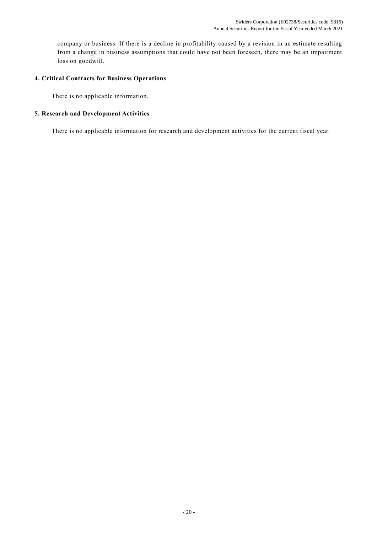company or business. If there is a decline in profitability caused by a revision in an estimate resulting from a change in business assumptions that could have not been foreseen, there may be an impairment loss on goodwill.

## **4. Critical Contracts for Business Operations**

There is no applicable information.

## **5. Research and Development Activities**

There is no applicable information for research and development activities for the current fiscal year.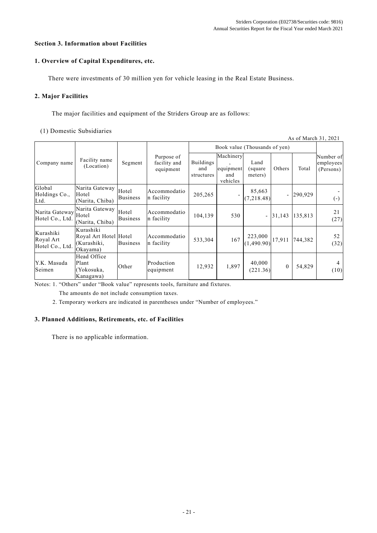## **Section 3. Information about Facilities**

## **1. Overview of Capital Expenditures, etc.**

There were investments of 30 million yen for vehicle leasing in the Real Estate Business.

## **2. Major Facilities**

The major facilities and equipment of the Striders Group are as follows:

#### (1) Domestic Subsidiaries

| As of March 31, 2021                      |                                                               |                          |                                         |                                       |                                           |                             |                          |         |                                     |  |
|-------------------------------------------|---------------------------------------------------------------|--------------------------|-----------------------------------------|---------------------------------------|-------------------------------------------|-----------------------------|--------------------------|---------|-------------------------------------|--|
|                                           |                                                               |                          |                                         | Book value (Thousands of yen)         |                                           |                             |                          |         |                                     |  |
| Company name                              | Facility name<br>(Location)                                   | Segment                  | Purpose of<br>facility and<br>equipment | <b>Buildings</b><br>and<br>structures | Machinery<br>equipment<br>and<br>vehicles | Land<br>(square)<br>meters) | Others                   | Total   | Number of<br>employees<br>(Persons) |  |
| Global<br>Holdings Co.,<br>Ltd.           | Narita Gateway<br>Hotel<br>(Narita, Chiba)                    | Hotel<br><b>Business</b> | Accommodatio<br>n facility              | 205,265                               |                                           | 85,663<br>(7,218.48)        | $\overline{\phantom{0}}$ | 290,929 | $(-)$                               |  |
| Narita Gateway Hotel<br>Hotel Co., Ltd.   | Narita Gateway<br>(Narita, Chiba)                             | Hotel<br><b>Business</b> | Accommodatio<br>n facility              | 104,139                               | 530                                       |                             | $-131,143$               | 135,813 | 21<br>(27)                          |  |
| Kurashiki<br>Royal Art<br>Hotel Co., Ltd. | Kurashiki<br>Royal Art Hotel Hotel<br>(Kurashiki,<br>Okayama) | <b>Business</b>          | Accommodatio<br>n facility              | 533,304                               | 167                                       | 223,000<br>(1,490.90)       | 17,911                   | 744,382 | 52<br>(32)                          |  |
| Y.K. Masuda<br>Seimen                     | Head Office<br>Plant<br>(Yokosuka,<br>Kanagawa)               | Other                    | Production<br>equipment                 | 12,932                                | 1,897                                     | 40,000<br>(221.36)          | $\theta$                 | 54,829  | $\overline{4}$<br>(10)              |  |

Notes: 1. "Others" under "Book value" represents tools, furniture and fixtures.

The amounts do not include consumption taxes.

2. Temporary workers are indicated in parentheses under "Number of employees."

## **3. Planned Additions, Retirements, etc. of Facilities**

There is no applicable information.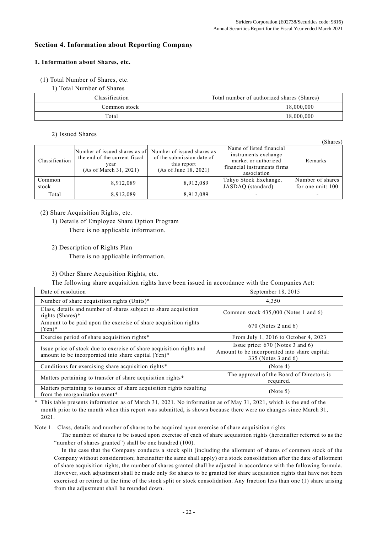## **Section 4. Information about Reporting Company**

## **1. Information about Shares, etc.**

(1) Total Number of Shares, etc.

1) Total Number of Shares

| Classification | Total number of authorized shares (Shares) |
|----------------|--------------------------------------------|
| Common stock   | 18,000,000                                 |
| Total          | 18,000,000                                 |

## 2) Issued Shares

(Shares) Classification Number of issued shares as of the end of the current fiscal year (As of March 31, 2021) Number of issued shares as of the submission date of this report (As of June 18, 2021) Name of listed financial instruments exchange market or authorized financial instruments firms association Remarks Common Common 8,912,089 8,912,089 Tokyo Stock Exchange,<br>stock 3,912,089 8,912,089 JASDAO (standard) JASDAQ (standard) Number of shares for one unit: 100 Total | 8,912,089 | 8,912,089 | - | -

(2) Share Acquisition Rights, etc.

1) Details of Employee Share Option Program There is no applicable information.

2) Description of Rights Plan

There is no applicable information.

## 3) Other Share Acquisition Rights, etc.

The following share acquisition rights have been issued in accordance with the Companies Act:

| Date of resolution                                                                                                          | September 18, 2015                                                                                         |
|-----------------------------------------------------------------------------------------------------------------------------|------------------------------------------------------------------------------------------------------------|
| Number of share acquisition rights (Units)*                                                                                 | 4,350                                                                                                      |
| Class, details and number of shares subject to share acquisition<br>rights (Shares) $*$                                     | Common stock $435,000$ (Notes 1 and 6)                                                                     |
| Amount to be paid upon the exercise of share acquisition rights<br>$(Yen)*$                                                 | $670$ (Notes 2 and 6)                                                                                      |
| Exercise period of share acquisition rights*                                                                                | From July 1, 2016 to October 4, 2023                                                                       |
| Issue price of stock due to exercise of share acquisition rights and<br>amount to be incorporated into share capital (Yen)* | Issue price: $670$ (Notes 3 and 6)<br>Amount to be incorporated into share capital:<br>335 (Notes 3 and 6) |
| Conditions for exercising share acquisition rights*                                                                         | (Note 4)                                                                                                   |
| Matters pertaining to transfer of share acquisition rights*                                                                 | The approval of the Board of Directors is<br>required.                                                     |
| Matters pertaining to issuance of share acquisition rights resulting<br>from the reorganization event <sup>*</sup>          | (Note 5)                                                                                                   |

This table presents information as of March 31, 2021. No information as of May 31, 2021, which is the end of the month prior to the month when this report was submitted, is shown because there were no changes since March 31, 2021.

Note 1. Class, details and number of shares to be acquired upon exercise of share acquisition rights

The number of shares to be issued upon exercise of each of share acquisition rights (hereinafter referred to as the "number of shares granted") shall be one hundred (100).

In the case that the Company conducts a stock split (including the allotment of shares of common stock of the Company without consideration; hereinafter the same shall apply) or a stock consolidation after the date of allotment of share acquisition rights, the number of shares granted shall be adjusted in accordance with the following formula. However, such adjustment shall be made only for shares to be granted for share acquisition rights that have not been exercised or retired at the time of the stock split or stock consolidation. Any fraction less than one (1) share arising from the adjustment shall be rounded down.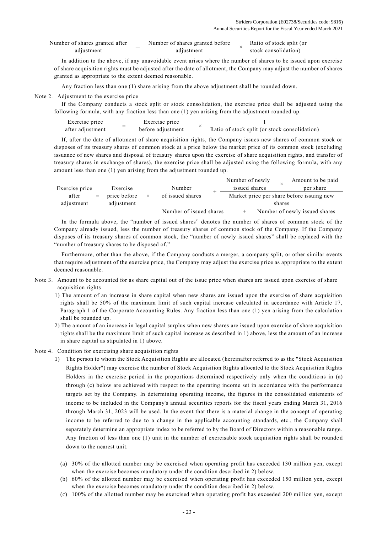| Number of shares granted after | Number of shares granted before | Ratio of stock split (or |
|--------------------------------|---------------------------------|--------------------------|
| adjustment                     | adiustment                      | stock consolidation)     |

In addition to the above, if any unavoidable event arises where the number of shares to be issued upon exercise of share acquisition rights must be adjusted after the date of allotment, the Company may adjust the number of shares granted as appropriate to the extent deemed reasonable.

Any fraction less than one (1) share arising from the above adjustment shall be rounded down.

#### Note 2. Adjustment to the exercise price

If the Company conducts a stock split or stock consolidation, the exercise price shall be adjusted using the following formula, with any fraction less than one (1) yen arising from the adjustment rounded up.

| Exercise price   | Exercise price    |                                               |
|------------------|-------------------|-----------------------------------------------|
| after adjustment | before adjustment | Ratio of stock split (or stock consolidation) |

If, after the date of allotment of share acquisition rights, the Company issues new shares of common stock or disposes of its treasury shares of common stock at a price below the market price of its common stock (excluding issuance of new shares and disposal of treasury shares upon the exercise of share acquisition rights, and transfer of treasury shares in exchange of shares), the exercise price shall be adjusted using the following formula, with any amount less than one (1) yen arising from the adjustment rounded up.

|                |     |              |                         | Number of newly                           |  |        | Amount to be paid             |  |
|----------------|-----|--------------|-------------------------|-------------------------------------------|--|--------|-------------------------------|--|
| Exercise price |     | Exercise     | Number                  | issued shares                             |  |        | per share                     |  |
| after          | $=$ | price before | of issued shares        | Market price per share before issuing new |  |        |                               |  |
| adjustment     |     | adjustment   |                         |                                           |  | shares |                               |  |
|                |     |              | Number of issued shares |                                           |  |        | Number of newly issued shares |  |

In the formula above, the "number of issued shares" denotes the number of shares of common stock of the Company already issued, less the number of treasury shares of common stock of the Company. If the Company disposes of its treasury shares of common stock, the "number of newly issued shares" shall be replaced with the "number of treasury shares to be disposed of."

Furthermore, other than the above, if the Company conducts a merger, a company split, or other similar events that require adjustment of the exercise price, the Company may adjust the exercise price as appropriate to the extent deemed reasonable.

- Note 3. Amount to be accounted for as share capital out of the issue price when shares are issued upon exercise of share acquisition rights
	- 1) The amount of an increase in share capital when new shares are issued upon the exercise of share acquisition rights shall be 50% of the maximum limit of such capital increase calculated in accordance with Article 17, Paragraph 1 of the Corporate Accounting Rules. Any fraction less than one (1) yen arising from the calculation shall be rounded up.
	- 2) The amount of an increase in legal capital surplus when new shares are issued upon exercise of share acquisition rights shall be the maximum limit of such capital increase as described in 1) above, less the amount of an increase in share capital as stipulated in 1) above.
- Note 4. Condition for exercising share acquisition rights
	- 1) The person to whom the Stock Acquisition Rights are allocated (hereinafter referred to as the "Stock Acquisition Rights Holder") may exercise the number of Stock Acquisition Rights allocated to the Stock Acquisition Rights Holders in the exercise period in the proportions determined respectively only when the conditions in (a) through (c) below are achieved with respect to the operating income set in accordance with the performance targets set by the Company. In determining operating income, the figures in the consolidated statements of income to be included in the Company's annual securities reports for the fiscal years ending March 31, 2016 through March 31, 2023 will be used. In the event that there is a material change in the concept of operating income to be referred to due to a change in the applicable accounting standards, etc., the Company shall separately determine an appropriate index to be referred to by the Board of Directors within a reasonable range. Any fraction of less than one (1) unit in the number of exercisable stock acquisition rights shall be rounde d down to the nearest unit.
		- (a) 30% of the allotted number may be exercised when operating profit has exceeded 130 million yen, except when the exercise becomes mandatory under the condition described in 2) below.
		- (b) 60% of the allotted number may be exercised when operating profit has exceeded 150 million yen, except when the exercise becomes mandatory under the condition described in 2) below.
		- (c) 100% of the allotted number may be exercised when operating profit has exceeded 200 million yen, except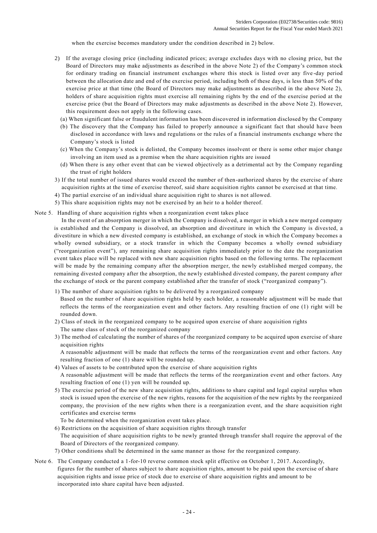when the exercise becomes mandatory under the condition described in 2) below.

- 2) If the average closing price (including indicated prices; average excludes days with no closing price, but the Board of Directors may make adjustments as described in the above Note 2) of the Company's common stock for ordinary trading on financial instrument exchanges where this stock is listed over any five -day period between the allocation date and end of the exercise period, including both of these days, is less than 50% of the exercise price at that time (the Board of Directors may make adjustments as described in the above Note 2), holders of share acquisition rights must exercise all remaining rights by the end of the exercise period at the exercise price (but the Board of Directors may make adjustments as described in the above Note 2). However, this requirement does not apply in the following cases.
	- (a) When significant false or fraudulent information has been discovered in information disclosed by the Company
	- (b) The discovery that the Company has failed to properly announce a significant fact that should have been disclosed in accordance with laws and regulations or the rules of a financial instruments exchange where the Company's stock is listed
	- (c) When the Company's stock is delisted, the Company becomes insolvent or there is some other major change involving an item used as a premise when the share acquisition rights are issued
	- (d) When there is any other event that can be viewed objectively as a detrimental act by the Company regarding the trust of right holders
- 3) If the total number of issued shares would exceed the number of then-authorized shares by the exercise of share acquisition rights at the time of exercise thereof, said share acquisition rights cannot be exercised at that time.
- 4) The partial exercise of an individual share acquisition right to shares is not allowed.
- 5) This share acquisition rights may not be exercised by an heir to a holder thereof.
- Note 5. Handling of share acquisition rights when a reorganization event takes place

In the event of an absorption merger in which the Company is dissolved, a merger in which a new merged company is established and the Company is dissolved, an absorption and divestiture in which the Company is divested, a divestiture in which a new divested company is established, an exchange of stock in which the Company becomes a wholly owned subsidiary, or a stock transfer in which the Company becomes a wholly owned subsidiary ("reorganization event"), any remaining share acquisition rights immediately prior to the date the reorganization event takes place will be replaced with new share acquisition rights based on the following terms. The replacement will be made by the remaining company after the absorption merger, the newly established merged company, the remaining divested company after the absorption, the newly established divested company, the parent company after the exchange of stock or the parent company established after the transfer of stock ("reorganized company").

- 1) The number of share acquisition rights to be delivered by a reorganized company Based on the number of share acquisition rights held by each holder, a reasonable adjustment will be made that reflects the terms of the reorganization event and other factors. Any resulting fraction of one (1) right will be
- 2) Class of stock in the reorganized company to be acquired upon exercise of share acquisition rights The same class of stock of the reorganized company
- 3) The method of calculating the number of shares of the reorganized company to be acquired upon exercise of share acquisition rights

A reasonable adjustment will be made that reflects the terms of the reorganization event and other factors. Any resulting fraction of one (1) share will be rounded up.

4) Values of assets to be contributed upon the exercise of share acquisition rights

A reasonable adjustment will be made that reflects the terms of the reorganization event and other factors. Any resulting fraction of one (1) yen will be rounded up.

5) The exercise period of the new share acquisition rights, additions to share capital and legal capital surplus when stock is issued upon the exercise of the new rights, reasons for the acquisition of the new rights by the reorganized company, the provision of the new rights when there is a reorganization event, and the share acquisition right certificates and exercise terms

To be determined when the reorganization event takes place.

rounded down.

6) Restrictions on the acquisition of share acquisition rights through transfer

The acquisition of share acquisition rights to be newly granted through transfer shall require the approval of the Board of Directors of the reorganized company.

7) Other conditions shall be determined in the same manner as those for the reorganized company.

Note 6. The Company conducted a 1-for-10 reverse common stock split effective on October 1, 2017. Accordingly, figures for the number of shares subject to share acquisition rights, amount to be paid upon the exercise of share acquisition rights and issue price of stock due to exercise of share acquisition rights and amount to be incorporated into share capital have been adjusted.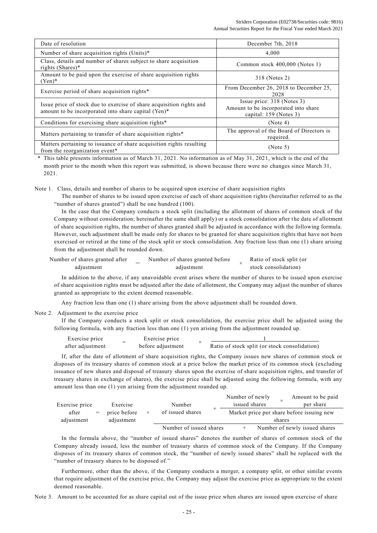| Date of resolution                                                                                                          | December 7th, 2018                                                                             |
|-----------------------------------------------------------------------------------------------------------------------------|------------------------------------------------------------------------------------------------|
| Number of share acquisition rights (Units)*                                                                                 | 4,000                                                                                          |
| Class, details and number of shares subject to share acquisition<br>rights (Shares)*                                        | Common stock 400,000 (Notes 1)                                                                 |
| Amount to be paid upon the exercise of share acquisition rights<br>$(Yen)*$                                                 | 318 (Notes 2)                                                                                  |
| Exercise period of share acquisition rights*                                                                                | From December 26, 2018 to December 25,<br>2028                                                 |
| Issue price of stock due to exercise of share acquisition rights and<br>amount to be incorporated into share capital (Yen)* | Issue price: $318$ (Notes 3)<br>Amount to be incorporated into share<br>capital: 159 (Notes 3) |
| Conditions for exercising share acquisition rights*                                                                         | (Note 4)                                                                                       |
| Matters pertaining to transfer of share acquisition rights*                                                                 | The approval of the Board of Directors is<br>required.                                         |
| Matters pertaining to issuance of share acquisition rights resulting<br>from the reorganization event*                      | (Note 5)                                                                                       |

\* This table presents information as of March 31, 2021. No information as of May 31, 2021, which is the end of the month prior to the month when this report was submitted, is shown because there were no changes since March 31, 2021.

Note 1. Class, details and number of shares to be acquired upon exercise of share acquisition rights

The number of shares to be issued upon exercise of each of share acquisition rights (hereinafter referred to as the "number of shares granted") shall be one hundred (100).

In the case that the Company conducts a stock split (including the allotment of shares of common stock of the Company without consideration; hereinafter the same shall apply) or a stock consolidation after t he date of allotment of share acquisition rights, the number of shares granted shall be adjusted in accordance with the following formula. However, such adjustment shall be made only for shares to be granted for share acquisition rights that have not been exercised or retired at the time of the stock split or stock consolidation. Any fraction less than one (1) share arising from the adjustment shall be rounded down.

| Number of shares granted after | Number of shares granted before | Ratio of stock split (or |  |
|--------------------------------|---------------------------------|--------------------------|--|
| adiustment                     | adiustment                      | stock consolidation)     |  |

In addition to the above, if any unavoidable event arises where the number of shares to be issued upon exercise of share acquisition rights must be adjusted after the date of allotment, the Company may adjust the number of shares granted as appropriate to the extent deemed reasonable.

Any fraction less than one (1) share arising from the above adjustment shall be rounded down.

Note 2. Adjustment to the exercise price

If the Company conducts a stock split or stock consolidation, the exercise price shall be adjusted using the following formula, with any fraction less than one (1) yen arising from the adjustment rounded up.

| Exercise price   | Exercise price    |                                               |
|------------------|-------------------|-----------------------------------------------|
| after adiustment | before adjustment | Ratio of stock split (or stock consolidation) |

If, after the date of allotment of share acquisition rights, the Company issues new shares of common stock or disposes of its treasury shares of common stock at a price below the market price of its common stock (excluding issuance of new shares and disposal of treasury shares upon the exercise of share acquisition rights, and transfer of treasury shares in exchange of shares), the exercise price shall be adjusted using the following formula, with any amount less than one (1) yen arising from the adjustment rounded up.

| Exercise price |     | Exercise     | Number |                         | Number of newly<br>issued shares          |        | Amount to be paid<br>per share |  |  |
|----------------|-----|--------------|--------|-------------------------|-------------------------------------------|--------|--------------------------------|--|--|
| after          | $=$ | price before |        | of issued shares        | Market price per share before issuing new |        |                                |  |  |
| adjustment     |     | adjustment   |        |                         |                                           | shares |                                |  |  |
|                |     |              |        | Number of issued shares |                                           |        | Number of newly issued shares  |  |  |

In the formula above, the "number of issued shares" denotes the number of shares of common stock of the Company already issued, less the number of treasury shares of common stock of the Company. If the Company disposes of its treasury shares of common stock, the "number of newly issued shares" shall be replaced with the "number of treasury shares to be disposed of."

Furthermore, other than the above, if the Company conducts a merger, a company split, or other similar events that require adjustment of the exercise price, the Company may adjust the exercise price as appropriate to the extent deemed reasonable.

Note 3. Amount to be accounted for as share capital out of the issue price when shares are issued upon exercise of share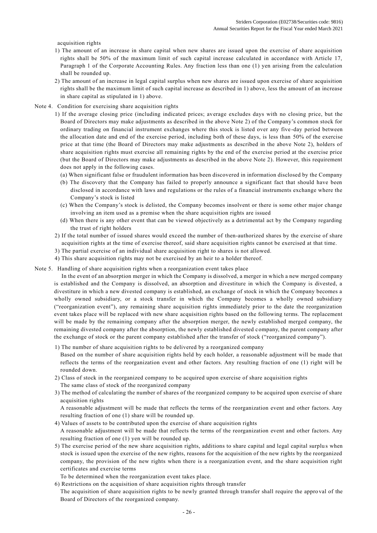acquisition rights

- 1) The amount of an increase in share capital when new shares are issued upon the exercise of share acquisition rights shall be 50% of the maximum limit of such capital increase calculated in accordance with Article 17, Paragraph 1 of the Corporate Accounting Rules. Any fraction less than one (1) yen arising from the calculation shall be rounded up.
- 2) The amount of an increase in legal capital surplus when new shares are issued upon exercise of share acquisition rights shall be the maximum limit of such capital increase as described in 1) above, less the amount of an increase in share capital as stipulated in 1) above.
- Note 4. Condition for exercising share acquisition rights
	- 1) If the average closing price (including indicated prices; average excludes days with no closing price, but the Board of Directors may make adjustments as described in the above Note 2) of the Company's common stock for ordinary trading on financial instrument exchanges where this stock is listed over any five -day period between the allocation date and end of the exercise period, including both of these days, is less than 50% of the exercise price at that time (the Board of Directors may make adjustments as described in the above Note 2), holders of share acquisition rights must exercise all remaining rights by the end of the exercise period at the exercise price (but the Board of Directors may make adjustments as described in the above Note 2). However, this requirement does not apply in the following cases.
		- (a) When significant false or fraudulent information has been discovered in information disclosed by the Company
		- (b) The discovery that the Company has failed to properly announce a significant fact that should have been disclosed in accordance with laws and regulations or the rules of a financial instruments exchange where the Company's stock is listed
		- (c) When the Company's stock is delisted, the Company becomes insolvent or there is some other major change involving an item used as a premise when the share acquisition rights are issued
		- (d) When there is any other event that can be viewed objectively as a detrimental act by the Company regarding the trust of right holders
	- 2) If the total number of issued shares would exceed the number of then-authorized shares by the exercise of share acquisition rights at the time of exercise thereof, said share acquisition rights cannot be exercised at that time.
	- 3) The partial exercise of an individual share acquisition right to shares is not allowed.
	- 4) This share acquisition rights may not be exercised by an heir to a holder thereof.
- Note 5. Handling of share acquisition rights when a reorganization event takes place

In the event of an absorption merger in which the Company is dissolved, a merger in which a new merged company is established and the Company is dissolved, an absorption and divestiture in which the Company is divested, a divestiture in which a new divested company is established, an exchange of stock in which the Company becomes a wholly owned subsidiary, or a stock transfer in which the Company becomes a wholly owned subsidiary ("reorganization event"), any remaining share acquisition rights immediately prior to the date the reorganization event takes place will be replaced with new share acquisition rights based on the following terms. The replacement will be made by the remaining company after the absorption merger, the newly established merged company, the remaining divested company after the absorption, the newly established divested company, the parent company after the exchange of stock or the parent company established after the transfer of stock ("reorganized company").

- 1) The number of share acquisition rights to be delivered by a reorganized company
- Based on the number of share acquisition rights held by each holder, a reasonable adjustment will be made that reflects the terms of the reorganization event and other factors. Any resulting fraction of one (1) right will be rounded down.
- 2) Class of stock in the reorganized company to be acquired upon exercise of share acquisition rights The same class of stock of the reorganized company
- 3) The method of calculating the number of shares of the reorganized company to be acquired upon exercise of share acquisition rights

A reasonable adjustment will be made that reflects the terms of the reorganization event and other factors. Any resulting fraction of one (1) share will be rounded up.

- 4) Values of assets to be contributed upon the exercise of share acquisition rights A reasonable adjustment will be made that reflects the terms of the reorganization event and other factors. Any resulting fraction of one (1) yen will be rounded up.
- 5) The exercise period of the new share acquisition rights, additions to share capital and legal capital surplu s when stock is issued upon the exercise of the new rights, reasons for the acquisition of the new rights by the reorganized company, the provision of the new rights when there is a reorganization event, and the share acquisition right certificates and exercise terms

To be determined when the reorganization event takes place.

- 6) Restrictions on the acquisition of share acquisition rights through transfer
- The acquisition of share acquisition rights to be newly granted through transfer shall require the appro val of the Board of Directors of the reorganized company.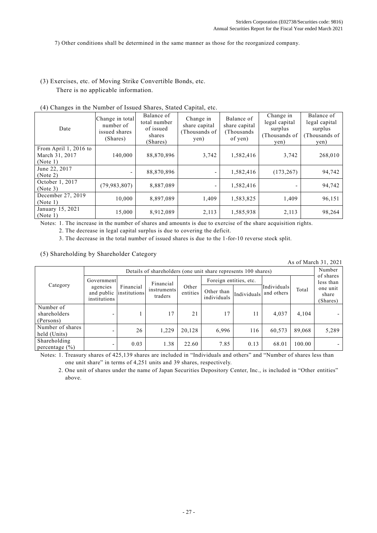7) Other conditions shall be determined in the same manner as those for the reorganized company.

(3) Exercises, etc. of Moving Strike Convertible Bonds, etc. There is no applicable information.

| $\left( \frac{1}{2} \right)$ changes in the Funnoci of Issued Shares, Stated Capfull, etc. |                                                           |                                                               |                                                     |                                                       |                                                                |                                                                 |  |  |  |  |
|--------------------------------------------------------------------------------------------|-----------------------------------------------------------|---------------------------------------------------------------|-----------------------------------------------------|-------------------------------------------------------|----------------------------------------------------------------|-----------------------------------------------------------------|--|--|--|--|
| Date                                                                                       | Change in total<br>number of<br>issued shares<br>(Shares) | Balance of<br>total number<br>of issued<br>shares<br>(Shares) | Change in<br>share capital<br>(Thousands of<br>yen) | Balance of<br>share capital<br>(Thousands)<br>of yen) | Change in<br>legal capital<br>surplus<br>(Thousands of<br>yen) | Balance of<br>legal capital<br>surplus<br>(Thousands of<br>yen) |  |  |  |  |
| From April 1, 2016 to<br>March 31, 2017<br>(Note 1)                                        | 140,000                                                   | 88,870,896                                                    | 3,742                                               | 1,582,416                                             | 3,742                                                          | 268,010                                                         |  |  |  |  |
| June 22, 2017<br>(Note 2)                                                                  |                                                           | 88,870,896                                                    | ۰                                                   | 1,582,416                                             | (173, 267)                                                     | 94,742                                                          |  |  |  |  |
| October 1, 2017<br>(Note 3)                                                                | (79, 983, 807)                                            | 8,887,089                                                     | ۰                                                   | 1,582,416                                             |                                                                | 94,742                                                          |  |  |  |  |
| December 27, 2019<br>(Note 1)                                                              | 10,000                                                    | 8,897,089                                                     | 1.409                                               | 1,583,825                                             | 1,409                                                          | 96,151                                                          |  |  |  |  |
| January 15, 2021<br>(Note 1)                                                               | 15,000                                                    | 8,912,089                                                     | 2,113                                               | 1,585,938                                             | 2,113                                                          | 98,264                                                          |  |  |  |  |

(4) Changes in the Number of Issued Shares, Stated Capital, etc.

Notes: 1. The increase in the number of shares and amounts is due to exercise of the share acquisition rights.

2. The decrease in legal capital surplus is due to covering the deficit.

3. The decrease in the total number of issued shares is due to the 1-for-10 reverse stock split.

(5) Shareholding by Shareholder Category

As of March 31, 2021

| Category                               | Details of shareholders (one unit share represents 100 shares) |                                      |                        |                   |                           |             |                           |        |                               |  |
|----------------------------------------|----------------------------------------------------------------|--------------------------------------|------------------------|-------------------|---------------------------|-------------|---------------------------|--------|-------------------------------|--|
|                                        | Government                                                     |                                      | Financial              |                   | Foreign entities, etc.    |             |                           |        | of shares<br>less than        |  |
|                                        | agencies<br>institutions                                       | Financial<br>and public institutions | instruments<br>traders | Other<br>entities | Other than<br>individuals | Individuals | Individuals<br>and others | Total  | one unit<br>share<br>(Shares) |  |
| Number of<br>shareholders<br>(Persons) | $\overline{\phantom{0}}$                                       |                                      | 17                     | 21                | 17                        | 11          | 4,037                     | 4,104  |                               |  |
| Number of shares<br>held (Units)       |                                                                | 26                                   | 1,229                  | 20,128            | 6,996                     | 116         | 60,573                    | 89,068 | 5,289                         |  |
| Shareholding<br>percentage $(\% )$     |                                                                | 0.03                                 | 1.38                   | 22.60             | 7.85                      | 0.13        | 68.01                     | 100.00 |                               |  |

Notes: 1. Treasury shares of 425,139 shares are included in "Individuals and others" and "Number of shares less than one unit share" in terms of 4,251 units and 39 shares, respectively.

2. One unit of shares under the name of Japan Securities Depository Center, Inc., is included in "Other entities" above.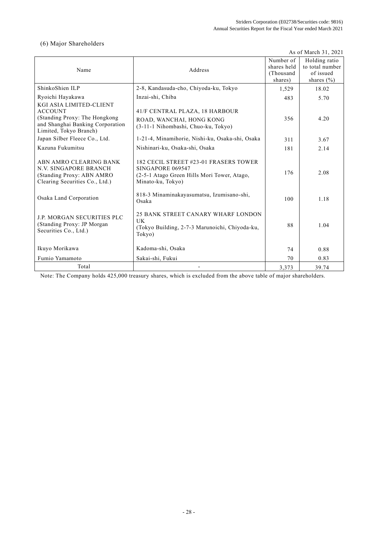## (6) Major Shareholders

As of March 31, 2021

| Name                                                                                                                                     | Address                                                                                                                       | Number of<br>shares held<br>(Thousand<br>shares) | Holding ratio<br>to total number<br>of issued<br>shares $(\% )$ |
|------------------------------------------------------------------------------------------------------------------------------------------|-------------------------------------------------------------------------------------------------------------------------------|--------------------------------------------------|-----------------------------------------------------------------|
| ShinkoShien ILP                                                                                                                          | 2-8, Kandasuda-cho, Chiyoda-ku, Tokyo                                                                                         | 1,529                                            | 18.02                                                           |
| Ryoichi Hayakawa                                                                                                                         | Inzai-shi, Chiba                                                                                                              | 483                                              | 5.70                                                            |
| KGI ASIA LIMITED-CLIENT<br><b>ACCOUNT</b><br>(Standing Proxy: The Hongkong<br>and Shanghai Banking Corporation<br>Limited, Tokyo Branch) | 41/F CENTRAL PLAZA, 18 HARBOUR<br>ROAD, WANCHAI, HONG KONG<br>(3-11-1 Nihombashi, Chuo-ku, Tokyo)                             | 356                                              | 4.20                                                            |
| Japan Silber Fleece Co., Ltd.                                                                                                            | 1-21-4, Minamihorie, Nishi-ku, Osaka-shi, Osaka                                                                               | 311                                              | 3.67                                                            |
| Kazuna Fukumitsu                                                                                                                         | Nishinari-ku, Osaka-shi, Osaka                                                                                                | 181                                              | 2.14                                                            |
| ABN AMRO CLEARING BANK<br><b>N.V. SINGAPORE BRANCH</b><br>(Standing Proxy: ABN AMRO<br>Clearing Securities Co., Ltd.)                    | 182 CECIL STREET #23-01 FRASERS TOWER<br>SINGAPORE 069547<br>(2-5-1 Atago Green Hills Mori Tower, Atago,<br>Minato-ku, Tokyo) | 176                                              | 2.08                                                            |
| Osaka Land Corporation                                                                                                                   | 818-3 Minaminakayasumatsu, Izumisano-shi,<br>Osaka                                                                            | 100                                              | 1.18                                                            |
| <b>J.P. MORGAN SECURITIES PLC</b><br>(Standing Proxy: JP Morgan<br>Securities Co., Ltd.)                                                 | 25 BANK STREET CANARY WHARF LONDON<br>UK<br>(Tokyo Building, 2-7-3 Marunoichi, Chiyoda-ku,<br>Tokyo)                          | 88                                               | 1.04                                                            |
| Ikuyo Morikawa                                                                                                                           | Kadoma-shi, Osaka                                                                                                             | 74                                               | 0.88                                                            |
| Fumio Yamamoto                                                                                                                           | Sakai-shi, Fukui                                                                                                              | 70                                               | 0.83                                                            |
| Total                                                                                                                                    |                                                                                                                               | 3,373                                            | 39.74                                                           |

Note: The Company holds 425,000 treasury shares, which is excluded from the above table of major shareholders.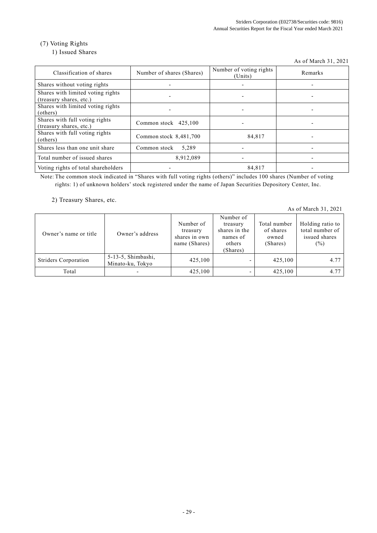## (7) Voting Rights

## 1) Issued Shares

As of March 31, 2021

| Classification of shares                                     | Number of shares (Shares) | Number of voting rights<br>(Units) | Remarks |
|--------------------------------------------------------------|---------------------------|------------------------------------|---------|
| Shares without voting rights                                 |                           |                                    |         |
| Shares with limited voting rights<br>(treasury shares, etc.) |                           |                                    |         |
| Shares with limited voting rights<br>(others)                |                           |                                    |         |
| Shares with full voting rights<br>(treasury shares, etc.)    | Common stock 425,100      |                                    |         |
| Shares with full voting rights<br>(others)                   | Common stock $8,481,700$  | 84,817                             |         |
| Shares less than one unit share                              | 5.289<br>Common stock     |                                    |         |
| Total number of issued shares                                | 8,912,089                 | $\overline{\phantom{0}}$           |         |
| Voting rights of total shareholders                          |                           | 84,817                             |         |

Note: The common stock indicated in "Shares with full voting rights (others)" includes 100 shares (Number of voting rights: 1) of unknown holders' stock registered under the name of Japan Securities Depository Center, Inc.

2) Treasury Shares, etc.

As of March 31, 2021

|                       |                    |               | Number of     |              |                  |
|-----------------------|--------------------|---------------|---------------|--------------|------------------|
|                       |                    | Number of     | treasury      | Total number | Holding ratio to |
| Owner's name or title | Owner's address    | treasury      | shares in the | of shares    | total number of  |
|                       |                    | shares in own | names of      | owned        | issued shares    |
|                       |                    | name (Shares) | others        | (Shares)     | (%)              |
|                       |                    |               | (Shares)      |              |                  |
| Striders Corporation  | 5-13-5, Shimbashi, | 425,100       |               | 425,100      | 4.77             |
|                       | Minato-ku, Tokyo   |               |               |              |                  |
| Total                 |                    | 425,100       | ۰             | 425,100      | 4.77             |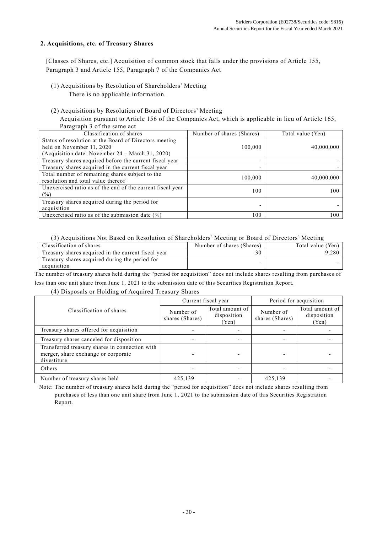## **2. Acquisitions, etc. of Treasury Shares**

[Classes of Shares, etc.] Acquisition of common stock that falls under the provisions of Article 155, Paragraph 3 and Article 155, Paragraph 7 of the Companies Act

- (1) Acquisitions by Resolution of Shareholders' Meeting
	- There is no applicable information.
- (2) Acquisitions by Resolution of Board of Directors' Meeting

Acquisition pursuant to Article 156 of the Companies Act, which is applicable in lieu of Article 165, Paragraph 3 of the same act

| Classification of shares                                   | Number of shares (Shares) | Total value (Yen) |
|------------------------------------------------------------|---------------------------|-------------------|
| Status of resolution at the Board of Directors meeting     |                           |                   |
| held on November 11, 2020                                  | 100,000                   | 40,000,000        |
| (Acquisition date: November $24 - March 31, 2020$ )        |                           |                   |
| Treasury shares acquired before the current fiscal year    | -                         |                   |
| Treasury shares acquired in the current fiscal year        |                           |                   |
| Total number of remaining shares subject to the            | 100,000                   | 40,000,000        |
| resolution and total value thereof                         |                           |                   |
| Unexercised ratio as of the end of the current fiscal year | 100                       | 100               |
| $(\%)$                                                     |                           |                   |
| Treasury shares acquired during the period for             |                           |                   |
| acquisition                                                |                           |                   |
| Unexercised ratio as of the submission date $(\%)$         | 100                       | 100               |

## (3) Acquisitions Not Based on Resolution of Shareholders' Meeting or Board of Directors' Meeting

| Classification of shares                            | Number of shares (Shares) | Total value (Yen) |
|-----------------------------------------------------|---------------------------|-------------------|
| Treasury shares acquired in the current fiscal year |                           |                   |
| Treasury shares acquired during the period for      |                           |                   |
| acquisition                                         |                           |                   |

The number of treasury shares held during the "period for acquisition" does not include shares resulting from purchases of less than one unit share from June 1, 2021 to the submission date of this Securities Registration Report.

## (4) Disposals or Holding of Acquired Treasury Shares

|                                                                                                      |                              | Current fiscal year                     | Period for acquisition       |                                         |  |
|------------------------------------------------------------------------------------------------------|------------------------------|-----------------------------------------|------------------------------|-----------------------------------------|--|
| Classification of shares                                                                             | Number of<br>shares (Shares) | Total amount of<br>disposition<br>(Yen) | Number of<br>shares (Shares) | Total amount of<br>disposition<br>(Yen) |  |
| Treasury shares offered for acquisition                                                              |                              |                                         |                              |                                         |  |
| Treasury shares canceled for disposition                                                             |                              | $\overline{\phantom{0}}$                |                              |                                         |  |
| Transferred treasury shares in connection with<br>merger, share exchange or corporate<br>divestiture |                              |                                         |                              |                                         |  |
| Others                                                                                               |                              |                                         |                              |                                         |  |
| Number of treasury shares held                                                                       | 425,139                      |                                         | 425,139                      |                                         |  |

Note: The number of treasury shares held during the "period for acquisition" does not include shares resulting from purchases of less than one unit share from June 1, 2021 to the submission date of this Securities Registration Report.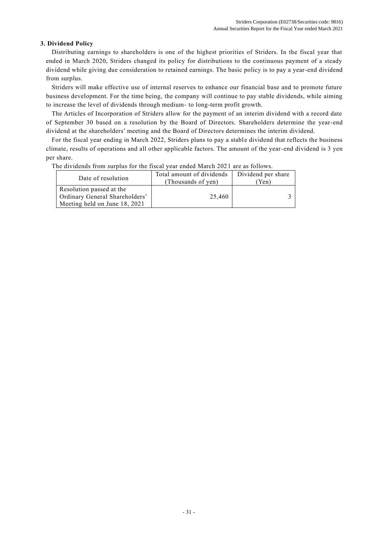## **3. Dividend Policy**

Distributing earnings to shareholders is one of the highest priorities of Striders. In the fiscal year that ended in March 2020, Striders changed its policy for distributions to the continuous payment of a steady dividend while giving due consideration to retained earnings. The basic policy is to pay a year-end dividend from surplus.

Striders will make effective use of internal reserves to enhance our financial base and to promote future business development. For the time being, the company will continue to pay stable dividends, while aiming to increase the level of dividends through medium- to long-term profit growth.

The Articles of Incorporation of Striders allow for the payment of an interim dividend with a record date of September 30 based on a resolution by the Board of Directors. Shareholders determine the year-end dividend at the shareholders' meeting and the Board of Directors determines the interim dividend.

For the fiscal year ending in March 2022, Striders plans to pay a stable dividend that reflects the business climate, results of operations and all other applicable factors. The amount of the year-end dividend is 3 yen per share.

The dividends from surplus for the fiscal year ended March 2021 are as follows.

| Date of resolution                                                                          | Total amount of dividends<br>(Thousands of yen) | Dividend per share<br>Yen) |  |
|---------------------------------------------------------------------------------------------|-------------------------------------------------|----------------------------|--|
| Resolution passed at the<br>Ordinary General Shareholders'<br>Meeting held on June 18, 2021 | 25,460                                          |                            |  |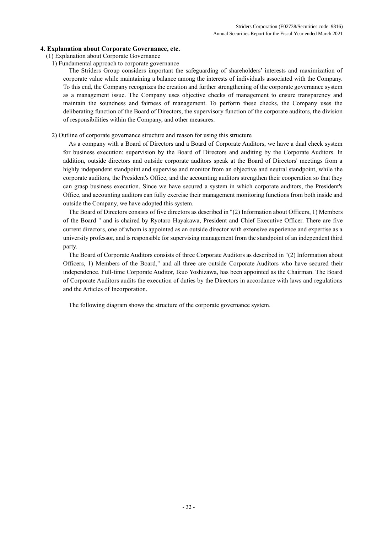## **4. Explanation about Corporate Governance, etc.**

- (1) Explanation about Corporate Governance
	- 1) Fundamental approach to corporate governance

The Striders Group considers important the safeguarding of shareholders' interests and maximization of corporate value while maintaining a balance among the interests of individuals associated with the Company. To this end, the Company recognizes the creation and further strengthening of the corporate governance system as a management issue. The Company uses objective checks of management to ensure transparency and maintain the soundness and fairness of management. To perform these checks, the Company uses the deliberating function of the Board of Directors, the supervisory function of the corporate auditors, the division of responsibilities within the Company, and other measures.

2) Outline of corporate governance structure and reason for using this structure

As a company with a Board of Directors and a Board of Corporate Auditors, we have a dual check system for business execution: supervision by the Board of Directors and auditing by the Corporate Auditors. In addition, outside directors and outside corporate auditors speak at the Board of Directors' meetings from a highly independent standpoint and supervise and monitor from an objective and neutral standpoint, while the corporate auditors, the President's Office, and the accounting auditors strengthen their cooperation so that they can grasp business execution. Since we have secured a system in which corporate auditors, the President's Office, and accounting auditors can fully exercise their management monitoring functions from both inside and outside the Company, we have adopted this system.

The Board of Directors consists of five directors as described in "(2) Information about Officers, 1) Members of the Board " and is chaired by Ryotaro Hayakawa, President and Chief Executive Officer. There are five current directors, one of whom is appointed as an outside director with extensive experience and expertise as a university professor, and is responsible for supervising management from the standpoint of an independent third party.

The Board of Corporate Auditors consists of three Corporate Auditors as described in "(2) Information about Officers, 1) Members of the Board," and all three are outside Corporate Auditors who have secured their independence. Full-time Corporate Auditor, Ikuo Yoshizawa, has been appointed as the Chairman. The Board of Corporate Auditors audits the execution of duties by the Directors in accordance with laws and regulations and the Articles of Incorporation.

The following diagram shows the structure of the corporate governance system.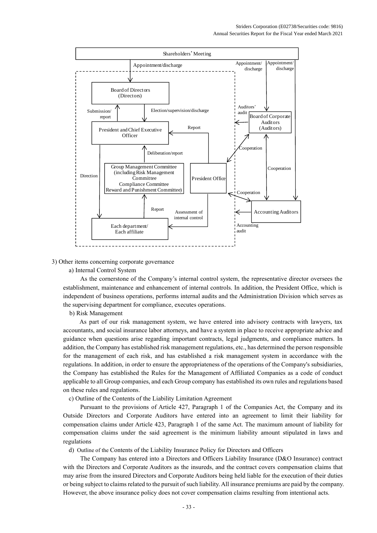

3) Other items concerning corporate governance

a) Internal Control System

As the cornerstone of the Company's internal control system, the representative director oversees the establishment, maintenance and enhancement of internal controls. In addition, the President Office, which is independent of business operations, performs internal audits and the Administration Division which serves as the supervising department for compliance, executes operations.

b) Risk Management

As part of our risk management system, we have entered into advisory contracts with lawyers, tax accountants, and social insurance labor attorneys, and have a system in place to receive appropriate advice and guidance when questions arise regarding important contracts, legal judgments, and compliance matters. In addition, the Company has established risk management regulations, etc., has determined the person responsible for the management of each risk, and has established a risk management system in accordance with the regulations. In addition, in order to ensure the appropriateness of the operations of the Company's subsidiaries, the Company has established the Rules for the Management of Affiliated Companies as a code of conduct applicable to all Group companies, and each Group company has established its own rules and regulations based on these rules and regulations.

c) Outline of the Contents of the Liability Limitation Agreement

Pursuant to the provisions of Article 427, Paragraph 1 of the Companies Act, the Company and its Outside Directors and Corporate Auditors have entered into an agreement to limit their liability for compensation claims under Article 423, Paragraph 1 of the same Act. The maximum amount of liability for compensation claims under the said agreement is the minimum liability amount stipulated in laws and regulations

d) Outline of the Contents of the Liability Insurance Policy for Directors and Officers

The Company has entered into a Directors and Officers Liability Insurance (D&O Insurance) contract with the Directors and Corporate Auditors as the insureds, and the contract covers compensation claims that may arise from the insured Directors and Corporate Auditors being held liable for the execution of their duties or being subject to claims related to the pursuit of such liability. All insurance premiums are paid by the company. However, the above insurance policy does not cover compensation claims resulting from intentional acts.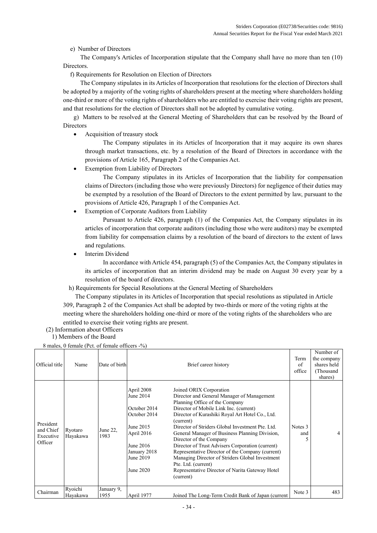e) Number of Directors

The Company's Articles of Incorporation stipulate that the Company shall have no more than ten (10) Directors.

f) Requirements for Resolution on Election of Directors

The Company stipulates in its Articles of Incorporation that resolutions for the election of Directors shall be adopted by a majority of the voting rights of shareholders present at the meeting where shareholders holding one-third or more of the voting rights of shareholders who are entitled to exercise their voting rights are present, and that resolutions for the election of Directors shall not be adopted by cumulative voting.

g) Matters to be resolved at the General Meeting of Shareholders that can be resolved by the Board of Directors

• Acquisition of treasury stock

The Company stipulates in its Articles of Incorporation that it may acquire its own shares through market transactions, etc. by a resolution of the Board of Directors in accordance with the provisions of Article 165, Paragraph 2 of the Companies Act.

Exemption from Liability of Directors

The Company stipulates in its Articles of Incorporation that the liability for compensation claims of Directors (including those who were previously Directors) for negligence of their duties may be exempted by a resolution of the Board of Directors to the extent permitted by law, pursuant to the provisions of Article 426, Paragraph 1 of the Companies Act.

**Exemption of Corporate Auditors from Liability** 

Pursuant to Article 426, paragraph (1) of the Companies Act, the Company stipulates in its articles of incorporation that corporate auditors (including those who were auditors) may be exempted from liability for compensation claims by a resolution of the board of directors to the extent of laws and regulations.

Interim Dividend

In accordance with Article 454, paragraph (5) of the Companies Act, the Company stipulates in its articles of incorporation that an interim dividend may be made on August 30 every year by a resolution of the board of directors.

h) Requirements for Special Resolutions at the General Meeting of Shareholders

 The Company stipulates in its Articles of Incorporation that special resolutions as stipulated in Article 309, Paragraph 2 of the Companies Act shall be adopted by two-thirds or more of the voting rights at the meeting where the shareholders holding one-third or more of the voting rights of the shareholders who are entitled to exercise their voting rights are present.

- (2) Information about Officers
	- 1) Members of the Board

8 males, 0 female (Pct. of female officers -%)

| Official title                                 | Name                | Date of birth      |                                                                                                                                           | Brief career history                                                                                                                                                                                                                                                                                                                                                                                                                                                                                                                                                                                 | Term<br>of<br>office | Number of<br>the company<br>shares held<br>(Thousand<br>shares) |
|------------------------------------------------|---------------------|--------------------|-------------------------------------------------------------------------------------------------------------------------------------------|------------------------------------------------------------------------------------------------------------------------------------------------------------------------------------------------------------------------------------------------------------------------------------------------------------------------------------------------------------------------------------------------------------------------------------------------------------------------------------------------------------------------------------------------------------------------------------------------------|----------------------|-----------------------------------------------------------------|
| President<br>and Chief<br>Executive<br>Officer | Ryotaro<br>Hayakawa | June 22,<br>1983   | April 2008<br>June 2014<br>October 2014<br>October 2014<br>June 2015<br>April 2016<br>June 2016<br>January 2018<br>June 2019<br>June 2020 | Joined ORIX Corporation<br>Director and General Manager of Management<br>Planning Office of the Company<br>Director of Mobile Link Inc. (current)<br>Director of Kurashiki Royal Art Hotel Co., Ltd.<br>(current)<br>Director of Striders Global Investment Pte. Ltd.<br>General Manager of Business Planning Division,<br>Director of the Company<br>Director of Trust Advisers Corporation (current)<br>Representative Director of the Company (current)<br>Managing Director of Striders Global Investment<br>Pte. Ltd. (current)<br>Representative Director of Narita Gateway Hotel<br>(current) | Notes 3<br>and       | 4                                                               |
| Chairman                                       | Ryoichi<br>Hayakawa | January 9,<br>1955 | April 1977                                                                                                                                | Joined The Long-Term Credit Bank of Japan (current                                                                                                                                                                                                                                                                                                                                                                                                                                                                                                                                                   | Note 3               | 483                                                             |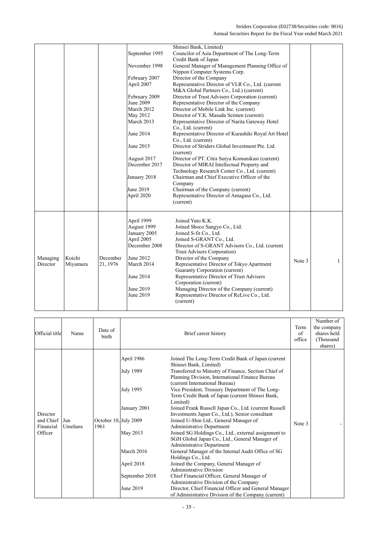|          |          |          |                | Shinsei Bank, Limited)                               |        |              |
|----------|----------|----------|----------------|------------------------------------------------------|--------|--------------|
|          |          |          | September 1995 | Councilor of Asia Department of The Long-Term        |        |              |
|          |          |          |                | Credit Bank of Japan                                 |        |              |
|          |          |          | November 1998  | General Manager of Management Planning Office of     |        |              |
|          |          |          |                | Nippon Computer Systems Corp.                        |        |              |
|          |          |          | February 2007  | Director of the Company                              |        |              |
|          |          |          | April 2007     | Representative Director of VLR Co., Ltd. (current    |        |              |
|          |          |          |                | M&A Global Partners Co., Ltd.) (current)             |        |              |
|          |          |          | February 2009  | Director of Trust Advisers Corporation (current)     |        |              |
|          |          |          | June 2009      | Representative Director of the Company               |        |              |
|          |          |          | March 2012     | Director of Mobile Link Inc. (current)               |        |              |
|          |          |          | May 2012       | Director of Y.K. Masuda Seimen (current)             |        |              |
|          |          |          | March 2013     | Representative Director of Narita Gateway Hotel      |        |              |
|          |          |          |                | Co., Ltd. (current)                                  |        |              |
|          |          |          | June 2014      | Representative Director of Kurashiki Royal Art Hotel |        |              |
|          |          |          |                | Co., Ltd. (current)                                  |        |              |
|          |          |          | June 2015      | Director of Striders Global Investment Pte. Ltd.     |        |              |
|          |          |          |                | (current)                                            |        |              |
|          |          |          | August 2017    | Director of PT. Citra Surya Komunikasi (current)     |        |              |
|          |          |          | December 2017  | Director of MIRAI Intellectual Property and          |        |              |
|          |          |          |                | Technology Research Center Co., Ltd. (current)       |        |              |
|          |          |          | January 2018   | Chairman and Chief Executive Officer of the          |        |              |
|          |          |          |                | Company                                              |        |              |
|          |          |          | June 2019      | Chairman of the Company (current)                    |        |              |
|          |          |          | April 2020     | Representative Director of Amagasa Co., Ltd.         |        |              |
|          |          |          |                | (current)                                            |        |              |
|          |          |          |                |                                                      |        |              |
|          |          |          |                |                                                      |        |              |
|          |          |          | April 1999     | Joined Yuto K.K.                                     |        |              |
|          |          |          | August 1999    | Joined Shoco Sangyo Co., Ltd.                        |        |              |
|          |          |          | January 2005   | Joined S-fit Co., Ltd.                               |        |              |
|          |          |          | April 2005     | Joined S-GRANT Co., Ltd.                             |        |              |
|          |          |          | December 2008  | Director of S-GRANT Advisors Co., Ltd. (current      |        |              |
|          |          |          |                | Trust Advisers Corporation)                          |        |              |
| Managing | Koichi   | December | June 2012      | Director of the Company                              | Note 3 | $\mathbf{1}$ |
| Director | Miyamura | 21, 1976 | March 2014     | Representative Director of Tokyo Apartment           |        |              |
|          |          |          |                | Guaranty Corporation (current)                       |        |              |
|          |          |          | June 2014      | Representative Director of Trust Advisers            |        |              |
|          |          |          |                | Corporation (current)                                |        |              |
|          |          |          | June 2019      | Managing Director of the Company (current)           |        |              |
|          |          |          | June 2019      | Representative Director of ReLive Co., Ltd.          |        |              |
|          |          |          |                | (current)                                            |        |              |
|          |          |          |                |                                                      |        |              |

| Official title                                | Name           | Date of<br>birth              |                                                                                                                             | Brief career history                                                                                                                                                                                                                                                                                                                                                                                                                                                                                                                                                                                                                                                                                                                                                                                                                                                                                                                                                                                                                                   | Term<br>of<br>office | Number of<br>the company<br>shares held<br>(Thousand<br>shares) |
|-----------------------------------------------|----------------|-------------------------------|-----------------------------------------------------------------------------------------------------------------------------|--------------------------------------------------------------------------------------------------------------------------------------------------------------------------------------------------------------------------------------------------------------------------------------------------------------------------------------------------------------------------------------------------------------------------------------------------------------------------------------------------------------------------------------------------------------------------------------------------------------------------------------------------------------------------------------------------------------------------------------------------------------------------------------------------------------------------------------------------------------------------------------------------------------------------------------------------------------------------------------------------------------------------------------------------------|----------------------|-----------------------------------------------------------------|
| Director<br>and Chief<br>Financial<br>Officer | Jun<br>Umehara | October 10, July 2009<br>1961 | April 1986<br>July 1989<br>July 1995<br>January 2001<br>May 2013<br>March 2016<br>April 2018<br>September 2018<br>June 2019 | Joined The Long-Term Credit Bank of Japan (current<br>Shinsei Bank, Limited)<br>Transferred to Ministry of Finance, Section Chief of<br>Planning Division, International Finance Bureau<br>(current International Bureau)<br>Vice President, Treasury Department of The Long-<br>Term Credit Bank of Japan (current Shinsei Bank,<br>Limited)<br>Joined Frank Russell Japan Co., Ltd. (current Russell<br>Investments Japan Co., Ltd.), Senior consultant<br>Joined U-Shin Ltd., General Manager of<br><b>Administrative Department</b><br>Joined SG Holdings Co., Ltd., external assignment to<br>SGH Global Japan Co., Ltd., General Manager of<br><b>Administrative Department</b><br>General Manager of the Internal Audit Office of SG<br>Holdings Co., Ltd.<br>Joined the Company, General Manager of<br><b>Administrative Division</b><br>Chief Financial Officer, General Manager of<br>Administrative Division of the Company<br>Director, Chief Financial Officer and General Manager<br>of Administrative Division of the Company (current) | Note 3               |                                                                 |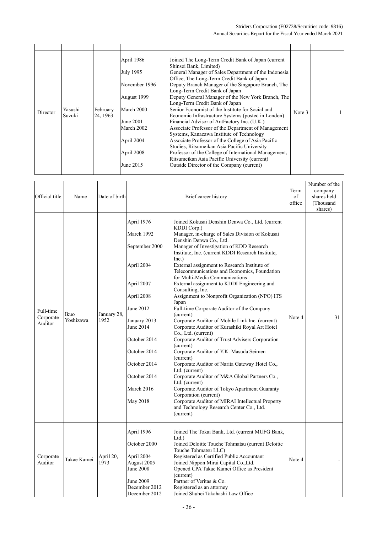| Director | Yasushi<br>Suzuki | February<br>24, 1963 | April 1986<br>July 1995<br>November 1996<br>August 1999<br>March 2000<br>June 2001<br>March 2002<br>April 2004<br>April 2008<br>June 2015 | Joined The Long-Term Credit Bank of Japan (current<br>Shinsei Bank, Limited)<br>General Manager of Sales Department of the Indonesia<br>Office, The Long-Term Credit Bank of Japan<br>Deputy Branch Manager of the Singapore Branch, The<br>Long-Term Credit Bank of Japan<br>Deputy General Manager of the New York Branch, The<br>Long-Term Credit Bank of Japan<br>Senior Economist of the Institute for Social and<br>Economic Infrastructure Systems (posted in London)<br>Financial Advisor of AntFactory Inc. (U.K.)<br>Associate Professor of the Department of Management<br>Systems, Kanazawa Institute of Technology<br>Associate Professor of the College of Asia Pacific<br>Studies, Ritsumeikan Asia Pacific University<br>Professor of the College of International Management,<br>Ritsumeikan Asia Pacific University (current)<br>Outside Director of the Company (current) | Note 3 |  |
|----------|-------------------|----------------------|-------------------------------------------------------------------------------------------------------------------------------------------|----------------------------------------------------------------------------------------------------------------------------------------------------------------------------------------------------------------------------------------------------------------------------------------------------------------------------------------------------------------------------------------------------------------------------------------------------------------------------------------------------------------------------------------------------------------------------------------------------------------------------------------------------------------------------------------------------------------------------------------------------------------------------------------------------------------------------------------------------------------------------------------------|--------|--|

| Official title                    | Name              | Date of birth       |                                                                                                                                                                                                                          | Brief career history                                                                                                                                                                                                                                                                                                                                                                                                                                                                                                                                                                                                                                                                                                                                                                                                                                                                                                                                                                                                                                                                                                                                                | Term<br>of<br>office | Number of the<br>company<br>shares held<br>(Thousand<br>shares) |
|-----------------------------------|-------------------|---------------------|--------------------------------------------------------------------------------------------------------------------------------------------------------------------------------------------------------------------------|---------------------------------------------------------------------------------------------------------------------------------------------------------------------------------------------------------------------------------------------------------------------------------------------------------------------------------------------------------------------------------------------------------------------------------------------------------------------------------------------------------------------------------------------------------------------------------------------------------------------------------------------------------------------------------------------------------------------------------------------------------------------------------------------------------------------------------------------------------------------------------------------------------------------------------------------------------------------------------------------------------------------------------------------------------------------------------------------------------------------------------------------------------------------|----------------------|-----------------------------------------------------------------|
| Full-time<br>Corporate<br>Auditor | Ikuo<br>Yoshizawa | January 28,<br>1952 | April 1976<br>March 1992<br>September 2000<br>April 2004<br>April 2007<br>April 2008<br>June 2012<br>January 2013<br>June 2014<br>October 2014<br>October 2014<br>October 2014<br>October 2014<br>March 2016<br>May 2018 | Joined Kokusai Denshin Denwa Co., Ltd. (current<br>KDDI Corp.)<br>Manager, in-charge of Sales Division of Kokusai<br>Denshin Denwa Co., Ltd.<br>Manager of Investigation of KDD Research<br>Institute, Inc. (current KDDI Research Institute,<br>Inc.)<br>External assignment to Research Institute of<br>Telecommunications and Economics, Foundation<br>for Multi-Media Communications<br>External assignment to KDDI Engineering and<br>Consulting, Inc.<br>Assignment to Nonprofit Organization (NPO) ITS<br>Japan<br>Full-time Corporate Auditor of the Company<br>(current)<br>Corporate Auditor of Mobile Link Inc. (current)<br>Corporate Auditor of Kurashiki Royal Art Hotel<br>Co., Ltd. (current)<br>Corporate Auditor of Trust Advisers Corporation<br>(current)<br>Corporate Auditor of Y.K. Masuda Seimen<br>(current)<br>Corporate Auditor of Narita Gateway Hotel Co.,<br>Ltd. (current)<br>Corporate Auditor of M&A Global Partners Co.,<br>Ltd. (current)<br>Corporate Auditor of Tokyo Apartment Guaranty<br>Corporation (current)<br>Corporate Auditor of MIRAI Intellectual Property<br>and Technology Research Center Co., Ltd.<br>(current) | Note 4               | 31                                                              |
| Corporate<br>Auditor              | Takae Kamei       | April 20,<br>1973   | April 1996<br>October 2000<br>April 2004<br>August 2005<br>June 2008<br><b>June 2009</b><br>December 2012<br>December 2012                                                                                               | Joined The Tokai Bank, Ltd. (current MUFG Bank,<br>Ltd.<br>Joined Deloitte Touche Tohmatsu (current Deloitte<br>Touche Tohmatsu LLC)<br>Registered as Certified Public Accountant<br>Joined Nippon Mirai Capital Co., Ltd.<br>Opened CPA Takae Kamei Office as President<br>(current)<br>Partner of Veritas & Co.<br>Registered as an attorney<br>Joined Shuhei Takahashi Law Office                                                                                                                                                                                                                                                                                                                                                                                                                                                                                                                                                                                                                                                                                                                                                                                | Note 4               |                                                                 |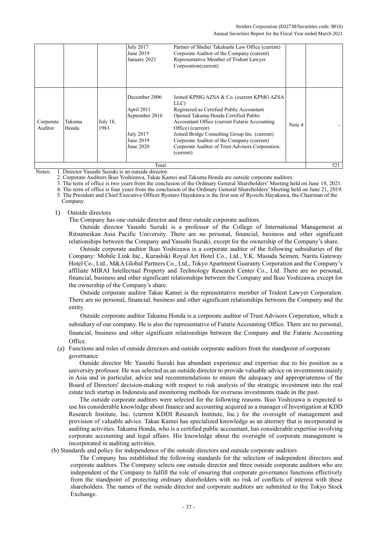|                      |                 |                     | <b>July 2017</b><br>June 2019<br>January 2021                                               | Partner of Shuhei Takahashi Law Office (current)<br>Corporate Auditor of the Company (current)<br>Representative Member of Trident Lawyer<br>Corporation(current)                                                                                                                                                                                                              |        |     |
|----------------------|-----------------|---------------------|---------------------------------------------------------------------------------------------|--------------------------------------------------------------------------------------------------------------------------------------------------------------------------------------------------------------------------------------------------------------------------------------------------------------------------------------------------------------------------------|--------|-----|
| Corporate<br>Auditor | Takuma<br>Honda | July $18$ ,<br>1983 | December 2006<br>April 2011<br>September 2016<br><b>July 2017</b><br>June 2019<br>June 2020 | Joined KPMG AZSA & Co. (current KPMG AZSA)<br>LLC)<br>Registered as Certified Public Accountant<br>Opened Takuma Honda Certified Public<br>Accountant Office (current Futarie Accounting)<br>Office) (current)<br>Joined Bridge Consulting Group Inc. (current)<br>Corporate Auditor of the Company (current)<br>Corporate Auditor of Trust Advisors Corporation.<br>(current) | Note 4 |     |
|                      |                 |                     | Total                                                                                       |                                                                                                                                                                                                                                                                                                                                                                                |        | 521 |

Notes: 1. Director Yasushi Suzuki is an outside director.

2. Corporate Auditors Ikuo Yoshizawa, Takae Kamei and Takuma Honda are outside corporate auditors.

3. The term of office is two years from the conclusion of the Ordinary General Shareholders' Meeting held on June 18, 2021.

4. The term of office is four years from the conclusion of the Ordinary General Shareholders' Meeting held on June 21, 2019.

5. The President and Chief Executive Officer Ryotaro Hayakawa is the first son of Ryoichi Hayakawa, the Chairman of the Company.

#### 1) Outside directors

The Company has one outside director and three outside corporate auditors.

Outside director Yasushi Suzuki is a professor of the College of International Management at Ritsumeikan Asia Pacific University. There are no personal, financial, business and other significant relationships between the Company and Yasushi Suzuki, except for the ownership of the Company's share.

Outside corporate auditor Ikuo Yoshizawa is a corporate auditor of the following subsidiaries of the Company: Mobile Link Inc., Kurashiki Royal Art Hotel Co., Ltd., Y.K. Masuda Seimen, Narita Gateway Hotel Co., Ltd., M&A Global Partners Co., Ltd., Tokyo Apartment Guaranty Corporation and the Company's affiliate MIRAI Intellectual Property and Technology Research Center Co., Ltd. There are no personal, financial, business and other significant relationships between the Company and Ikuo Yoshizawa, except for the ownership of the Company's share.

Outside corporate auditor Takae Kamei is the representative member of Trident Lawyer Corporation. There are no personal, financial, business and other significant relationships between the Company and the entity.

Outside corporate auditor Takuma Honda is a corporate auditor of Trust Advisors Corporation, which a subsidiary of our company. He is also the representative of Futarie Accounting Office. There are no personal, financial, business and other significant relationships between the Company and the Futarie Accounting Office.

(a) Functions and roles of outside directors and outside corporate auditors from the standpoint of corporate governance

Outside director Mr. Yasushi Suzuki has abundant experience and expertise due to his position as a university professor. He was selected as an outside director to provide valuable advice on investments mainly in Asia and in particular, advice and recommendations to ensure the adequacy and appropriateness of the Board of Directors' decision-making with respect to risk analysis of the strategic investment into the real estate tech startup in Indonesia and monitoring methods for overseas investments made in the past.

The outside corporate auditors were selected for the following reasons. Ikuo Yoshizawa is expected to use his considerable knowledge about finance and accounting acquired as a manager of Investigation at KDD Research Institute, Inc. (current KDDI Research Institute, Inc.) for the oversight of management and provision of valuable advice. Takae Kamei has specialized knowledge as an attorney that is incorporated in auditing activities. Takuma Honda, who is a certified public accountant, has considerable expertise involving corporate accounting and legal affairs. His knowledge about the oversight of corporate management is incorporated in auditing activities.

(b) Standards and policy for independence of the outside directors and outside corporate auditors

The Company has established the following standards for the selection of independent directors and corporate auditors. The Company selects one outside director and three outside corporate auditors who are independent of the Company to fulfill the role of ensuring that corporate governance functions effectively from the standpoint of protecting ordinary shareholders with no risk of conflicts of interest with these shareholders. The names of the outside director and corporate auditors are submitted to the Tokyo Stock Exchange.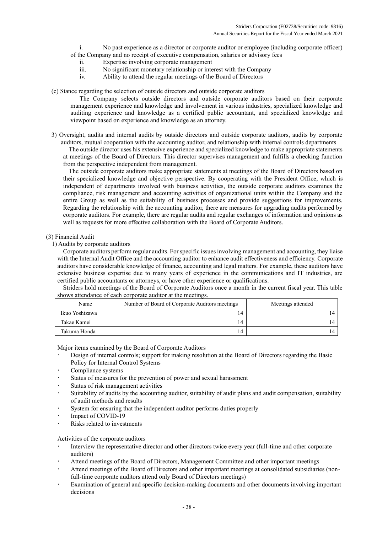- i. No past experience as a director or corporate auditor or employee (including corporate officer)
- of the Company and no receipt of executive compensation, salaries or advisory fees
	- ii. Expertise involving corporate management
	- iii. No significant monetary relationship or interest with the Company
	- iv. Ability to attend the regular meetings of the Board of Directors
- (c) Stance regarding the selection of outside directors and outside corporate auditors

The Company selects outside directors and outside corporate auditors based on their corporate management experience and knowledge and involvement in various industries, specialized knowledge and auditing experience and knowledge as a certified public accountant, and specialized knowledge and viewpoint based on experience and knowledge as an attorney.

3) Oversight, audits and internal audits by outside directors and outside corporate auditors, audits by corporate auditors, mutual cooperation with the accounting auditor, and relationship with internal controls departments

The outside director uses his extensive experience and specialized knowledge to make appropriate statements at meetings of the Board of Directors. This director supervises management and fulfills a checking function from the perspective independent from management.

The outside corporate auditors make appropriate statements at meetings of the Board of Directors based on their specialized knowledge and objective perspective. By cooperating with the President Office, which is independent of departments involved with business activities, the outside corporate auditors examines the compliance, risk management and accounting activities of organizational units within the Company and the entire Group as well as the suitability of business processes and provide suggestions for improvements. Regarding the relationship with the accounting auditor, there are measures for upgrading audits performed by corporate auditors. For example, there are regular audits and regular exchanges of information and opinions as well as requests for more effective collaboration with the Board of Corporate Auditors.

# (3) Financial Audit

1) Audits by corporate auditors

Corporate auditors perform regular audits. For specific issues involving management and accounting, they liaise with the Internal Audit Office and the accounting auditor to enhance audit effectiveness and efficiency. Corporate auditors have considerable knowledge of finance, accounting and legal matters. For example, these auditors have extensive business expertise due to many years of experience in the communications and IT industries, are certified public accountants or attorneys, or have other experience or qualifications.

Striders hold meetings of the Board of Corporate Auditors once a month in the current fiscal year. This table shows attendance of each corporate auditor at the meetings.

| Name           | Number of Board of Corporate Auditors meetings | Meetings attended |
|----------------|------------------------------------------------|-------------------|
| Ikuo Yoshizawa | $\overline{4}$                                 |                   |
| Takae Kamei    | ، 4                                            |                   |
| Takuma Honda   | ، 4                                            |                   |

Major items examined by the Board of Corporate Auditors

- Design of internal controls; support for making resolution at the Board of Directors regarding the Basic Policy for Internal Control Systems
- Compliance systems
- Status of measures for the prevention of power and sexual harassment
- Status of risk management activities
- Suitability of audits by the accounting auditor, suitability of audit plans and audit compensation, suitability of audit methods and results
- System for ensuring that the independent auditor performs duties properly
- Impact of COVID-19
- Risks related to investments

Activities of the corporate auditors

- Interview the representative director and other directors twice every year (full-time and other corporate auditors)
- Attend meetings of the Board of Directors, Management Committee and other important meetings
- Attend meetings of the Board of Directors and other important meetings at consolidated subsidiaries (nonfull-time corporate auditors attend only Board of Directors meetings)
- Examination of general and specific decision-making documents and other documents involving important decisions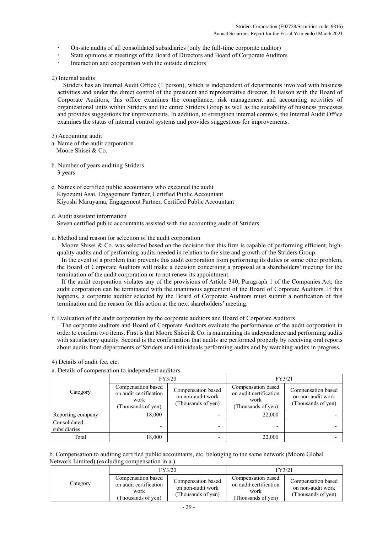- On-site audits of all consolidated subsidiaries (only the full-time corporate auditor)
- State opinions at meetings of the Board of Directors and Board of Corporate Auditors
- Interaction and cooperation with the outside directors

# 2) Internal audits

Striders has an Internal Audit Office (1 person), which is independent of departments involved with business activities and under the direct control of the president and representative director. In liaison with the Board of Corporate Auditors, this office examines the compliance, risk management and accounting activities of organizational units within Striders and the entire Striders Group as well as the suitability of business processes and provides suggestions for improvements. In addition, to strengthen internal controls, the Internal Audit Office examines the status of internal control systems and provides suggestions for improvements.

# 3) Accounting audit

- a. Name of the audit corporation Moore Shisei & Co.
- b. Number of years auditing Striders 3 years
- c. Names of certified public accountants who executed the audit Kiyozumi Asai, Engagement Partner, Certified Public Accountant Kiyoshi Maruyama, Engagement Partner, Certified Public Accountant
- d. Audit assistant information

Seven certified public accountants assisted with the accounting audit of Striders.

e. Method and reason for selection of the audit corporation

Moore Shisei & Co. was selected based on the decision that this firm is capable of performing efficient, highquality audits and of performing audits needed in relation to the size and growth of the Striders Group.

In the event of a problem that prevents this audit corporation from performing its duties or some other problem, the Board of Corporate Auditors will make a decision concerning a proposal at a shareholders' meeting for the termination of the audit corporation or to not renew its appointment.

If the audit corporation violates any of the provisions of Article 340, Paragraph 1 of the Companies Act, the audit corporation can be terminated with the unanimous agreement of the Board of Corporate Auditors. If this happens, a corporate auditor selected by the Board of Corporate Auditors must submit a notification of this termination and the reason for this action at the next shareholders' meeting.

f. Evaluation of the audit corporation by the corporate auditors and Board of Corporate Auditors

The corporate auditors and Board of Corporate Auditors evaluate the performance of the audit corporation in order to confirm two items. First is that Moore Shisei & Co. is maintaining its independence and performing audits with satisfactory quality. Second is the confirmation that audits are performed properly by receiving oral reports about audits from departments of Striders and individuals performing audits and by watching audits in progress.

# 4) Details of audit fee, etc.

a. Details of compensation to independent auditors

|                              |                                                                           | FY3/20                                                        | FY3/21                                                                     |                                                               |
|------------------------------|---------------------------------------------------------------------------|---------------------------------------------------------------|----------------------------------------------------------------------------|---------------------------------------------------------------|
| Category                     | Compensation based<br>on audit certification<br>work<br>Thousands of yen) | Compensation based<br>on non-audit work<br>(Thousands of yen) | Compensation based<br>on audit certification<br>work<br>(Thousands of yen) | Compensation based<br>on non-audit work<br>(Thousands of yen) |
| Reporting company            | 18,000                                                                    |                                                               | 22,000                                                                     |                                                               |
| Consolidated<br>subsidiaries |                                                                           |                                                               |                                                                            |                                                               |
| Total                        | 18,000                                                                    |                                                               | 22,000                                                                     |                                                               |

b. Compensation to auditing certified public accountants, etc. belonging to the same network (Moore Global Network Limited) (excluding compensation in a.)

|          |                                                                           | FY3/20                                                        | FY3/21                                                                     |                                                               |
|----------|---------------------------------------------------------------------------|---------------------------------------------------------------|----------------------------------------------------------------------------|---------------------------------------------------------------|
| Category | Compensation based<br>on audit certification<br>work<br>Thousands of ven) | Compensation based<br>on non-audit work<br>(Thousands of yen) | Compensation based<br>on audit certification<br>work<br>(Thousands of ven) | Compensation based<br>on non-audit work<br>(Thousands of yen) |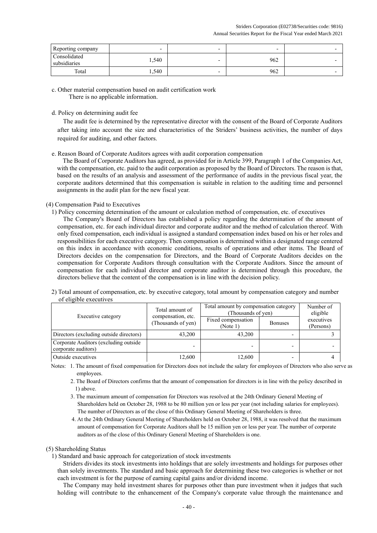| Reporting company            | $\overline{\phantom{0}}$ | -                        | $\overline{\phantom{0}}$ |  |
|------------------------------|--------------------------|--------------------------|--------------------------|--|
| Consolidated<br>subsidiaries | 1,540                    | $\overline{\phantom{0}}$ | 962                      |  |
| Total                        | 1,540                    | $\overline{\phantom{0}}$ | 962                      |  |

c. Other material compensation based on audit certification work There is no applicable information.

# d. Policy on determining audit fee

The audit fee is determined by the representative director with the consent of the Board of Corporate Auditors after taking into account the size and characteristics of the Striders' business activities, the number of days required for auditing, and other factors.

# e. Reason Board of Corporate Auditors agrees with audit corporation compensation

The Board of Corporate Auditors has agreed, as provided for in Article 399, Paragraph 1 of the Companies Act, with the compensation, etc. paid to the audit corporation as proposed by the Board of Directors. The reason is that, based on the results of an analysis and assessment of the performance of audits in the previous fiscal year, the corporate auditors determined that this compensation is suitable in relation to the auditing time and personnel assignments in the audit plan for the new fiscal year.

# (4) Compensation Paid to Executives

1) Policy concerning determination of the amount or calculation method of compensation, etc. of executives

The Company's Board of Directors has established a policy regarding the determination of the amount of compensation, etc. for each individual director and corporate auditor and the method of calculation thereof. With only fixed compensation, each individual is assigned a standard compensation index based on his or her roles and responsibilities for each executive category. Then compensation is determined within a designated range centered on this index in accordance with economic conditions, results of operations and other items. The Board of Directors decides on the compensation for Directors, and the Board of Corporate Auditors decides on the compensation for Corporate Auditors through consultation with the Corporate Auditors. Since the amount of compensation for each individual director and corporate auditor is determined through this procedure, the directors believe that the content of the compensation is in line with the decision policy.

2) Total amount of compensation, etc. by executive category, total amount by compensation category and number of eligible executives

|                                                              | Total amount of                          | Total amount by compensation category<br>(Thousands of yen) | Number of<br>eligible |                         |
|--------------------------------------------------------------|------------------------------------------|-------------------------------------------------------------|-----------------------|-------------------------|
| Executive category                                           | compensation, etc.<br>(Thousands of yen) | Fixed compensation<br>(Note 1)                              | <b>Bonuses</b>        | executives<br>(Persons) |
| Directors (excluding outside directors)                      | 43,200                                   | 43,200                                                      |                       |                         |
| Corporate Auditors (excluding outside<br>corporate auditors) |                                          |                                                             |                       |                         |
| Outside executives                                           | 12,600                                   | 12,600                                                      | -                     |                         |

Notes: 1. The amount of fixed compensation for Directors does not include the salary for employees of Directors who also serve as employees.

- 2. The Board of Directors confirms that the amount of compensation for directors is in line with the policy described in 1) above.
- 3. The maximum amount of compensation for Directors was resolved at the 24th Ordinary General Meeting of Shareholders held on October 28, 1988 to be 80 million yen or less per year (not including salaries for employees). The number of Directors as of the close of this Ordinary General Meeting of Shareholders is three.
- 4. At the 24th Ordinary General Meeting of Shareholders held on October 28, 1988, it was resolved that the maximum amount of compensation for Corporate Auditors shall be 15 million yen or less per year. The number of corporate auditors as of the close of this Ordinary General Meeting of Shareholders is one.

#### (5) Shareholding Status

1) Standard and basic approach for categorization of stock investments

Striders divides its stock investments into holdings that are solely investments and holdings for purposes other than solely investments. The standard and basic approach for determining these two categories is whether or not each investment is for the purpose of earning capital gains and/or dividend income.

The Company may hold investment shares for purposes other than pure investment when it judges that such holding will contribute to the enhancement of the Company's corporate value through the maintenance and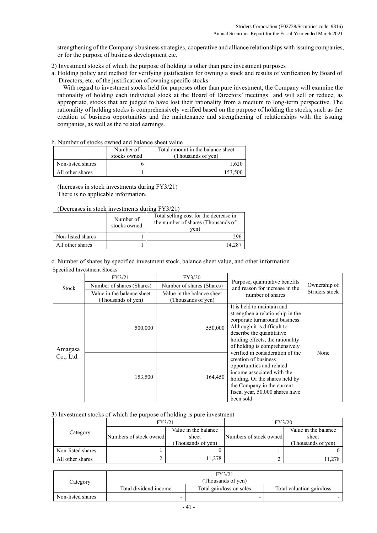strengthening of the Company's business strategies, cooperative and alliance relationships with issuing companies, or for the purpose of business development etc.

- 2) Investment stocks of which the purpose of holding is other than pure investment purposes
- a. Holding policy and method for verifying justification for owning a stock and results of verification by Board of Directors, etc. of the justification of owning specific stocks

With regard to investment stocks held for purposes other than pure investment, the Company will examine the rationality of holding each individual stock at the Board of Directors' meetings and will sell or reduce, as appropriate, stocks that are judged to have lost their rationality from a medium to long-term perspective. The rationality of holding stocks is comprehensively verified based on the purpose of holding the stocks, such as the creation of business opportunities and the maintenance and strengthening of relationships with the issuing companies, as well as the related earnings.

| b. Number of stocks owned and balance sheet value |  |
|---------------------------------------------------|--|
|---------------------------------------------------|--|

|                   | Number of<br>stocks owned | Total amount in the balance sheet<br>(Thousands of yen) |
|-------------------|---------------------------|---------------------------------------------------------|
| Non-listed shares |                           | .620                                                    |
| All other shares  |                           | 153,500                                                 |

(Increases in stock investments during FY3/21) There is no applicable information.

# (Decreases in stock investments during FY3/21)

|                   | Number of<br>stocks owned | Total selling cost for the decrease in<br>the number of shares (Thousands of<br>ven |
|-------------------|---------------------------|-------------------------------------------------------------------------------------|
| Non-listed shares |                           | 296                                                                                 |
| All other shares  |                           | 14 287                                                                              |

c. Number of shares by specified investment stock, balance sheet value, and other information Specified Investment Stocks

|           | FY3/21                                           | FY3/20                                           |                                                                                                                                                                                                                                                                       |                                |
|-----------|--------------------------------------------------|--------------------------------------------------|-----------------------------------------------------------------------------------------------------------------------------------------------------------------------------------------------------------------------------------------------------------------------|--------------------------------|
| Stock     | Number of shares (Shares)                        | Number of shares (Shares)                        | Purpose, quantitative benefits<br>and reason for increase in the                                                                                                                                                                                                      | Ownership of<br>Striders stock |
|           | Value in the balance sheet<br>(Thousands of yen) | Value in the balance sheet<br>(Thousands of yen) | number of shares                                                                                                                                                                                                                                                      |                                |
| Amagasa   | 500,000                                          | 550,000                                          | It is held to maintain and<br>strengthen a relationship in the<br>corporate turnaround business.<br>Although it is difficult to<br>describe the quantitative<br>holding effects, the rationality<br>of holding is comprehensively<br>verified in consideration of the |                                |
| Co., Ltd. | 153,500<br>164,450                               |                                                  | creation of business<br>opportunities and related<br>income associated with the<br>holding. Of the shares held by<br>the Company in the current<br>fiscal year, 50,000 shares have<br>been sold.                                                                      | None                           |

# 3) Investment stocks of which the purpose of holding is pure investment

|                   | FY3/21                 |                      | FY3/20                 |                      |
|-------------------|------------------------|----------------------|------------------------|----------------------|
| Category          |                        | Value in the balance |                        | Value in the balance |
|                   | Numbers of stock owned | sheet                | Numbers of stock owned | sheet                |
|                   |                        | (Thousands of ven)   |                        | (Thousands of ven)   |
| Non-listed shares |                        |                      |                        |                      |
| All other shares  | ∼                      | 11.278               |                        | 11,278               |

|                   |                       | FY3/21                   |                           |  |  |
|-------------------|-----------------------|--------------------------|---------------------------|--|--|
| Category          | (Thousands of yen)    |                          |                           |  |  |
|                   | Total dividend income | Total gain/loss on sales | Total valuation gain/loss |  |  |
| Non-listed shares | -                     |                          |                           |  |  |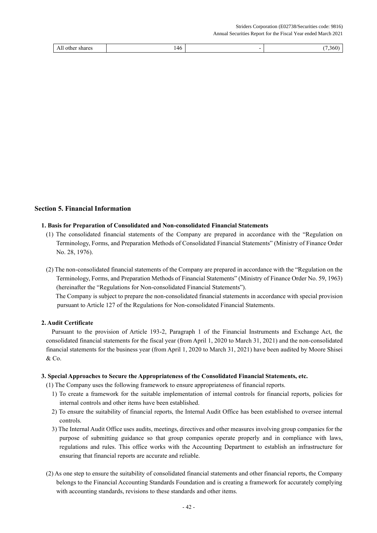| 11<br>shares <sup>-</sup><br>All<br>$\sim$ oult. | 46<br>_<br>$\mathbf{v}$ | 1hl |
|--------------------------------------------------|-------------------------|-----|

# **Section 5. Financial Information**

#### **1. Basis for Preparation of Consolidated and Non-consolidated Financial Statements**

- (1) The consolidated financial statements of the Company are prepared in accordance with the "Regulation on Terminology, Forms, and Preparation Methods of Consolidated Financial Statements" (Ministry of Finance Order No. 28, 1976).
- (2) The non-consolidated financial statements of the Company are prepared in accordance with the "Regulation on the Terminology, Forms, and Preparation Methods of Financial Statements" (Ministry of Finance Order No. 59, 1963) (hereinafter the "Regulations for Non-consolidated Financial Statements"). The Company is subject to prepare the non-consolidated financial statements in accordance with special provision pursuant to Article 127 of the Regulations for Non-consolidated Financial Statements.

#### **2. Audit Certificate**

Pursuant to the provision of Article 193-2, Paragraph 1 of the Financial Instruments and Exchange Act, the consolidated financial statements for the fiscal year (from April 1, 2020 to March 31, 2021) and the non-consolidated financial statements for the business year (from April 1, 2020 to March 31, 2021) have been audited by Moore Shisei & Co.

#### **3. Special Approaches to Secure the Appropriateness of the Consolidated Financial Statements, etc.**

- (1) The Company uses the following framework to ensure appropriateness of financial reports.
	- 1) To create a framework for the suitable implementation of internal controls for financial reports, policies for internal controls and other items have been established.
	- 2) To ensure the suitability of financial reports, the Internal Audit Office has been established to oversee internal controls.
	- 3) The Internal Audit Office uses audits, meetings, directives and other measures involving group companies for the purpose of submitting guidance so that group companies operate properly and in compliance with laws, regulations and rules. This office works with the Accounting Department to establish an infrastructure for ensuring that financial reports are accurate and reliable.
- (2) As one step to ensure the suitability of consolidated financial statements and other financial reports, the Company belongs to the Financial Accounting Standards Foundation and is creating a framework for accurately complying with accounting standards, revisions to these standards and other items.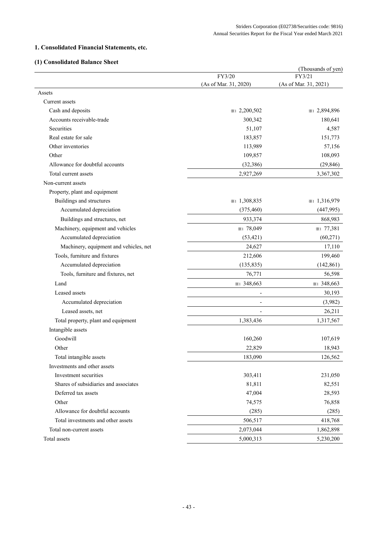# **1. Consolidated Financial Statements, etc.**

# **(1) Consolidated Balance Sheet**

| (1) Consonuateu daiance Sheet          |                       | (Thousands of yen)    |
|----------------------------------------|-----------------------|-----------------------|
|                                        | FY3/20                | FY3/21                |
|                                        | (As of Mar. 31, 2020) | (As of Mar. 31, 2021) |
| Assets                                 |                       |                       |
| Current assets                         |                       |                       |
| Cash and deposits                      | *1 2,200,502          | *1 2,894,896          |
| Accounts receivable-trade              | 300,342               | 180,641               |
| Securities                             | 51,107                | 4,587                 |
| Real estate for sale                   | 183,857               | 151,773               |
| Other inventories                      | 113,989               | 57,156                |
| Other                                  | 109,857               | 108,093               |
| Allowance for doubtful accounts        | (32, 386)             | (29, 846)             |
| Total current assets                   | 2,927,269             | 3,367,302             |
| Non-current assets                     |                       |                       |
| Property, plant and equipment          |                       |                       |
| Buildings and structures               | *1 1,308,835          | *1 1,316,979          |
| Accumulated depreciation               | (375, 460)            | (447, 995)            |
| Buildings and structures, net          | 933,374               | 868,983               |
| Machinery, equipment and vehicles      | *1 78,049             | *1 77,381             |
| Accumulated depreciation               | (53, 421)             | (60,271)              |
| Machinery, equipment and vehicles, net | 24,627                | 17,110                |
| Tools, furniture and fixtures          | 212,606               | 199,460               |
| Accumulated depreciation               | (135, 835)            | (142, 861)            |
| Tools, furniture and fixtures, net     | 76,771                | 56,598                |
| Land                                   | $*1$ 348,663          | $*1$ 348,663          |
| Leased assets                          |                       | 30,193                |
| Accumulated depreciation               | ٠                     | (3,982)               |
| Leased assets, net                     |                       | 26,211                |
| Total property, plant and equipment    | 1,383,436             | 1,317,567             |
| Intangible assets                      |                       |                       |
| Goodwill                               | 160,260               | 107,619               |
| Other                                  | 22,829                | 18,943                |
| Total intangible assets                | 183,090               | 126,562               |
| Investments and other assets           |                       |                       |
| Investment securities                  | 303,411               | 231,050               |
| Shares of subsidiaries and associates  | 81,811                | 82,551                |
| Deferred tax assets                    | 47,004                | 28,593                |
| Other                                  | 74,575                | 76,858                |
| Allowance for doubtful accounts        | (285)                 | (285)                 |
| Total investments and other assets     | 506,517               | 418,768               |
| Total non-current assets               | 2,073,044             | 1,862,898             |
| Total assets                           | 5,000,313             | 5,230,200             |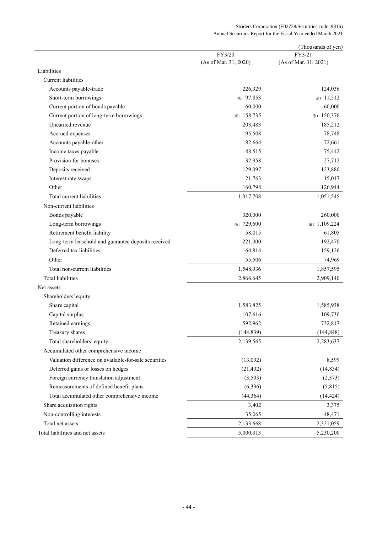|                                                       |                       | (Thousands of yen)    |
|-------------------------------------------------------|-----------------------|-----------------------|
|                                                       | FY3/20                | FY3/21                |
|                                                       | (As of Mar. 31, 2020) | (As of Mar. 31, 2021) |
| Liabilities                                           |                       |                       |
| <b>Current</b> liabilities                            |                       |                       |
| Accounts payable-trade                                | 226,329               | 124,036               |
| Short-term borrowings                                 | *1 97,853             | $\ast$ 11,512         |
| Current portion of bonds payable                      | 60,000                | 60,000                |
| Current portion of long-term borrowings               | *1 158,735            | *1 150,376            |
| Unearned revenue                                      | 203,483               | 185,212               |
| Accrued expenses                                      | 95,508                | 78,748                |
| Accounts payable-other                                | 82,664                | 72,661                |
| Income taxes payable                                  | 48,515                | 75,442                |
| Provision for bonuses                                 | 32,958                | 27,712                |
| Deposits received                                     | 129,097               | 123,880               |
| Interest rate swaps                                   | 21,763                | 15,017                |
| Other                                                 | 160,798               | 126,944               |
| Total current liabilities                             | 1,317,708             | 1,051,545             |
| Non-current liabilities                               |                       |                       |
| Bonds payable                                         | 320,000               | 260,000               |
| Long-term borrowings                                  | *1 729,600            | $*1,109,224$          |
| Retirement benefit liability                          | 58,015                | 61,805                |
| Long-term leasehold and guarantee deposits received   | 221,000               | 192,470               |
| Deferred tax liabilities                              | 164,814               | 159,126               |
| Other                                                 | 55,506                | 74,969                |
| Total non-current liabilities                         | 1,548,936             | 1,857,595             |
| <b>Total liabilities</b>                              | 2,866,645             | 2,909,140             |
| Net assets                                            |                       |                       |
| Shareholders' equity                                  |                       |                       |
| Share capital                                         | 1,583,825             | 1,585,938             |
| Capital surplus                                       | 107,616               | 109,730               |
| Retained earnings                                     | 592,962               | 732,817               |
| Treasury shares                                       | (144, 839)            | (144, 848)            |
| Total shareholders' equity                            | 2,139,565             | 2,283,637             |
| Accumulated other comprehensive income                |                       |                       |
| Valuation difference on available-for-sale securities | (13,092)              | 8,599                 |
| Deferred gains or losses on hedges                    | (21, 432)             | (14, 834)             |
| Foreign currency translation adjustment               | (3,503)               | (2,373)               |
| Remeasurements of defined benefit plans               | (6, 336)              | (5,815)               |
| Total accumulated other comprehensive income          | (44,364)              | (14, 424)             |
| Share acquisition rights                              | 3,402                 | 3,375                 |
|                                                       | 35,065                |                       |
| Non-controlling interests                             |                       | 48,471                |
| Total net assets                                      | 2,133,668             | 2,321,059             |
| Total liabilities and net assets                      | 5,000,313             | 5,230,200             |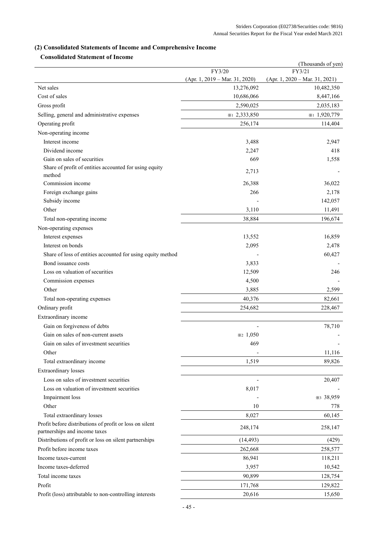# **(2) Consolidated Statements of Income and Comprehensive Income**

# **Consolidated Statement of Income**

|                                                             |                                  | (Thousands of yen)               |
|-------------------------------------------------------------|----------------------------------|----------------------------------|
|                                                             | FY3/20                           | FY3/21                           |
| Net sales                                                   | $(Apr. 1, 2019 - Mar. 31, 2020)$ | $(Apr. 1, 2020 - Mar. 31, 2021)$ |
|                                                             | 13,276,092                       | 10,482,350                       |
| Cost of sales                                               | 10,686,066                       | 8,447,166                        |
| Gross profit                                                | 2,590,025                        | 2,035,183                        |
| Selling, general and administrative expenses                | *1 2,333,850                     | *1 1,920,779                     |
| Operating profit                                            | 256,174                          | 114,404                          |
| Non-operating income                                        |                                  |                                  |
| Interest income                                             | 3,488                            | 2,947                            |
| Dividend income                                             | 2,247                            | 418                              |
| Gain on sales of securities                                 | 669                              | 1,558                            |
| Share of profit of entities accounted for using equity      | 2,713                            |                                  |
| method                                                      |                                  |                                  |
| Commission income                                           | 26,388                           | 36,022                           |
| Foreign exchange gains                                      | 266                              | 2,178                            |
| Subsidy income                                              |                                  | 142,057                          |
| Other                                                       | 3,110                            | 11,491                           |
| Total non-operating income                                  | 38,884                           | 196,674                          |
| Non-operating expenses                                      |                                  |                                  |
| Interest expenses                                           | 13,552                           | 16,859                           |
| Interest on bonds                                           | 2,095                            | 2,478                            |
| Share of loss of entities accounted for using equity method |                                  | 60,427                           |
| Bond issuance costs                                         | 3,833                            |                                  |
| Loss on valuation of securities                             | 12,509                           | 246                              |
| Commission expenses                                         | 4,500                            |                                  |
| Other                                                       | 3,885                            | 2,599                            |
| Total non-operating expenses                                | 40,376                           | 82,661                           |
| Ordinary profit                                             | 254,682                          | 228,467                          |
| Extraordinary income                                        |                                  |                                  |
| Gain on forgiveness of debts                                |                                  | 78,710                           |
| Gain on sales of non-current assets                         | $\frac{1}{2}$ 1,050              |                                  |
| Gain on sales of investment securities                      | 469                              |                                  |
| Other                                                       |                                  | 11,116                           |
| Total extraordinary income                                  | 1,519                            | 89,826                           |
| <b>Extraordinary</b> losses                                 |                                  |                                  |
| Loss on sales of investment securities                      |                                  | 20,407                           |
| Loss on valuation of investment securities                  | 8,017                            |                                  |
| Impairment loss                                             |                                  | *3 38,959                        |
| Other                                                       | 10                               | 778                              |
| Total extraordinary losses                                  | 8,027                            | 60,145                           |
| Profit before distributions of profit or loss on silent     |                                  |                                  |
| partnerships and income taxes                               | 248,174                          | 258,147                          |
| Distributions of profit or loss on silent partnerships      | (14, 493)                        | (429)                            |
| Profit before income taxes                                  | 262,668                          | 258,577                          |
| Income taxes-current                                        | 86,941                           | 118,211                          |
| Income taxes-deferred                                       | 3,957                            | 10,542                           |
| Total income taxes                                          | 90,899                           | 128,754                          |
| Profit                                                      | 171,768                          | 129,822                          |
| Profit (loss) attributable to non-controlling interests     | 20,616                           | 15,650                           |
|                                                             |                                  |                                  |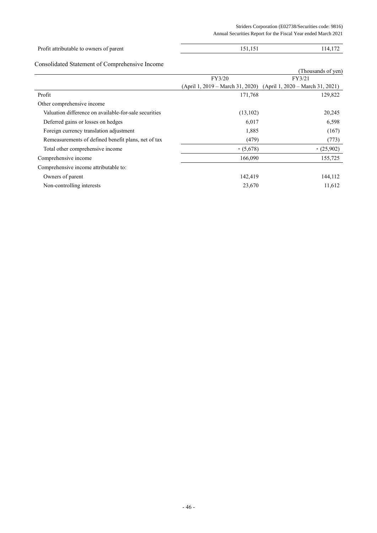# Profit attributable to owners of parent 151,151 114,172

# Consolidated Statement of Comprehensive Income

|                                                       |            | (Thousands of yen)                                                |
|-------------------------------------------------------|------------|-------------------------------------------------------------------|
|                                                       | FY3/20     | FY3/21                                                            |
|                                                       |            | (April 1, 2019 – March 31, 2020) (April 1, 2020 – March 31, 2021) |
| Profit                                                | 171,768    | 129,822                                                           |
| Other comprehensive income                            |            |                                                                   |
| Valuation difference on available-for-sale securities | (13,102)   | 20,245                                                            |
| Deferred gains or losses on hedges                    | 6,017      | 6,598                                                             |
| Foreign currency translation adjustment               | 1,885      | (167)                                                             |
| Remeasurements of defined benefit plans, net of tax   | (479)      | (773)                                                             |
| Total other comprehensive income                      | $*(5,678)$ | $*(25,902)$                                                       |
| Comprehensive income                                  | 166,090    | 155,725                                                           |
| Comprehensive income attributable to:                 |            |                                                                   |
| Owners of parent                                      | 142,419    | 144,112                                                           |
| Non-controlling interests                             | 23,670     | 11,612                                                            |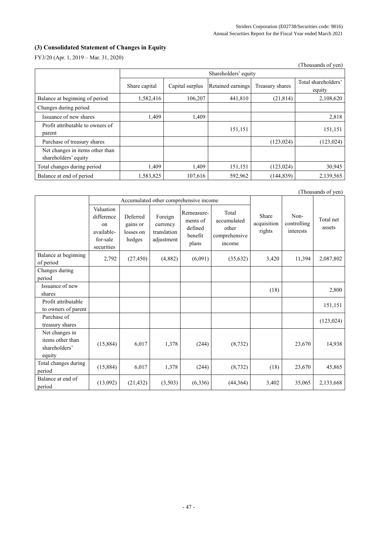# **(3) Consolidated Statement of Changes in Equity**

FY3/20 (Apr. 1, 2019 – Mar. 31, 2020)

|                                                         |               |                      |                   |                 | (Thousands of yen)            |  |
|---------------------------------------------------------|---------------|----------------------|-------------------|-----------------|-------------------------------|--|
|                                                         |               | Shareholders' equity |                   |                 |                               |  |
|                                                         | Share capital | Capital surplus      | Retained earnings | Treasury shares | Total shareholders'<br>equity |  |
| Balance at beginning of period                          | 1,582,416     | 106,207              | 441,810           | (21, 814)       | 2,108,620                     |  |
| Changes during period                                   |               |                      |                   |                 |                               |  |
| Issuance of new shares                                  | 1,409         | 1,409                |                   |                 | 2,818                         |  |
| Profit attributable to owners of<br>parent              |               |                      | 151,151           |                 | 151,151                       |  |
| Purchase of treasury shares                             |               |                      |                   | (123, 024)      | (123, 024)                    |  |
| Net changes in items other than<br>shareholders' equity |               |                      |                   |                 |                               |  |
| Total changes during period                             | 1,409         | 1,409                | 151,151           | (123, 024)      | 30,945                        |  |
| Balance at end of period                                | 1,583,825     | 107,616              | 592,962           | (144, 839)      | 2,139,565                     |  |

|                                                               |                                                                                  |                                             |                                                  |                                                       |                                                          |                                |                                  | (Thousands of yen)  |
|---------------------------------------------------------------|----------------------------------------------------------------------------------|---------------------------------------------|--------------------------------------------------|-------------------------------------------------------|----------------------------------------------------------|--------------------------------|----------------------------------|---------------------|
|                                                               |                                                                                  |                                             |                                                  | Accumulated other comprehensive income                |                                                          |                                |                                  |                     |
|                                                               | Valuation<br>difference<br><sub>on</sub><br>available-<br>for-sale<br>securities | Deferred<br>gains or<br>losses on<br>hedges | Foreign<br>currency<br>translation<br>adjustment | Remeasure-<br>ments of<br>defined<br>benefit<br>plans | Total<br>accumulated<br>other<br>comprehensive<br>income | Share<br>acquisition<br>rights | Non-<br>controlling<br>interests | Total net<br>assets |
| Balance at beginning<br>of period                             | 2,792                                                                            | (27, 450)                                   | (4,882)                                          | (6,091)                                               | (35,632)                                                 | 3,420                          | 11,394                           | 2,087,802           |
| Changes during<br>period                                      |                                                                                  |                                             |                                                  |                                                       |                                                          |                                |                                  |                     |
| Issuance of new<br>shares                                     |                                                                                  |                                             |                                                  |                                                       |                                                          | (18)                           |                                  | 2,800               |
| Profit attributable<br>to owners of parent                    |                                                                                  |                                             |                                                  |                                                       |                                                          |                                |                                  | 151,151             |
| Purchase of<br>treasury shares                                |                                                                                  |                                             |                                                  |                                                       |                                                          |                                |                                  | (123, 024)          |
| Net changes in<br>items other than<br>shareholders'<br>equity | (15,884)                                                                         | 6,017                                       | 1,378                                            | (244)                                                 | (8, 732)                                                 |                                | 23,670                           | 14,938              |
| Total changes during<br>period                                | (15,884)                                                                         | 6,017                                       | 1,378                                            | (244)                                                 | (8, 732)                                                 | (18)                           | 23,670                           | 45,865              |
| Balance at end of<br>period                                   | (13,092)                                                                         | (21, 432)                                   | (3,503)                                          | (6, 336)                                              | (44, 364)                                                | 3,402                          | 35,065                           | 2,133,668           |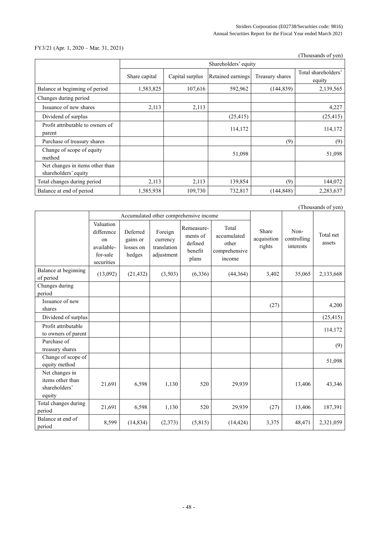# FY3/21 (Apr. 1, 2020 – Mar. 31, 2021)

|                                                         |               |                 |                      |                 | (Thousands of yen)            |
|---------------------------------------------------------|---------------|-----------------|----------------------|-----------------|-------------------------------|
|                                                         |               |                 | Shareholders' equity |                 |                               |
|                                                         | Share capital | Capital surplus | Retained earnings    | Treasury shares | Total shareholders'<br>equity |
| Balance at beginning of period                          | 1,583,825     | 107,616         | 592,962              | (144, 839)      | 2,139,565                     |
| Changes during period                                   |               |                 |                      |                 |                               |
| Issuance of new shares                                  | 2,113         | 2,113           |                      |                 | 4,227                         |
| Dividend of surplus                                     |               |                 | (25, 415)            |                 | (25, 415)                     |
| Profit attributable to owners of<br>parent              |               |                 | 114,172              |                 | 114,172                       |
| Purchase of treasury shares                             |               |                 |                      | (9)             | (9)                           |
| Change of scope of equity<br>method                     |               |                 | 51,098               |                 | 51,098                        |
| Net changes in items other than<br>shareholders' equity |               |                 |                      |                 |                               |
| Total changes during period                             | 2,113         | 2,113           | 139,854              | (9)             | 144,072                       |
| Balance at end of period                                | 1,585,938     | 109,730         | 732,817              | (144, 848)      | 2,283,637                     |

|                                                               |                                                                       |                                             |                                                  |                                                       |                                                          |                                |                                  | (Thousands of yen)  |
|---------------------------------------------------------------|-----------------------------------------------------------------------|---------------------------------------------|--------------------------------------------------|-------------------------------------------------------|----------------------------------------------------------|--------------------------------|----------------------------------|---------------------|
|                                                               |                                                                       | Accumulated other comprehensive income      |                                                  |                                                       |                                                          |                                |                                  |                     |
|                                                               | Valuation<br>difference<br>on<br>available-<br>for-sale<br>securities | Deferred<br>gains or<br>losses on<br>hedges | Foreign<br>currency<br>translation<br>adjustment | Remeasure-<br>ments of<br>defined<br>benefit<br>plans | Total<br>accumulated<br>other<br>comprehensive<br>income | Share<br>acquisition<br>rights | Non-<br>controlling<br>interests | Total net<br>assets |
| Balance at beginning<br>of period                             | (13,092)                                                              | (21, 432)                                   | (3,503)                                          | (6, 336)                                              | (44,364)                                                 | 3,402                          | 35,065                           | 2,133,668           |
| Changes during<br>period                                      |                                                                       |                                             |                                                  |                                                       |                                                          |                                |                                  |                     |
| Issuance of new<br>shares                                     |                                                                       |                                             |                                                  |                                                       |                                                          | (27)                           |                                  | 4,200               |
| Dividend of surplus                                           |                                                                       |                                             |                                                  |                                                       |                                                          |                                |                                  | (25, 415)           |
| Profit attributable<br>to owners of parent                    |                                                                       |                                             |                                                  |                                                       |                                                          |                                |                                  | 114,172             |
| Purchase of<br>treasury shares                                |                                                                       |                                             |                                                  |                                                       |                                                          |                                |                                  | (9)                 |
| Change of scope of<br>equity method                           |                                                                       |                                             |                                                  |                                                       |                                                          |                                |                                  | 51,098              |
| Net changes in<br>items other than<br>shareholders'<br>equity | 21,691                                                                | 6,598                                       | 1,130                                            | 520                                                   | 29,939                                                   |                                | 13,406                           | 43,346              |
| Total changes during<br>period                                | 21,691                                                                | 6,598                                       | 1,130                                            | 520                                                   | 29,939                                                   | (27)                           | 13,406                           | 187,391             |
| Balance at end of<br>period                                   | 8,599                                                                 | (14, 834)                                   | (2,373)                                          | (5,815)                                               | (14, 424)                                                | 3,375                          | 48,471                           | 2,321,059           |

- 48 -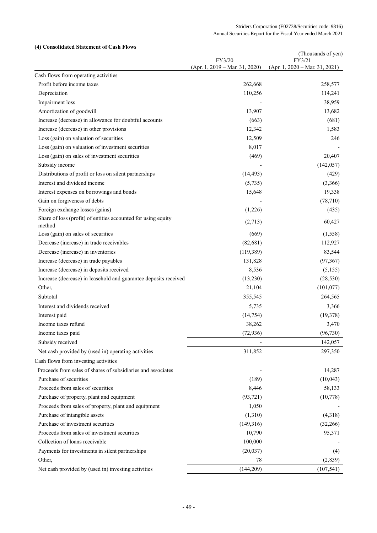# **(4) Consolidated Statement of Cash Flows**

| <i>e</i> onsonuattu stattintiit ol                                      |                                            | (Thousands of yen)                         |
|-------------------------------------------------------------------------|--------------------------------------------|--------------------------------------------|
|                                                                         | FY3/20<br>$(Apr. 1, 2019 - Mar. 31, 2020)$ | FY3/21<br>$(Apr. 1, 2020 - Mar. 31, 2021)$ |
| Cash flows from operating activities                                    |                                            |                                            |
| Profit before income taxes                                              | 262,668                                    | 258,577                                    |
| Depreciation                                                            | 110,256                                    | 114,241                                    |
| Impairment loss                                                         |                                            | 38,959                                     |
| Amortization of goodwill                                                | 13,907                                     | 13,682                                     |
| Increase (decrease) in allowance for doubtful accounts                  | (663)                                      | (681)                                      |
| Increase (decrease) in other provisions                                 | 12,342                                     | 1,583                                      |
| Loss (gain) on valuation of securities                                  | 12,509                                     | 246                                        |
| Loss (gain) on valuation of investment securities                       | 8,017                                      |                                            |
| Loss (gain) on sales of investment securities                           | (469)                                      | 20,407                                     |
| Subsidy income                                                          |                                            | (142, 057)                                 |
| Distributions of profit or loss on silent partnerships                  | (14, 493)                                  | (429)                                      |
| Interest and dividend income                                            | (5,735)                                    | (3,366)                                    |
| Interest expenses on borrowings and bonds                               | 15,648                                     | 19,338                                     |
| Gain on forgiveness of debts                                            |                                            | (78, 710)                                  |
| Foreign exchange losses (gains)                                         | (1,226)                                    | (435)                                      |
| Share of loss (profit) of entities accounted for using equity<br>method | (2,713)                                    | 60,427                                     |
| Loss (gain) on sales of securities                                      | (669)                                      | (1,558)                                    |
| Decrease (increase) in trade receivables                                | (82, 681)                                  | 112,927                                    |
| Decrease (increase) in inventories                                      | (119, 389)                                 | 83,544                                     |
| Increase (decrease) in trade payables                                   | 131,828                                    | (97, 367)                                  |
| Increase (decrease) in deposits received                                | 8,536                                      | (5, 155)                                   |
| Increase (decrease) in leasehold and guarantee deposits received        | (13,230)                                   | (28, 530)                                  |
| Other,                                                                  | 21,104                                     | (101, 077)                                 |
| Subtotal                                                                | 355,545                                    | 264,565                                    |
| Interest and dividends received                                         | 5,735                                      | 3,366                                      |
| Interest paid                                                           | (14, 754)                                  | (19, 378)                                  |
| Income taxes refund                                                     | 38,262                                     | 3,470                                      |
| Income taxes paid                                                       | (72, 936)                                  | (96, 730)                                  |
| Subsidy received                                                        |                                            | 142,057                                    |
| Net cash provided by (used in) operating activities                     | 311,852                                    | 297,350                                    |
| Cash flows from investing activities                                    |                                            |                                            |
| Proceeds from sales of shares of subsidiaries and associates            |                                            | 14,287                                     |
| Purchase of securities                                                  | (189)                                      | (10,043)                                   |
| Proceeds from sales of securities                                       | 8,446                                      | 58,133                                     |
| Purchase of property, plant and equipment                               | (93, 721)                                  | (10,778)                                   |
| Proceeds from sales of property, plant and equipment                    | 1,050                                      |                                            |
| Purchase of intangible assets                                           | (1,310)                                    | (4,318)                                    |
| Purchase of investment securities                                       | (149,316)                                  | (32,266)                                   |
| Proceeds from sales of investment securities                            | 10,790                                     | 95,371                                     |
| Collection of loans receivable                                          | 100,000                                    |                                            |
| Payments for investments in silent partnerships                         | (20, 037)                                  | (4)                                        |
| Other,                                                                  | 78                                         | (2,839)                                    |
| Net cash provided by (used in) investing activities                     | (144, 209)                                 | (107, 541)                                 |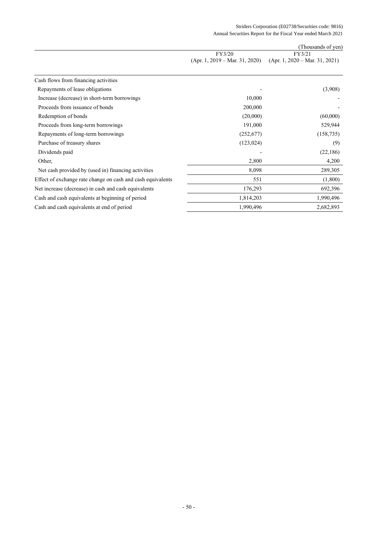## Striders Corporation (E02738/Securities code: 9816) Annual Securities Report for the Fiscal Year ended March 2021

|                                                             |                                  | (Thousands of yen)               |
|-------------------------------------------------------------|----------------------------------|----------------------------------|
|                                                             | FY3/20                           | FY3/21                           |
|                                                             | $(Apr. 1, 2019 - Mar. 31, 2020)$ | $(Apr. 1, 2020 - Mar. 31, 2021)$ |
| Cash flows from financing activities                        |                                  |                                  |
| Repayments of lease obligations                             |                                  | (3,908)                          |
| Increase (decrease) in short-term borrowings                | 10,000                           |                                  |
| Proceeds from issuance of bonds                             | 200,000                          |                                  |
| Redemption of bonds                                         | (20,000)                         | (60,000)                         |
| Proceeds from long-term borrowings                          | 191,000                          | 529,944                          |
| Repayments of long-term borrowings                          | (252,677)                        | (158, 735)                       |
| Purchase of treasury shares                                 | (123, 024)                       | (9)                              |
| Dividends paid                                              |                                  | (22,186)                         |
| Other,                                                      | 2,800                            | 4,200                            |
| Net cash provided by (used in) financing activities         | 8,098                            | 289,305                          |
| Effect of exchange rate change on cash and cash equivalents | 551                              | (1,800)                          |
| Net increase (decrease) in cash and cash equivalents        | 176,293                          | 692,396                          |
| Cash and cash equivalents at beginning of period            | 1,814,203                        | 1,990,496                        |
| Cash and cash equivalents at end of period                  | 1,990,496                        | 2,682,893                        |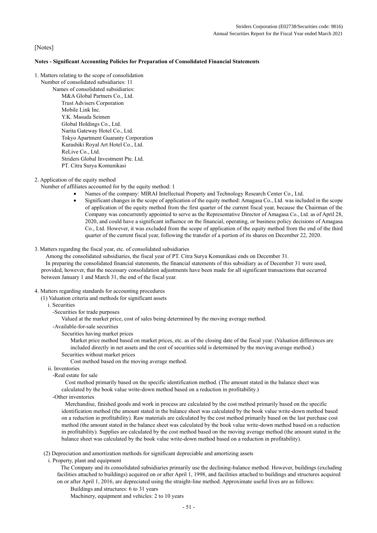# [Notes]

#### **Notes - Significant Accounting Policies for Preparation of Consolidated Financial Statements**

- 1. Matters relating to the scope of consolidation
	- Number of consolidated subsidiaries: 11

Names of consolidated subsidiaries: M&A Global Partners Co., Ltd. Trust Advisers Corporation Mobile Link Inc. Y.K. Masuda Seimen Global Holdings Co., Ltd. Narita Gateway Hotel Co., Ltd. Tokyo Apartment Guaranty Corporation Kurashiki Royal Art Hotel Co., Ltd. ReLive Co., Ltd. Striders Global Investment Pte. Ltd. PT. Citra Surya Komunikasi

2. Application of the equity method

Number of affiliates accounted for by the equity method: 1

- Names of the company: MIRAI Intellectual Property and Technology Research Center Co., Ltd.
- Significant changes in the scope of application of the equity method: Amagasa Co., Ltd. was included in the scope of application of the equity method from the first quarter of the current fiscal year, because the Chairman of the Company was concurrently appointed to serve as the Representative Director of Amagasa Co., Ltd. as of April 28, 2020, and could have a significant influence on the financial, operating, or business policy decisions of Amagasa Co., Ltd. However, it was excluded from the scope of application of the equity method from the end of the third quarter of the current fiscal year, following the transfer of a portion of its shares on December 22, 2020.

#### 3. Matters regarding the fiscal year, etc. of consolidated subsidiaries

Among the consolidated subsidiaries, the fiscal year of PT. Citra Surya Komunikasi ends on December 31.

In preparing the consolidated financial statements, the financial statements of this subsidiary as of December 31 were used, provided, however, that the necessary consolidation adjustments have been made for all significant transactions that occurred between January 1 and March 31, the end of the fiscal year.

#### 4. Matters regarding standards for accounting procedures

(1) Valuation criteria and methods for significant assets

- i. Securities
	- -Securities for trade purposes

Valued at the market price, cost of sales being determined by the moving average method.

- -Available-for-sale securities
	- Securities having market prices

Market price method based on market prices, etc. as of the closing date of the fiscal year. (Valuation differences are included directly in net assets and the cost of securities sold is determined by the moving average method.) Securities without market prices

Cost method based on the moving average method.

- ii. Inventories
	- -Real estate for sale

Cost method primarily based on the specific identification method. (The amount stated in the balance sheet was calculated by the book value write-down method based on a reduction in profitability.)

-Other inventories

Merchandise, finished goods and work in process are calculated by the cost method primarily based on the specific identification method (the amount stated in the balance sheet was calculated by the book value write-down method based on a reduction in profitability). Raw materials are calculated by the cost method primarily based on the last purchase cost method (the amount stated in the balance sheet was calculated by the book value write-down method based on a reduction in profitability). Supplies are calculated by the cost method based on the moving average method (the amount stated in the balance sheet was calculated by the book value write-down method based on a reduction in profitability).

(2) Depreciation and amortization methods for significant depreciable and amortizing assets

i. Property, plant and equipment

The Company and its consolidated subsidiaries primarily use the declining-balance method. However, buildings (excluding facilities attached to buildings) acquired on or after April 1, 1998, and facilities attached to buildings and structures acquired on or after April 1, 2016, are depreciated using the straight-line method. Approximate useful lives are as follows:

Buildings and structures: 6 to 31 years Machinery, equipment and vehicles: 2 to 10 years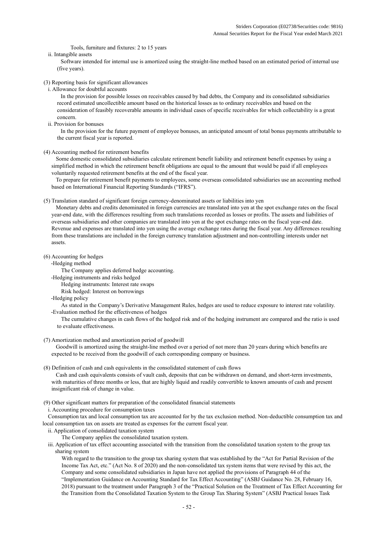Tools, furniture and fixtures: 2 to 15 years

ii. Intangible assets

Software intended for internal use is amortized using the straight-line method based on an estimated period of internal use (five years).

- (3) Reporting basis for significant allowances
	- i. Allowance for doubtful accounts

In the provision for possible losses on receivables caused by bad debts, the Company and its consolidated subsidiaries record estimated uncollectible amount based on the historical losses as to ordinary receivables and based on the consideration of feasibly recoverable amounts in individual cases of specific receivables for which collectability is a great concern.

ii. Provision for bonuses

In the provision for the future payment of employee bonuses, an anticipated amount of total bonus payments attributable to the current fiscal year is reported.

(4) Accounting method for retirement benefits

Some domestic consolidated subsidiaries calculate retirement benefit liability and retirement benefit expenses by using a simplified method in which the retirement benefit obligations are equal to the amount that would be paid if all employees voluntarily requested retirement benefits at the end of the fiscal year.

To prepare for retirement benefit payments to employees, some overseas consolidated subsidiaries use an accounting method based on International Financial Reporting Standards ("IFRS").

#### (5) Translation standard of significant foreign currency-denominated assets or liabilities into yen

Monetary debts and credits denominated in foreign currencies are translated into yen at the spot exchange rates on the fiscal year-end date, with the differences resulting from such translations recorded as losses or profits. The assets and liabilities of overseas subsidiaries and other companies are translated into yen at the spot exchange rates on the fiscal year-end date. Revenue and expenses are translated into yen using the average exchange rates during the fiscal year. Any differences resulting from these translations are included in the foreign currency translation adjustment and non-controlling interests under net assets.

- (6) Accounting for hedges
	- -Hedging method

The Company applies deferred hedge accounting.

-Hedging instruments and risks hedged

Hedging instruments: Interest rate swaps

- Risk hedged: Interest on borrowings
- -Hedging policy

As stated in the Company's Derivative Management Rules, hedges are used to reduce exposure to interest rate volatility. -Evaluation method for the effectiveness of hedges

- The cumulative changes in cash flows of the hedged risk and of the hedging instrument are compared and the ratio is used to evaluate effectiveness.
- (7) Amortization method and amortization period of goodwill

Goodwill is amortized using the straight-line method over a period of not more than 20 years during which benefits are expected to be received from the goodwill of each corresponding company or business.

(8) Definition of cash and cash equivalents in the consolidated statement of cash flows

Cash and cash equivalents consists of vault cash, deposits that can be withdrawn on demand, and short-term investments, with maturities of three months or less, that are highly liquid and readily convertible to known amounts of cash and present insignificant risk of change in value.

(9) Other significant matters for preparation of the consolidated financial statements

i. Accounting procedure for consumption taxes

Consumption tax and local consumption tax are accounted for by the tax exclusion method. Non-deductible consumption tax and local consumption tax on assets are treated as expenses for the current fiscal year.

- ii. Application of consolidated taxation system
	- The Company applies the consolidated taxation system.
- iii. Application of tax effect accounting associated with the transition from the consolidated taxation system to the group tax sharing system

With regard to the transition to the group tax sharing system that was established by the "Act for Partial Revision of the Income Tax Act, etc." (Act No. 8 of 2020) and the non-consolidated tax system items that were revised by this act, the Company and some consolidated subsidiaries in Japan have not applied the provisions of Paragraph 44 of the "Implementation Guidance on Accounting Standard for Tax Effect Accounting" (ASBJ Guidance No. 28, February 16, 2018) pursuant to the treatment under Paragraph 3 of the "Practical Solution on the Treatment of Tax Effect Accounting for the Transition from the Consolidated Taxation System to the Group Tax Sharing System" (ASBJ Practical Issues Task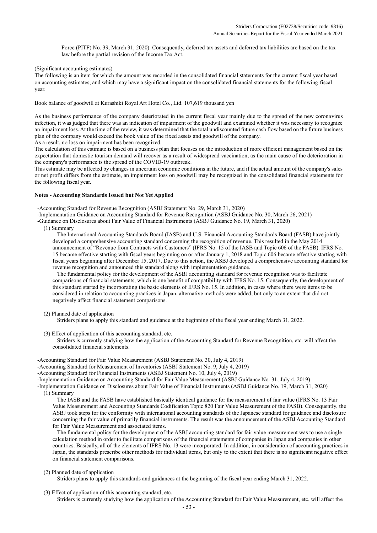Force (PITF) No. 39, March 31, 2020). Consequently, deferred tax assets and deferred tax liabilities are based on the tax law before the partial revision of the Income Tax Act.

(Significant accounting estimates)

The following is an item for which the amount was recorded in the consolidated financial statements for the current fiscal year based on accounting estimates, and which may have a significant impact on the consolidated financial statements for the following fiscal year.

Book balance of goodwill at Kurashiki Royal Art Hotel Co., Ltd. 107,619 thousand yen

As the business performance of the company deteriorated in the current fiscal year mainly due to the spread of the new coronavirus infection, it was judged that there was an indication of impairment of the goodwill and examined whether it was necessary to recognize an impairment loss. At the time of the review, it was determined that the total undiscounted future cash flow based on the future business plan of the company would exceed the book value of the fixed assets and goodwill of the company.

As a result, no loss on impairment has been recognized.

The calculation of this estimate is based on a business plan that focuses on the introduction of more efficient management based on the expectation that domestic tourism demand will recover as a result of widespread vaccination, as the main cause of the deterioration in the company's performance is the spread of the COVID-19 outbreak.

This estimate may be affected by changes in uncertain economic conditions in the future, and if the actual amount of the company's sales or net profit differs from the estimate, an impairment loss on goodwill may be recognized in the consolidated financial statements for the following fiscal year.

#### **Notes - Accounting Standards Issued but Not Yet Applied**

-Accounting Standard for Revenue Recognition (ASBJ Statement No. 29, March 31, 2020)

-Implementation Guidance on Accounting Standard for Revenue Recognition (ASBJ Guidance No. 30, March 26, 2021)

-Guidance on Disclosures about Fair Value of Financial Instruments (ASBJ Guidance No. 19, March 31, 2020)

(1) Summary

The International Accounting Standards Board (IASB) and U.S. Financial Accounting Standards Board (FASB) have jointly developed a comprehensive accounting standard concerning the recognition of revenue. This resulted in the May 2014 announcement of "Revenue from Contracts with Customers" (IFRS No. 15 of the IASB and Topic 606 of the FASB). IFRS No. 15 became effective starting with fiscal years beginning on or after January 1, 2018 and Topic 606 became effective starting with fiscal years beginning after December 15, 2017. Due to this action, the ASBJ developed a comprehensive accounting standard for revenue recognition and announced this standard along with implementation guidance.

The fundamental policy for the development of the ASBJ accounting standard for revenue recognition was to facilitate comparisons of financial statements, which is one benefit of compatibility with IFRS No. 15. Consequently, the development of this standard started by incorporating the basic elements of IFRS No. 15. In addition, in cases where there were items to be considered in relation to accounting practices in Japan, alternative methods were added, but only to an extent that did not negatively affect financial statement comparisons.

(2) Planned date of application

Striders plans to apply this standard and guidance at the beginning of the fiscal year ending March 31, 2022.

(3) Effect of application of this accounting standard, etc.

Striders is currently studying how the application of the Accounting Standard for Revenue Recognition, etc. will affect the consolidated financial statements.

-Accounting Standard for Fair Value Measurement (ASBJ Statement No. 30, July 4, 2019)

-Accounting Standard for Measurement of Inventories (ASBJ Statement No. 9, July 4, 2019)

-Accounting Standard for Financial Instruments (ASBJ Statement No. 10, July 4, 2019)

-Implementation Guidance on Accounting Standard for Fair Value Measurement (ASBJ Guidance No. 31, July 4, 2019)

-Implementation Guidance on Disclosures about Fair Value of Financial Instruments (ASBJ Guidance No. 19, March 31, 2020) (1) Summary

The IASB and the FASB have established basically identical guidance for the measurement of fair value (IFRS No. 13 Fair Value Measurement and Accounting Standards Codification Topic 820 Fair Value Measurement of the FASB). Consequently, the ASBJ took steps for the conformity with international accounting standards of the Japanese standard for guidance and disclosure concerning the fair value of primarily financial instruments. The result was the announcement of the ASBJ Accounting Standard for Fair Value Measurement and associated items.

The fundamental policy for the development of the ASBJ accounting standard for fair value measurement was to use a single calculation method in order to facilitate comparisons of the financial statements of companies in Japan and companies in other countries. Basically, all of the elements of IFRS No. 13 were incorporated. In addition, in consideration of accounting practices in Japan, the standards prescribe other methods for individual items, but only to the extent that there is no significant negative effect on financial statement comparisons.

#### (2) Planned date of application

Striders plans to apply this standards and guidances at the beginning of the fiscal year ending March 31, 2022.

(3) Effect of application of this accounting standard, etc. Striders is currently studying how the application of the Accounting Standard for Fair Value Measurement, etc. will affect the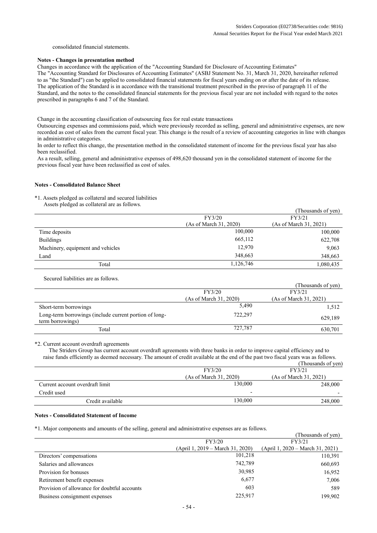consolidated financial statements.

#### **Notes - Changes in presentation method**

Changes in accordance with the application of the "Accounting Standard for Disclosure of Accounting Estimates" The "Accounting Standard for Disclosures of Accounting Estimates" (ASBJ Statement No. 31, March 31, 2020, hereinafter referred to as "the Standard") can be applied to consolidated financial statements for fiscal years ending on or after the date of its release. The application of the Standard is in accordance with the transitional treatment prescribed in the proviso of paragraph 11 of the Standard, and the notes to the consolidated financial statements for the previous fiscal year are not included with regard to the notes prescribed in paragraphs 6 and 7 of the Standard.

Change in the accounting classification of outsourcing fees for real estate transactions

Outsourcing expenses and commissions paid, which were previously recorded as selling, general and administrative expenses, are now recorded as cost of sales from the current fiscal year. This change is the result of a review of accounting categories in line with changes in administrative categories.

In order to reflect this change, the presentation method in the consolidated statement of income for the previous fiscal year has also been reclassified.

As a result, selling, general and administrative expenses of 498,620 thousand yen in the consolidated statement of income for the previous fiscal year have been reclassified as cost of sales.

#### **Notes - Consolidated Balance Sheet**

\*1. Assets pledged as collateral and secured liabilities

Assets pledged as collateral are as follows.

|                                   |                        | (Thousands of yen)     |
|-----------------------------------|------------------------|------------------------|
|                                   | FY3/20                 | FY3/21                 |
|                                   | (As of March 31, 2020) | (As of March 31, 2021) |
| Time deposits                     | 100,000                | 100,000                |
| <b>Buildings</b>                  | 665,112                | 622,708                |
| Machinery, equipment and vehicles | 12.970                 | 9,063                  |
| Land                              | 348,663                | 348,663                |
| Total                             | 1,126,746              | 1,080,435              |

Secured liabilities are as follows.

|                                                                            |                        | (Thousands of yen)     |
|----------------------------------------------------------------------------|------------------------|------------------------|
|                                                                            | FY3/20                 | FY3/21                 |
|                                                                            | (As of March 31, 2020) | (As of March 31, 2021) |
| Short-term borrowings                                                      | 5,490                  | 1,512                  |
| Long-term borrowings (include current portion of long-<br>term borrowings) | 722,297                | 629,189                |
| Total                                                                      | 727,787                | 630.701                |

#### \*2. Current account overdraft agreements

The Striders Group has current account overdraft agreements with three banks in order to improve capital efficiency and to raise funds efficiently as deemed necessary. The amount of credit available at the end of the past two fiscal years was as follows. (Thousands of yen)

|                                 |                          | $1.10$ would be $1.41$ |
|---------------------------------|--------------------------|------------------------|
|                                 | FY3/20                   | FY3/21                 |
|                                 | (As of March 31, 2020)   | (As of March 31, 2021) |
| Current account overdraft limit | 130,000                  | 248,000                |
| Credit used                     | $\overline{\phantom{0}}$ |                        |
| Credit available                | 130.000                  | 248,000                |
|                                 |                          |                        |

#### **Notes - Consolidated Statement of Income**

\*1. Major components and amounts of the selling, general and administrative expenses are as follows.

|                                              |                                  | (Thousands of yen)                 |
|----------------------------------------------|----------------------------------|------------------------------------|
|                                              | FY3/20                           | FY3/21                             |
|                                              | (April 1, 2019 – March 31, 2020) | $(April 1, 2020 - March 31, 2021)$ |
| Directors' compensations                     | 101,218                          | 110,391                            |
| Salaries and allowances                      | 742.789                          | 660,693                            |
| Provision for bonuses                        | 30,985                           | 16,952                             |
| Retirement benefit expenses                  | 6,677                            | 7,006                              |
| Provision of allowance for doubtful accounts | 603                              | 589                                |
| Business consignment expenses                | 225.917                          | 199.902                            |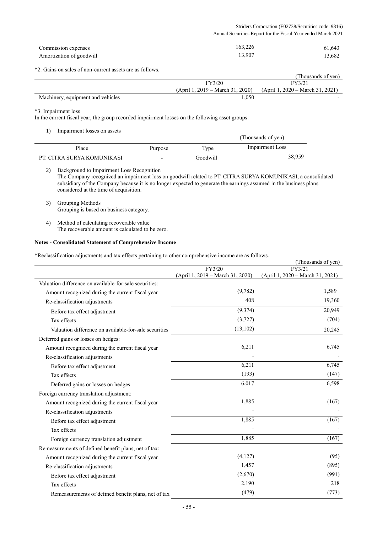#### Striders Corporation (E02738/Securities code: 9816) Annual Securities Report for the Fiscal Year ended March 2021

| Commission expenses      | 163,226 | 61,643 |
|--------------------------|---------|--------|
| Amortization of goodwill | 13,907  | 13,682 |

\*2. Gains on sales of non-current assets are as follows.

|                                   |                                    | (Thousands of ven)                 |
|-----------------------------------|------------------------------------|------------------------------------|
|                                   | FY3/20                             | FY3/21                             |
|                                   | $(April 1, 2019 - March 31, 2020)$ | $(April 1, 2020 - March 31, 2021)$ |
| Machinery, equipment and vehicles | .050                               |                                    |

\*3. Impairment loss

 $\overline{a}$ 

In the current fiscal year, the group recorded impairment losses on the following asset groups:

1) Impairment losses on assets

| - 1<br>The millions report on model |                          |          | (Thousands of yen) |  |
|-------------------------------------|--------------------------|----------|--------------------|--|
| Place                               | Purpose                  | Type     | Impairment Loss    |  |
| PT. CITRA SURYA KOMUNIKASI          | $\overline{\phantom{0}}$ | Goodwill | 38,959             |  |

2) Background to Impairment Loss Recognition The Company recognized an impairment loss on goodwill related to PT. CITRA SURYA KOMUNIKASI, a consolidated subsidiary of the Company because it is no longer expected to generate the earnings assumed in the business plans considered at the time of acquisition.

3) Grouping Methods Grouping is based on business category.

4) Method of calculating recoverable value The recoverable amount is calculated to be zero.

# **Notes - Consolidated Statement of Comprehensive Income**

\*Reclassification adjustments and tax effects pertaining to other comprehensive income are as follows.

|                                                        |                                  | (Thousands of yen)               |
|--------------------------------------------------------|----------------------------------|----------------------------------|
|                                                        | FY3/20                           | FY3/21                           |
|                                                        | (April 1, 2019 – March 31, 2020) | (April 1, 2020 – March 31, 2021) |
| Valuation difference on available-for-sale securities: |                                  |                                  |
| Amount recognized during the current fiscal year       | (9,782)                          | 1,589                            |
| Re-classification adjustments                          | 408                              | 19,360                           |
| Before tax effect adjustment                           | (9,374)                          | 20,949                           |
| Tax effects                                            | (3, 727)                         | (704)                            |
| Valuation difference on available-for-sale securities  | (13, 102)                        | 20,245                           |
| Deferred gains or losses on hedges:                    |                                  |                                  |
| Amount recognized during the current fiscal year       | 6,211                            | 6,745                            |
| Re-classification adjustments                          |                                  |                                  |
| Before tax effect adjustment                           | 6,211                            | 6,745                            |
| Tax effects                                            | (193)                            | (147)                            |
| Deferred gains or losses on hedges                     | 6,017                            | 6,598                            |
| Foreign currency translation adjustment:               |                                  |                                  |
| Amount recognized during the current fiscal year       | 1,885                            | (167)                            |
| Re-classification adjustments                          |                                  |                                  |
| Before tax effect adjustment                           | 1,885                            | (167)                            |
| Tax effects                                            |                                  |                                  |
| Foreign currency translation adjustment                | 1,885                            | (167)                            |
| Remeasurements of defined benefit plans, net of tax:   |                                  |                                  |
| Amount recognized during the current fiscal year       | (4,127)                          | (95)                             |
| Re-classification adjustments                          | 1,457                            | (895)                            |
| Before tax effect adjustment                           | (2,670)                          | (991)                            |
| Tax effects                                            | 2,190                            | 218                              |
| Remeasurements of defined benefit plans, net of tax    | (479)                            | (773)                            |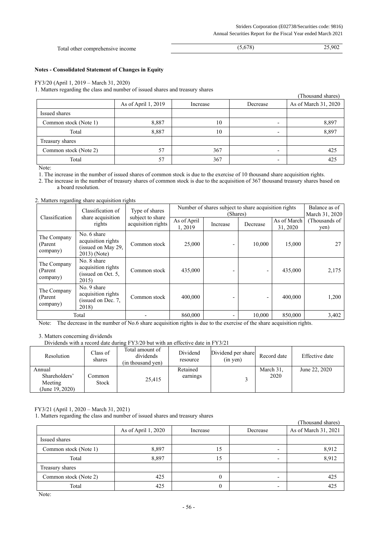| <b>Total</b><br>I other comprehensive income | 770. | $90^\circ$ |
|----------------------------------------------|------|------------|

# **Notes - Consolidated Statement of Changes in Equity**

#### FY3/20 (April 1, 2019 – March 31, 2020)

1. Matters regarding the class and number of issued shares and treasury shares

|                       |                     |          |                          | (Thousand shares)    |
|-----------------------|---------------------|----------|--------------------------|----------------------|
|                       | As of April 1, 2019 | Increase | Decrease                 | As of March 31, 2020 |
| Issued shares         |                     |          |                          |                      |
| Common stock (Note 1) | 8,887               | 10       |                          | 8,897                |
| Total                 | 8,887               | 10       | $\overline{\phantom{0}}$ | 8,897                |
| Treasury shares       |                     |          |                          |                      |
| Common stock (Note 2) | 57                  | 367      | $\overline{\phantom{0}}$ | 425                  |
| Total                 | 57                  | 367      | -                        | 425                  |

Note:

1. The increase in the number of issued shares of common stock is due to the exercise of 10 thousand share acquisition rights.

2. The increase in the number of treasury shares of common stock is due to the acquisition of 367 thousand treasury shares based on a board resolution.

#### 2. Matters regarding share acquisition rights

|                                     | Classification of<br>Type of shares<br>Classification                   |                                        | Number of shares subject to share acquisition rights<br>(Shares) |          |          |                         | Balance as of<br>March 31, 2020 |
|-------------------------------------|-------------------------------------------------------------------------|----------------------------------------|------------------------------------------------------------------|----------|----------|-------------------------|---------------------------------|
|                                     | share acquisition<br>rights                                             | subject to share<br>acquisition rights | As of April<br>1,2019                                            | Increase | Decrease | As of March<br>31, 2020 | (Thousands of<br>yen)           |
| The Company<br>(Parent<br>company)  | No. 6 share<br>acquisition rights<br>(issued on May 29,<br>2013) (Note) | Common stock                           | 25,000                                                           |          | 10,000   | 15,000                  |                                 |
| The Company<br>(Parent)<br>company) | No. 8 share<br>acquisition rights<br>(issued on Oct. 5,<br>2015)        | Common stock                           | 435,000                                                          |          |          | 435,000                 | 2,175                           |
| The Company<br>(Parent)<br>company) | No. 9 share<br>acquisition rights<br>(issued on Dec. 7,<br>2018)        | Common stock                           | 400,000                                                          |          | -        | 400,000                 | 1,200                           |
|                                     | Total                                                                   |                                        | 860,000                                                          | ٠        | 10,000   | 850,000                 | 3,402                           |

Note: The decrease in the number of No.6 share acquisition rights is due to the exercise of the share acquisition rights.

#### 3. Matters concerning dividends

Dividends with a record date during FY3/20 but with an effective date in FY3/21

| Resolution                                            | Class of<br>shares | Total amount of<br>dividends<br>(in thousand ven) | Dividend<br>resource | Dividend per share<br>$(in$ yen) | Record date       | Effective date |
|-------------------------------------------------------|--------------------|---------------------------------------------------|----------------------|----------------------------------|-------------------|----------------|
| Annual<br>Shareholders'<br>Meeting<br>(June 19, 2020) | Common<br>Stock    | 25.415                                            | Retained<br>earnings |                                  | March 31,<br>2020 | June 22, 2020  |

## FY3/21 (April 1, 2020 – March 31, 2021)

1. Matters regarding the class and number of issued shares and treasury shares

|                       |                     |              |                          | (Thousand shares)    |
|-----------------------|---------------------|--------------|--------------------------|----------------------|
|                       | As of April 1, 2020 | Increase     | Decrease                 | As of March 31, 2021 |
| Issued shares         |                     |              |                          |                      |
| Common stock (Note 1) | 8,897               | 15           |                          | 8,912                |
| Total                 | 8,897               | 15           | $\overline{\phantom{a}}$ | 8,912                |
| Treasury shares       |                     |              |                          |                      |
| Common stock (Note 2) | 425                 | $\mathbf{0}$ | $\overline{\phantom{0}}$ | 425                  |
| Total                 | 425                 | 0            |                          | 425                  |

Note: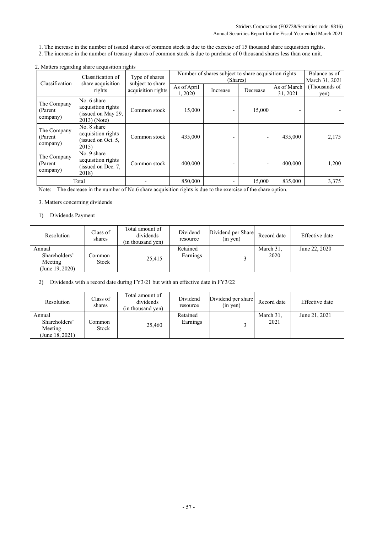- 1. The increase in the number of issued shares of common stock is due to the exercise of 15 thousand share acquisition rights.
- 2. The increase in the number of treasury shares of common stock is due to purchase of 0 thousand shares less than one unit.

|                                     | Classification of                                                        | Type of shares                         | Number of shares subject to share acquisition rights | Balance as of<br>March 31, 2021 |          |                         |                       |
|-------------------------------------|--------------------------------------------------------------------------|----------------------------------------|------------------------------------------------------|---------------------------------|----------|-------------------------|-----------------------|
| Classification                      | share acquisition<br>rights                                              | subject to share<br>acquisition rights | As of April<br>1,2020                                | Increase                        | Decrease | As of March<br>31, 2021 | (Thousands of<br>yen) |
| The Company<br>(Parent<br>company)  | No. 6 share<br>acquisition rights<br>(issued on May 29,<br>$2013$ (Note) | Common stock                           | 15,000                                               |                                 | 15,000   |                         |                       |
| The Company<br>(Parent)<br>company) | No. 8 share<br>acquisition rights<br>(issued on Oct. 5,<br>2015)         | Common stock                           | 435,000                                              |                                 |          | 435,000                 | 2,175                 |
| The Company<br>(Parent<br>company)  | No. 9 share<br>acquisition rights<br>(issued on Dec. 7,<br>2018)         | Common stock                           | 400,000                                              |                                 |          | 400,000                 | 1,200                 |
|                                     | Total                                                                    |                                        | 850,000                                              | -                               | 15,000   | 835,000                 | 3,375                 |

## 2. Matters regarding share acquisition rights

Note: The decrease in the number of No.6 share acquisition rights is due to the exercise of the share option.

## 3. Matters concerning dividends

# 1) Dividends Payment

| Resolution                                            | Class of<br>shares | Total amount of<br>dividends<br>(in thousand yen) | Dividend<br>resource | Dividend per Share<br>$(in$ yen $)$ | Record date       | Effective date |
|-------------------------------------------------------|--------------------|---------------------------------------------------|----------------------|-------------------------------------|-------------------|----------------|
| Annual<br>Shareholders'<br>Meeting<br>(June 19, 2020) | .`ommon<br>Stock   | 25,415                                            | Retained<br>Earnings |                                     | March 31,<br>2020 | June 22, 2020  |

2) Dividends with a record date during FY3/21 but with an effective date in FY3/22

| Resolution                                            | Class of<br>shares | Total amount of<br>dividends<br>(in thousand ven) | Dividend<br>resource | Dividend per share<br>$(in \text{ yen})$ | Record date       | Effective date |
|-------------------------------------------------------|--------------------|---------------------------------------------------|----------------------|------------------------------------------|-------------------|----------------|
| Annual<br>Shareholders'<br>Meeting<br>(June 18, 2021) | .`ommon<br>Stock   | 25,460                                            | Retained<br>Earnings |                                          | March 31,<br>2021 | June 21, 2021  |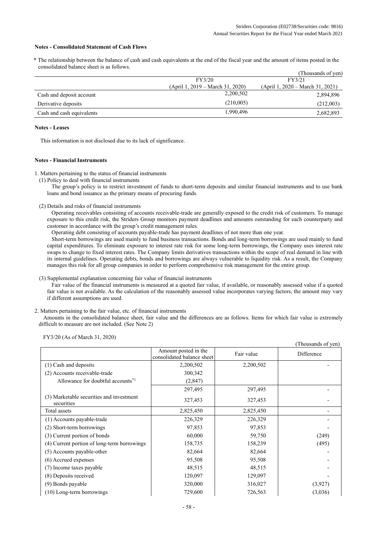## **Notes - Consolidated Statement of Cash Flows**

\* The relationship between the balance of cash and cash equivalents at the end of the fiscal year and the amount of items posted in the consolidated balance sheet is as follows.

|                           |                                    | (Thousands of yen)                 |
|---------------------------|------------------------------------|------------------------------------|
|                           | FY3/20                             | FY3/21                             |
|                           | $(April 1, 2019 - March 31, 2020)$ | $(April 1, 2020 - March 31, 2021)$ |
| Cash and deposit account  | 2,200,502                          | 2,894,896                          |
| Derivative deposits       | (210,005)                          | (212,003)                          |
| Cash and cash equivalents | 1,990,496                          | 2,682,893                          |

#### **Notes - Leases**

This information is not disclosed due to its lack of significance.

#### **Notes - Financial Instruments**

1. Matters pertaining to the status of financial instruments

(1) Policy to deal with financial instruments

The group's policy is to restrict investment of funds to short-term deposits and similar financial instruments and to use bank loans and bond issuance as the primary means of procuring funds.

(2) Details and risks of financial instruments

Operating receivables consisting of accounts receivable-trade are generally exposed to the credit risk of customers. To manage exposure to this credit risk, the Striders Group monitors payment deadlines and amounts outstanding for each counterparty and customer in accordance with the group's credit management rules.

Operating debt consisting of accounts payable-trade has payment deadlines of not more than one year.

Short-term borrowings are used mainly to fund business transactions. Bonds and long-term borrowings are used mainly to fund capital expenditures. To eliminate exposure to interest rate risk for some long-term borrowings, the Company uses interest rate swaps to change to fixed interest rates. The Company limits derivatives transactions within the scope of real demand in line with its internal guidelines. Operating debts, bonds and borrowings are always vulnerable to liquidity risk. As a result, the Company manages this risk for all group companies in order to perform comprehensive risk management for the entire group.

(3) Supplemental explanation concerning fair value of financial instruments

Fair value of the financial instruments is measured at a quoted fair value, if available, or reasonably assessed value if a quoted fair value is not available. As the calculation of the reasonably assessed value incorporates varying factors, the amount may vary if different assumptions are used.

#### 2. Matters pertaining to the fair value, etc. of financial instruments

Amounts in the consolidated balance sheet, fair value and the differences are as follows. Items for which fair value is extremely difficult to measure are not included. (See Note 2)

FY3/20 (As of March 31, 2020)

|                                                        |                                                    |            | (Thousands of yen) |
|--------------------------------------------------------|----------------------------------------------------|------------|--------------------|
|                                                        | Amount posted in the<br>consolidated balance sheet | Fair value | Difference         |
| (1) Cash and deposits                                  | 2,200,502                                          | 2,200,502  |                    |
| (2) Accounts receivable-trade                          | 300,342                                            |            |                    |
| Allowance for doubtful accounts <sup>*1</sup>          | (2,847)                                            |            |                    |
|                                                        | 297,495                                            | 297,495    |                    |
| (3) Marketable securities and investment<br>securities | 327,453                                            | 327,453    |                    |
| Total assets                                           | 2,825,450                                          | 2,825,450  |                    |
| (1) Accounts payable-trade                             | 226,329                                            | 226,329    |                    |
| (2) Short-term borrowings                              | 97,853                                             | 97,853     |                    |
| (3) Current portion of bonds                           | 60,000                                             | 59,750     | (249)              |
| (4) Current portion of long-term borrowings            | 158,735                                            | 158,239    | (495)              |
| (5) Accounts payable-other                             | 82,664                                             | 82,664     |                    |
| (6) Accrued expenses                                   | 95,508                                             | 95,508     |                    |
| (7) Income taxes payable                               | 48,515                                             | 48,515     |                    |
| (8) Deposits received                                  | 120,097                                            | 129,097    |                    |
| (9) Bonds payable                                      | 320,000                                            | 316,027    | (3,927)            |
| $(10)$ Long-term borrowings                            | 729,600                                            | 726,563    | (3,036)            |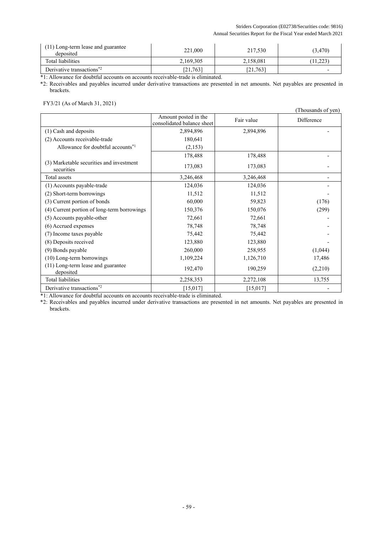## Striders Corporation (E02738/Securities code: 9816) Annual Securities Report for the Fiscal Year ended March 2021

| (11) Long-term lease and guarantee<br>deposited   | 221,000   | 217,530   | (3, 470) |
|---------------------------------------------------|-----------|-----------|----------|
| Total liabilities                                 | 2,169,305 | 2,158,081 | 1,223    |
| Derivative transactions <sup><math>2</math></sup> | [21,763]  | [21,763]  |          |

\*1: Allowance for doubtful accounts on accounts receivable-trade is eliminated.

\*2: Receivables and payables incurred under derivative transactions are presented in net amounts. Net payables are presented in brackets.

# FY3/21 (As of March 31, 2021)

|                                                        |                                                    |            | (Thousands of yen) |
|--------------------------------------------------------|----------------------------------------------------|------------|--------------------|
|                                                        | Amount posted in the<br>consolidated balance sheet | Fair value | Difference         |
| (1) Cash and deposits                                  | 2,894,896                                          | 2,894,896  |                    |
| (2) Accounts receivable-trade                          | 180,641                                            |            |                    |
| Allowance for doubtful accounts <sup>*1</sup>          | (2,153)                                            |            |                    |
|                                                        | 178,488                                            | 178,488    |                    |
| (3) Marketable securities and investment<br>securities | 173,083                                            | 173,083    |                    |
| Total assets                                           | 3,246,468                                          | 3,246,468  | -                  |
| (1) Accounts payable-trade                             | 124,036                                            | 124,036    |                    |
| (2) Short-term borrowings                              | 11,512                                             | 11,512     |                    |
| (3) Current portion of bonds                           | 60,000                                             | 59,823     | (176)              |
| (4) Current portion of long-term borrowings            | 150,376                                            | 150,076    | (299)              |
| (5) Accounts payable-other                             | 72,661                                             | 72,661     |                    |
| (6) Accrued expenses                                   | 78,748                                             | 78,748     |                    |
| (7) Income taxes payable                               | 75,442                                             | 75,442     |                    |
| (8) Deposits received                                  | 123,880                                            | 123,880    |                    |
| (9) Bonds payable                                      | 260,000                                            | 258,955    | (1,044)            |
| $(10)$ Long-term borrowings                            | 1,109,224                                          | 1,126,710  | 17,486             |
| (11) Long-term lease and guarantee<br>deposited        | 192,470                                            | 190,259    | (2,210)            |
| <b>Total liabilities</b>                               | 2,258,353                                          | 2,272,108  | 13,755             |
| Derivative transactions <sup>*2</sup>                  | [15,017]                                           | [15,017]   |                    |

\*1: Allowance for doubtful accounts on accounts receivable-trade is eliminated.

\*2: Receivables and payables incurred under derivative transactions are presented in net amounts. Net payables are presented in brackets.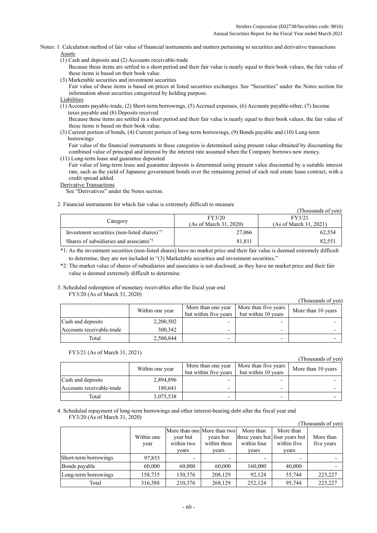Notes: 1. Calculation method of fair value of financial instruments and matters pertaining to securities and derivative transactions Assets

(1) Cash and deposits and (2) Accounts receivable-trade

Because these items are settled in a short period and their fair value is nearly equal to their book values, the fair value of these items is based on their book value.

(3) Marketable securities and investment securities

Fair value of these items is based on prices at listed securities exchanges. See "Securities" under the Notes section for information about securities categorized by holding purpose.

(1) Accounts payable-trade, (2) Short-term borrowings, (5) Accrued expenses, (6) Accounts payable-other, (7) Income taxes payable and (8) Deposits received

Because these items are settled in a short period and their fair value is nearly equal to their book values, the fair value of these items is based on their book value.

(3) Current portion of bonds, (4) Current portion of long-term borrowings, (9) Bonds payable and (10) Long-term borrowings

Fair value of the financial instruments in these categories is determined using present value obtained by discounting the combined value of principal and interest by the interest rate assumed when the Company borrows new money.

(11) Long-term lease and guarantee deposited

Fair value of long-term lease and guarantee deposits is determined using present value discounted by a suitable interest rate, such as the yield of Japanese government bonds over the remaining period of each real estate lease contract, with a credit spread added.

Derivative Transactions

See "Derivatives" under the Notes section.

## 2. Financial instruments for which fair value is extremely difficult to measure

|                                                         |                        | (Thousands of yen)     |  |
|---------------------------------------------------------|------------------------|------------------------|--|
|                                                         | FY3/20                 | FY3/21                 |  |
| Category                                                | (As of March 31, 2020) | (As of March 31, 2021) |  |
| Investment securities (non-listed shares) <sup>*1</sup> | 27,066                 | 62.554                 |  |
| Shares of subsidiaries and associates <sup>*2</sup>     | 81.811                 | 82.551                 |  |

\*1: As the investment securities (non-listed shares) have no market price and their fair value is deemed extremely difficult to determine, they are not included in "(3) Marketable securities and investment securities."

\*2: The market value of shares of subsidiaries and associates is not disclosed, as they have no market price and their fair value is deemed extremely difficult to determine.

# 3. Scheduled redemption of monetary receivables after the fiscal year end

FY3/20 (As of March 31, 2020)

|                           |                 |                                             |                                             | (Thousands of yen) |
|---------------------------|-----------------|---------------------------------------------|---------------------------------------------|--------------------|
|                           | Within one year | More than one year<br>but within five years | More than five years<br>but within 10 years | More than 10 years |
| Cash and deposits         | 2,200,502       |                                             |                                             |                    |
| Accounts receivable-trade | 300,342         |                                             |                                             |                    |
| Total                     | 2,500,844       |                                             |                                             |                    |

#### FY3/21 (As of March 31, 2021)

(Thousands of yen)

|                           | Within one year | More than one year<br>but within five vears | More than five years<br>but within 10 years | More than 10 years |
|---------------------------|-----------------|---------------------------------------------|---------------------------------------------|--------------------|
| Cash and deposits         | 2,894,896       |                                             |                                             |                    |
| Accounts receivable-trade | 180.641         |                                             |                                             |                    |
| Total                     | 3,075,538       |                                             |                                             |                    |

4. Scheduled repayment of long-term borrowings and other interest-bearing debt after the fiscal year end FY3/20 (As of March 31, 2020)

|                       |            |                             |              |                                |             | (Thousands of yen) |
|-----------------------|------------|-----------------------------|--------------|--------------------------------|-------------|--------------------|
|                       |            | More than one More than two |              | More than                      | More than   |                    |
|                       | Within one | year but                    | years but    | three years but four years but |             | More than          |
|                       | year       | within two                  | within three | within four                    | within five | five years         |
|                       |            | vears                       | vears        | vears                          | vears       |                    |
| Short-term borrowings | 97,853     | -                           |              |                                |             |                    |
| Bonds payable         | 60,000     | 60,000                      | 60,000       | 160,000                        | 40,000      |                    |
| Long-term borrowings  | 158,735    | 150,376                     | 208,129      | 92.124                         | 55,744      | 223,227            |
| Total                 | 316,588    | 210,376                     | 268,129      | 252,124                        | 95.744      | 223,227            |

Liabilities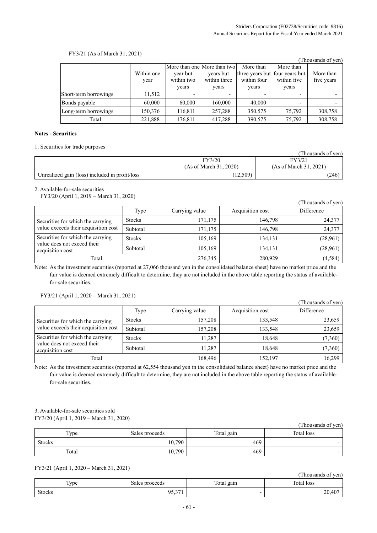$(T1 \t 1 \t 0)$ 

# FY3/21 (As of March 31, 2021)

|                       |            |                             |              |                                |             | (Thousands of yen) |
|-----------------------|------------|-----------------------------|--------------|--------------------------------|-------------|--------------------|
|                       |            | More than one More than two |              | More than                      | More than   |                    |
|                       | Within one | year but                    | years but    | three years but four years but |             | More than          |
|                       | year       | within two                  | within three | within four                    | within five | five years         |
|                       |            | vears                       | vears        | vears                          | vears       |                    |
| Short-term borrowings | 11,512     | $\overline{\phantom{0}}$    |              |                                | -           |                    |
| Bonds payable         | 60,000     | 60,000                      | 160,000      | 40,000                         | -           |                    |
| Long-term borrowings  | 150,376    | 116,811                     | 257,288      | 350,575                        | 75,792      | 308,758            |
| Total                 | 221,888    | 176,811                     | 417,288      | 390,575                        | 75,792      | 308,758            |

# **Notes - Securities**

1. Securities for trade purposes

|                                                |                        | Thousands of year      |
|------------------------------------------------|------------------------|------------------------|
|                                                | FY3/20                 | FY3/21                 |
|                                                | (As of March 31, 2020) | (As of March 31, 2021) |
| Unrealized gain (loss) included in profit/loss | (12, 509)              | (246)                  |

2. Available-for-sale securities

FY3/20 (April 1, 2019 – March 31, 2020)

|                                                                                      |               |                |                  | (Thousands of yen) |
|--------------------------------------------------------------------------------------|---------------|----------------|------------------|--------------------|
|                                                                                      | Type          | Carrying value | Acquisition cost | Difference         |
| Securities for which the carrying                                                    | <b>Stocks</b> | 171,175        | 146.798          | 24,377             |
| value exceeds their acquisition cost                                                 | Subtotal      | 171,175        | 146,798          | 24,377             |
| Securities for which the carrying<br>value does not exceed their<br>acquisition cost | <b>Stocks</b> | 105,169        | 134,131          | (28,961)           |
|                                                                                      | Subtotal      | 105,169        | 134,131          | (28,961)           |
| Total                                                                                |               | 276,345        | 280,929          | (4,584)            |

Note: As the investment securities (reported at 27,066 thousand yen in the consolidated balance sheet) have no market price and the fair value is deemed extremely difficult to determine, they are not included in the above table reporting the status of availablefor-sale securities.

FY3/21 (April 1, 2020 – March 31, 2021)

|                                                                           |               |                |                  | (Thousands of yen) |
|---------------------------------------------------------------------------|---------------|----------------|------------------|--------------------|
|                                                                           | Type          | Carrying value | Acquisition cost | Difference         |
| Securities for which the carrying<br>value exceeds their acquisition cost | <b>Stocks</b> | 157,208        | 133,548          | 23,659             |
|                                                                           | Subtotal      | 157,208        | 133,548          | 23,659             |
| Securities for which the carrying                                         | <b>Stocks</b> | 11,287         | 18,648           | (7,360)            |
| value does not exceed their<br>acquisition cost                           | Subtotal      | 11,287         | 18,648           | (7,360)            |
| Total                                                                     |               | 168,496        | 152,197          | 16,299             |

Note: As the investment securities (reported at 62,554 thousand yen in the consolidated balance sheet) have no market price and the fair value is deemed extremely difficult to determine, they are not included in the above table reporting the status of availablefor-sale securities.

# 3. Available-for-sale securities sold FY3/20 (April 1, 2019 – March 31, 2020)

|               |                |            | (Thousands of yen) |
|---------------|----------------|------------|--------------------|
| Type          | Sales proceeds | Total gain | Total loss         |
| <b>Stocks</b> | 10,790         | 469        |                    |
| Total         | 10,790         | 469        |                    |

FY3/21 (April 1, 2020 – March 31, 2021)

| $\sim$ $\sim$<br>____ |                 |            | (Thousands of yen) |
|-----------------------|-----------------|------------|--------------------|
| T <sub>VDC</sub>      | Sales proceeds  | Total gain | Total loss         |
| <b>Stocks</b>         | 05.371<br>,,,,, |            | 20,407             |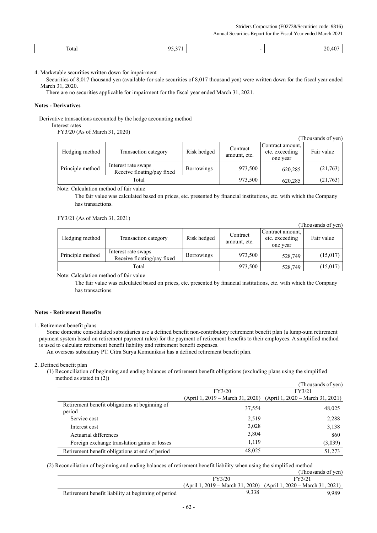Striders Corporation (E02738/Securities code: 9816) Annual Securities Report for the Fiscal Year ended March 2021

| $\Delta E = \Delta E$<br>Total<br>ັ້ |  | 20.46<br>__ |
|--------------------------------------|--|-------------|
|--------------------------------------|--|-------------|

4. Marketable securities written down for impairment

Securities of 8,017 thousand yen (available-for-sale securities of 8,017 thousand yen) were written down for the fiscal year ended March 31, 2020.

There are no securities applicable for impairment for the fiscal year ended March 31, 2021.

#### **Notes - Derivatives**

Derivative transactions accounted by the hedge accounting method

Interest rates

FY3/20 (As of March 31, 2020)

|                  |                                                   |                   |                          |                                                | (Thousands of yen) |
|------------------|---------------------------------------------------|-------------------|--------------------------|------------------------------------------------|--------------------|
| Hedging method   | Transaction category                              | Risk hedged       | Contract<br>amount, etc. | Contract amount,<br>etc. exceeding<br>one year | Fair value         |
| Principle method | Interest rate swaps<br>Receive floating/pay fixed | <b>Borrowings</b> | 973,500                  | 620,285                                        | (21,763)           |
|                  | Total                                             |                   | 973,500                  | 620,285                                        | (21,763)           |

Note: Calculation method of fair value

The fair value was calculated based on prices, etc. presented by financial institutions, etc. with which the Company has transactions.

FY3/21 (As of March 31, 2021)

|                  |                                                   |                   |                          |                                                | (Thousands of yen) |
|------------------|---------------------------------------------------|-------------------|--------------------------|------------------------------------------------|--------------------|
| Hedging method   | Transaction category                              | Risk hedged       | Contract<br>amount, etc. | Contract amount,<br>etc. exceeding<br>one year | Fair value         |
| Principle method | Interest rate swaps<br>Receive floating/pay fixed | <b>Borrowings</b> | 973,500                  | 528,749                                        | (15,017)           |
|                  | Total                                             |                   | 973,500                  | 528,749                                        | (15,017)           |

Note: Calculation method of fair value

The fair value was calculated based on prices, etc. presented by financial institutions, etc. with which the Company has transactions.

#### **Notes - Retirement Benefits**

Some domestic consolidated subsidiaries use a defined benefit non-contributory retirement benefit plan (a lump-sum retirement payment system based on retirement payment rules) for the payment of retirement benefits to their employees. A simplified method is used to calculate retirement benefit liability and retirement benefit expenses.

An overseas subsidiary PT. Citra Surya Komunikasi has a defined retirement benefit plan.

2. Defined benefit plan

(1) Reconciliation of beginning and ending balances of retirement benefit obligations (excluding plans using the simplified method as stated in (2))

|                                                          |        | (Thousands of yen)                                                |
|----------------------------------------------------------|--------|-------------------------------------------------------------------|
|                                                          | FY3/20 | FY3/21                                                            |
|                                                          |        | (April 1, 2019 – March 31, 2020) (April 1, 2020 – March 31, 2021) |
| Retirement benefit obligations at beginning of<br>period | 37,554 | 48,025                                                            |
| Service cost                                             | 2,519  | 2,288                                                             |
| Interest cost                                            | 3,028  | 3,138                                                             |
| Actuarial differences                                    | 3,804  | 860                                                               |
| Foreign exchange translation gains or losses             | 1,119  | (3,039)                                                           |
| Retirement benefit obligations at end of period          | 48,025 | 51,273                                                            |

(2) Reconciliation of beginning and ending balances of retirement benefit liability when using the simplified method

|                                                     |        | (Thousands of yen)                                                |
|-----------------------------------------------------|--------|-------------------------------------------------------------------|
|                                                     | FY3/20 | FY3/21                                                            |
|                                                     |        | (April 1, 2019 – March 31, 2020) (April 1, 2020 – March 31, 2021) |
| Retirement benefit liability at beginning of period | 9.338  | 9.989                                                             |

<sup>1.</sup> Retirement benefit plans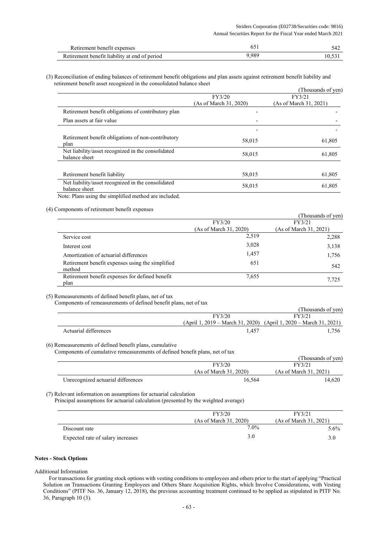| Retirement benefit expenses                   |       |  |
|-----------------------------------------------|-------|--|
| Retirement benefit liability at end of period | 9.989 |  |

(3) Reconciliation of ending balances of retirement benefit obligations and plan assets against retirement benefit liability and retirement benefit asset recognized in the consolidated balance sheet

|                                                                                                                                                      |                        | (Thousands of yen)     |
|------------------------------------------------------------------------------------------------------------------------------------------------------|------------------------|------------------------|
|                                                                                                                                                      | FY3/20                 | FY3/21                 |
|                                                                                                                                                      | (As of March 31, 2020) | (As of March 31, 2021) |
| Retirement benefit obligations of contributory plan                                                                                                  |                        |                        |
| Plan assets at fair value                                                                                                                            |                        |                        |
|                                                                                                                                                      |                        |                        |
| Retirement benefit obligations of non-contributory<br>plan                                                                                           | 58,015                 | 61,805                 |
| Net liability/asset recognized in the consolidated<br>balance sheet                                                                                  | 58,015                 | 61,805                 |
| Retirement benefit liability                                                                                                                         | 58,015                 | 61,805                 |
| Net liability/asset recognized in the consolidated<br>balance sheet                                                                                  | 58,015                 | 61,805                 |
| $\mathbf{M}$ and $\mathbf{M}$ and $\mathbf{M}$ and $\mathbf{M}$ and $\mathbf{M}$ and $\mathbf{M}$ and $\mathbf{M}$ and $\mathbf{M}$ and $\mathbf{M}$ |                        |                        |

Note: Plans using the simplified method are included.

(4) Components of retirement benefit expenses

|                                                            |                        | (Thousands of yen)     |
|------------------------------------------------------------|------------------------|------------------------|
|                                                            | FY3/20                 | FY3/21                 |
|                                                            | (As of March 31, 2020) | (As of March 31, 2021) |
| Service cost                                               | 2,519                  | 2,288                  |
| Interest cost                                              | 3,028                  | 3,138                  |
| Amortization of actuarial differences                      | 1,457                  | 1,756                  |
| Retirement benefit expenses using the simplified<br>method | 651                    | 542                    |
| Retirement benefit expenses for defined benefit<br>plan    | 7,655                  | 7,725                  |

(5) Remeasurements of defined benefit plans, net of tax

Components of remeasurements of defined benefit plans, net of tax

|                       |                | (Thousands of ven)                                                |
|-----------------------|----------------|-------------------------------------------------------------------|
|                       | FY3/20         | FY3/21                                                            |
|                       |                | (April 1, 2019 – March 31, 2020) (April 1, 2020 – March 31, 2021) |
| Actuarial differences | $1.45^{\circ}$ | .756                                                              |

(6) Remeasurements of defined benefit plans, cumulative

Components of cumulative remeasurements of defined benefit plans, net of tax

|                                    |                        | (Thousands of yen)     |
|------------------------------------|------------------------|------------------------|
|                                    | FY3/20                 | FY3/21                 |
|                                    | (As of March 31, 2020) | (As of March 31, 2021) |
| Unrecognized actuarial differences | 16.564                 | 14.620                 |

(7) Relevant information on assumptions for actuarial calculation

Principal assumptions for actuarial calculation (presented by the weighted average)

|                                   | FY3/20                 | FY3/21                 |
|-----------------------------------|------------------------|------------------------|
|                                   | (As of March 31, 2020) | (As of March 31, 2021) |
| Discount rate                     | 7.0%                   | $5.6\%$                |
| Expected rate of salary increases | 3.0                    |                        |

#### **Notes - Stock Options**

Additional Information

For transactions for granting stock options with vesting conditions to employees and others prior to the start of applying "Practical Solution on Transactions Granting Employees and Others Share Acquisition Rights, which Involve Considerations, with Vesting Conditions" (PITF No. 36, January 12, 2018), the previous accounting treatment continued to be applied as stipulated in PITF No. 36, Paragraph 10 (3).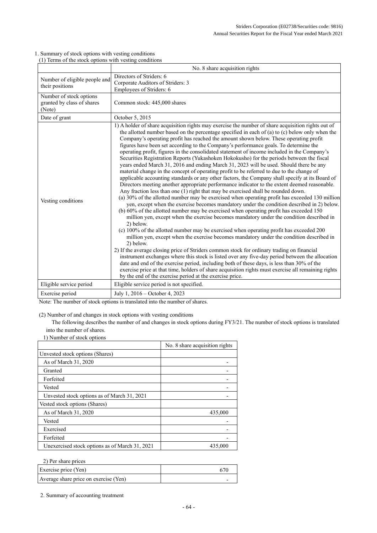|                                                                 | No. 8 share acquisition rights                                                                                                                                                                                                                                                                                                                                                                                                                                                                                                                                                                                                                                                                                                                                                                                                                                                                                                                                                                                                                                                                                                                                                                                                                                                                                                                                                                                                                                                                                                                                                                                                                                                                                                                                                                                                                                                                                                                                                                                                                                                                                                             |
|-----------------------------------------------------------------|--------------------------------------------------------------------------------------------------------------------------------------------------------------------------------------------------------------------------------------------------------------------------------------------------------------------------------------------------------------------------------------------------------------------------------------------------------------------------------------------------------------------------------------------------------------------------------------------------------------------------------------------------------------------------------------------------------------------------------------------------------------------------------------------------------------------------------------------------------------------------------------------------------------------------------------------------------------------------------------------------------------------------------------------------------------------------------------------------------------------------------------------------------------------------------------------------------------------------------------------------------------------------------------------------------------------------------------------------------------------------------------------------------------------------------------------------------------------------------------------------------------------------------------------------------------------------------------------------------------------------------------------------------------------------------------------------------------------------------------------------------------------------------------------------------------------------------------------------------------------------------------------------------------------------------------------------------------------------------------------------------------------------------------------------------------------------------------------------------------------------------------------|
| Number of eligible people and<br>their positions                | Directors of Striders: 6<br>Corporate Auditors of Striders: 3<br>Employees of Striders: 6                                                                                                                                                                                                                                                                                                                                                                                                                                                                                                                                                                                                                                                                                                                                                                                                                                                                                                                                                                                                                                                                                                                                                                                                                                                                                                                                                                                                                                                                                                                                                                                                                                                                                                                                                                                                                                                                                                                                                                                                                                                  |
| Number of stock options<br>granted by class of shares<br>(Note) | Common stock: 445,000 shares                                                                                                                                                                                                                                                                                                                                                                                                                                                                                                                                                                                                                                                                                                                                                                                                                                                                                                                                                                                                                                                                                                                                                                                                                                                                                                                                                                                                                                                                                                                                                                                                                                                                                                                                                                                                                                                                                                                                                                                                                                                                                                               |
| Date of grant                                                   | October 5, 2015                                                                                                                                                                                                                                                                                                                                                                                                                                                                                                                                                                                                                                                                                                                                                                                                                                                                                                                                                                                                                                                                                                                                                                                                                                                                                                                                                                                                                                                                                                                                                                                                                                                                                                                                                                                                                                                                                                                                                                                                                                                                                                                            |
| Vesting conditions                                              | 1) A holder of share acquisition rights may exercise the number of share acquisition rights out of<br>the allotted number based on the percentage specified in each of (a) to (c) below only when the<br>Company's operating profit has reached the amount shown below. These operating profit<br>figures have been set according to the Company's performance goals. To determine the<br>operating profit, figures in the consolidated statement of income included in the Company's<br>Securities Registration Reports (Yukashoken Hokokusho) for the periods between the fiscal<br>years ended March 31, 2016 and ending March 31, 2023 will be used. Should there be any<br>material change in the concept of operating profit to be referred to due to the change of<br>applicable accounting standards or any other factors, the Company shall specify at its Board of<br>Directors meeting another appropriate performance indicator to the extent deemed reasonable.<br>Any fraction less than one (1) right that may be exercised shall be rounded down.<br>(a) 30% of the allotted number may be exercised when operating profit has exceeded 130 million<br>yen, except when the exercise becomes mandatory under the condition described in 2) below.<br>(b) 60% of the allotted number may be exercised when operating profit has exceeded 150<br>million yen, except when the exercise becomes mandatory under the condition described in<br>2) below.<br>(c) 100% of the allotted number may be exercised when operating profit has exceeded 200<br>million yen, except when the exercise becomes mandatory under the condition described in<br>2) below.<br>2) If the average closing price of Striders common stock for ordinary trading on financial<br>instrument exchanges where this stock is listed over any five-day period between the allocation<br>date and end of the exercise period, including both of these days, is less than 30% of the<br>exercise price at that time, holders of share acquisition rights must exercise all remaining rights<br>by the end of the exercise period at the exercise price. |
| Eligible service period                                         | Eligible service period is not specified.                                                                                                                                                                                                                                                                                                                                                                                                                                                                                                                                                                                                                                                                                                                                                                                                                                                                                                                                                                                                                                                                                                                                                                                                                                                                                                                                                                                                                                                                                                                                                                                                                                                                                                                                                                                                                                                                                                                                                                                                                                                                                                  |
| Exercise period                                                 | July 1, 2016 – October 4, 2023                                                                                                                                                                                                                                                                                                                                                                                                                                                                                                                                                                                                                                                                                                                                                                                                                                                                                                                                                                                                                                                                                                                                                                                                                                                                                                                                                                                                                                                                                                                                                                                                                                                                                                                                                                                                                                                                                                                                                                                                                                                                                                             |

1. Summary of stock options with vesting conditions (1) Terms of the stock options with vesting conditions

Note: The number of stock options is translated into the number of shares.

(2) Number of and changes in stock options with vesting conditions

The following describes the number of and changes in stock options during FY3/21. The number of stock options is translated into the number of shares.

1) Number of stock options

|                                                | No. 8 share acquisition rights |
|------------------------------------------------|--------------------------------|
| Unvested stock options (Shares)                |                                |
| As of March 31, 2020                           |                                |
| Granted                                        |                                |
| Forfeited                                      |                                |
| Vested                                         |                                |
| Unvested stock options as of March 31, 2021    |                                |
| Vested stock options (Shares)                  |                                |
| As of March 31, 2020                           | 435,000                        |
| Vested                                         |                                |
| Exercised                                      |                                |
| Forfeited                                      |                                |
| Unexercised stock options as of March 31, 2021 | 435,000                        |

2) Per share prices

| Exercise price (Yen)                  |  |
|---------------------------------------|--|
| Average share price on exercise (Yen) |  |

2. Summary of accounting treatment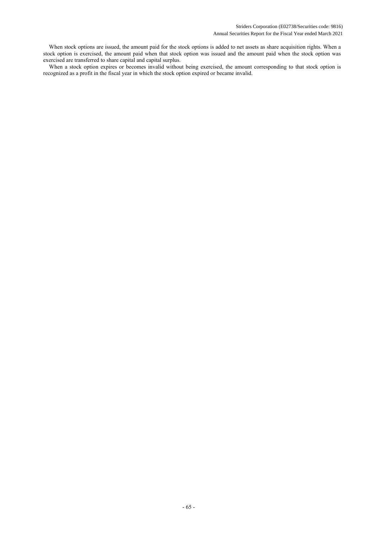When stock options are issued, the amount paid for the stock options is added to net assets as share acquisition rights. When a stock option is exercised, the amount paid when that stock option was issued and the amount paid when the stock option was exercised are transferred to share capital and capital surplus.

When a stock option expires or becomes invalid without being exercised, the amount corresponding to that stock option is recognized as a profit in the fiscal year in which the stock option expired or became invalid.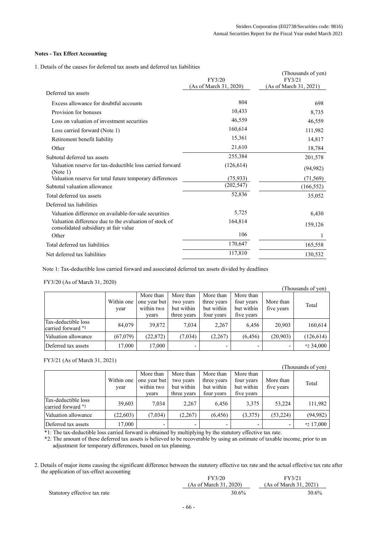# **Notes - Tax Effect Accounting**

1. Details of the causes for deferred tax assets and deferred tax liabilities

|                                                                                                 |                                  | (Thousands of yen)               |
|-------------------------------------------------------------------------------------------------|----------------------------------|----------------------------------|
|                                                                                                 | FY3/20<br>(As of March 31, 2020) | FY3/21<br>(As of March 31, 2021) |
| Deferred tax assets                                                                             |                                  |                                  |
| Excess allowance for doubtful accounts                                                          | 804                              | 698                              |
| Provision for bonuses                                                                           | 10,433                           | 8,735                            |
| Loss on valuation of investment securities                                                      | 46,559                           | 46,559                           |
| Loss carried forward (Note 1)                                                                   | 160,614                          | 111,982                          |
| Retirement benefit liability                                                                    | 15,361                           | 14,817                           |
| Other                                                                                           | 21,610                           | 18,784                           |
| Subtotal deferred tax assets                                                                    | 255,384                          | 201,578                          |
| Valuation reserve for tax-deductible loss carried forward<br>(Note 1)                           | (126, 614)                       | (94, 982)                        |
| Valuation reserve for total future temporary differences                                        | (75, 933)                        | (71, 569)                        |
| Subtotal valuation allowance                                                                    | (202, 547)                       | (166, 552)                       |
| Total deferred tax assets                                                                       | 52,836                           | 35,052                           |
| Deferred tax liabilities                                                                        |                                  |                                  |
| Valuation difference on available-for-sale securities                                           | 5,725                            | 6,430                            |
| Valuation difference due to the evaluation of stock of<br>consolidated subsidiary at fair value | 164,814                          | 159,126                          |
| Other                                                                                           | 106                              | 1                                |
| Total deferred tax liabilities                                                                  | 170,647                          | 165,558                          |
| Net deferred tax liabilities                                                                    | 117,810                          | 130,532                          |

Note 1: Tax-deductible loss carried forward and associated deferred tax assets divided by deadlines

#### FY3/20 (As of March 31, 2020)

|                                           |                    |                                                  |                                                     |                                                      |                                                     |                          | Thousands of yen) |
|-------------------------------------------|--------------------|--------------------------------------------------|-----------------------------------------------------|------------------------------------------------------|-----------------------------------------------------|--------------------------|-------------------|
|                                           | Within one<br>year | More than<br>one year but<br>within two<br>years | More than<br>two years<br>but within<br>three years | More than<br>three years<br>but within<br>four years | More than<br>four years<br>but within<br>five years | More than<br>five years  | Total             |
| Tax-deductible loss<br>carried forward *1 | 84,079             | 39,872                                           | 7.034                                               | 2,267                                                | 6.456                                               | 20.903                   | 160,614           |
| Valuation allowance                       | (67,079)           | (22, 872)                                        | (7,034)                                             | (2,267)                                              | (6, 456)                                            | (20,903)                 | (126, 614)        |
| Deferred tax assets                       | 17,000             | 17,000                                           |                                                     |                                                      | ٠                                                   | $\overline{\phantom{0}}$ | $*234.000$        |

#### FY3/21 (As of March 31, 2021)

Statutory effective tax rate

## (Thousands of yen)

|                                           |                    |                                                  |                                                     |                                                      |                                                     |                         | $1100$ would be $01$ , $011$ |
|-------------------------------------------|--------------------|--------------------------------------------------|-----------------------------------------------------|------------------------------------------------------|-----------------------------------------------------|-------------------------|------------------------------|
|                                           | Within one<br>year | More than<br>one year but<br>within two<br>vears | More than<br>two years<br>but within<br>three years | More than<br>three years<br>but within<br>four years | More than<br>four years<br>but within<br>five years | More than<br>five years | Total                        |
| Tax-deductible loss<br>carried forward *1 | 39,603             | 7.034                                            | 2,267                                               | 6.456                                                | 3,375                                               | 53,224                  | 111,982                      |
| Valuation allowance                       | (22,603)           | (7,034)                                          | (2,267)                                             | (6, 456)                                             | (3,375)                                             | (53, 224)               | (94, 982)                    |
| Deferred tax assets                       | 17,000             |                                                  |                                                     |                                                      |                                                     |                         | *2 17,000                    |

\*1: The tax-deductible loss carried forward is obtained by multiplying by the statutory effective tax rate.

\*2: The amount of these deferred tax assets is believed to be recoverable by using an estimate of taxable income, prior to an adjustment for temporary differences, based on tax planning.

2. Details of major items causing the significant difference between the statutory effective tax rate and the actual effective tax rate after the application of tax-effect accounting

| FY3/20                 | FY3/21                 |
|------------------------|------------------------|
| (As of March 31, 2020) | (As of March 31, 2021) |
| 30.6%                  | 30.6%                  |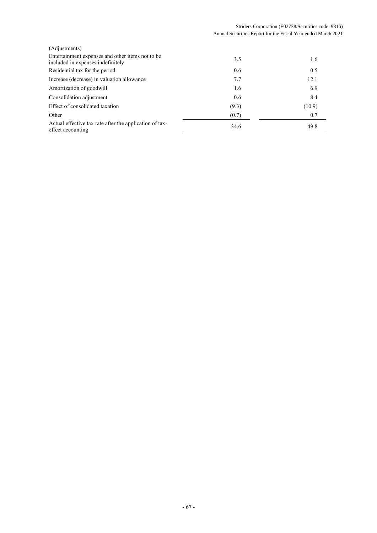| (Adjustments)                                                                         |       |        |
|---------------------------------------------------------------------------------------|-------|--------|
| Entertainment expenses and other items not to be<br>included in expenses indefinitely | 3.5   | 1.6    |
| Residential tax for the period                                                        | 0.6   | 0.5    |
| Increase (decrease) in valuation allowance                                            | 7.7   | 12.1   |
| Amortization of goodwill                                                              | 1.6   | 6.9    |
| Consolidation adjustment                                                              | 0.6   | 8.4    |
| Effect of consolidated taxation                                                       | (9.3) | (10.9) |
| Other                                                                                 | (0.7) | 0.7    |
| Actual effective tax rate after the application of tax-<br>effect accounting          | 34.6  | 49.8   |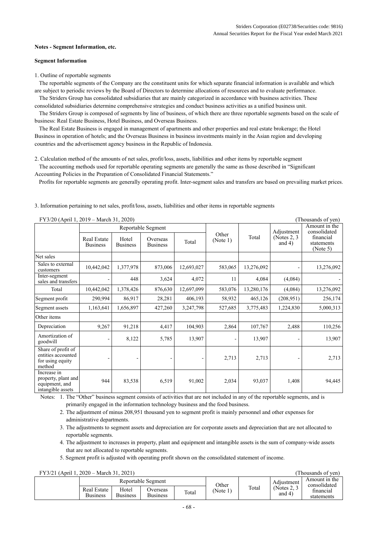#### **Notes - Segment Information, etc.**

#### **Segment Information**

1. Outline of reportable segments

The reportable segments of the Company are the constituent units for which separate financial information is available and which are subject to periodic reviews by the Board of Directors to determine allocations of resources and to evaluate performance.

The Striders Group has consolidated subsidiaries that are mainly categorized in accordance with business activities. These

consolidated subsidiaries determine comprehensive strategies and conduct business activities as a unified business unit.

The Striders Group is composed of segments by line of business, of which there are three reportable segments based on the scale of business: Real Estate Business, Hotel Business, and Overseas Business.

The Real Estate Business is engaged in management of apartments and other properties and real estate brokerage; the Hotel Business in operation of hotels; and the Overseas Business in business investments mainly in the Asian region and developing countries and the advertisement agency business in the Republic of Indonesia.

2. Calculation method of the amounts of net sales, profit/loss, assets, liabilities and other items by reportable segment The accounting methods used for reportable operating segments are generally the same as those described in "Significant Accounting Policies in the Preparation of Consolidated Financial Statements."

Profits for reportable segments are generally operating profit. Inter-segment sales and transfers are based on prevailing market prices.

| FY3/20 (April 1, 2019 – March 31, 2020)                                   |                                       |                          |                             |            | (Thousands of yen) |            |                             |                                     |
|---------------------------------------------------------------------------|---------------------------------------|--------------------------|-----------------------------|------------|--------------------|------------|-----------------------------|-------------------------------------|
|                                                                           |                                       |                          | Reportable Segment          |            |                    |            | Adjustment                  | Amount in the<br>consolidated       |
|                                                                           | <b>Real Estate</b><br><b>Business</b> | Hotel<br><b>Business</b> | Overseas<br><b>Business</b> | Total      | Other<br>(Note 1)  | Total      | (Notes $2, 3$ )<br>and $4)$ | financial<br>statements<br>(Note 5) |
| Net sales                                                                 |                                       |                          |                             |            |                    |            |                             |                                     |
| Sales to external<br>customers                                            | 10,442,042                            | 1,377,978                | 873,006                     | 12,693,027 | 583,065            | 13,276,092 |                             | 13,276,092                          |
| Inter-segment<br>sales and transfers                                      |                                       | 448                      | 3,624                       | 4,072      | 11                 | 4,084      | (4,084)                     |                                     |
| Total                                                                     | 10,442,042                            | 1,378,426                | 876,630                     | 12,697,099 | 583,076            | 13,280,176 | (4,084)                     | 13,276,092                          |
| Segment profit                                                            | 290,994                               | 86,917                   | 28,281                      | 406,193    | 58,932             | 465,126    | (208, 951)                  | 256,174                             |
| Segment assets                                                            | 1,163,641                             | 1,656,897                | 427,260                     | 3,247,798  | 527,685            | 3,775,483  | 1,224,830                   | 5,000,313                           |
| Other items                                                               |                                       |                          |                             |            |                    |            |                             |                                     |
| Depreciation                                                              | 9,267                                 | 91,218                   | 4,417                       | 104,903    | 2,864              | 107,767    | 2,488                       | 110,256                             |
| Amortization of<br>goodwill                                               |                                       | 8,122                    | 5,785                       | 13,907     | $\qquad \qquad -$  | 13,907     |                             | 13,907                              |
| Share of profit of<br>entities accounted<br>for using equity<br>method    |                                       |                          |                             |            | 2,713              | 2,713      |                             | 2,713                               |
| Increase in<br>property, plant and<br>equipment, and<br>intangible assets | 944                                   | 83,538                   | 6,519                       | 91,002     | 2,034              | 93,037     | 1,408                       | 94,445                              |

3. Information pertaining to net sales, profit/loss, assets, liabilities and other items in reportable segments

Notes: 1. The "Other" business segment consists of activities that are not included in any of the reportable segments, and is primarily engaged in the information technology business and the food business.

2. The adjustment of minus 208,951 thousand yen to segment profit is mainly personnel and other expenses for administrative departments.

3. The adjustments to segment assets and depreciation are for corporate assets and depreciation that are not allocated to reportable segments.

4. The adjustment to increases in property, plant and equipment and intangible assets is the sum of company-wide assets that are not allocated to reportable segments.

5. Segment profit is adjusted with operating profit shown on the consolidated statement of income.

| FY3/21 (April 1, 2020 – March 31, 2021) |  |  |  |
|-----------------------------------------|--|--|--|
|                                         |  |  |  |

| FY3/21 (April 1, 2020 – March 31, 2021)<br>(Thousands of ven) |                                                                                                  |  |                    |       |          |       |                             |                               |  |  |
|---------------------------------------------------------------|--------------------------------------------------------------------------------------------------|--|--------------------|-------|----------|-------|-----------------------------|-------------------------------|--|--|
|                                                               |                                                                                                  |  | Reportable Segment |       | Other    |       | Adjustment                  | Amount in the<br>consolidated |  |  |
|                                                               | Hotel<br><b>Real Estate</b><br>Jverseas<br><b>Business</b><br><b>Business</b><br><b>Business</b> |  |                    | Total | (Note 1) | Total | (Notes $2, 3$ )<br>and $4)$ | financial<br>statements       |  |  |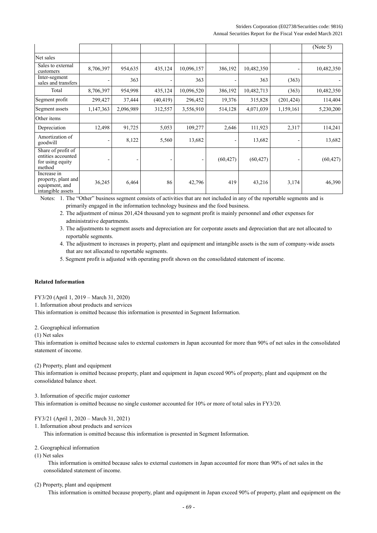### Striders Corporation (E02738/Securities code: 9816) Annual Securities Report for the Fiscal Year ended March 2021

|                                                                           |           |           |           |            |                          |            |                              | (Note 5)   |
|---------------------------------------------------------------------------|-----------|-----------|-----------|------------|--------------------------|------------|------------------------------|------------|
| Net sales                                                                 |           |           |           |            |                          |            |                              |            |
| Sales to external<br>customers                                            | 8,706,397 | 954,635   | 435,124   | 10,096,157 | 386,192                  | 10,482,350 |                              | 10,482,350 |
| Inter-segment<br>sales and transfers                                      |           | 363       |           | 363        |                          | 363        | (363)                        |            |
| Total                                                                     | 8,706,397 | 954,998   | 435,124   | 10,096,520 | 386,192                  | 10,482,713 | (363)                        | 10,482,350 |
| Segment profit                                                            | 299,427   | 37,444    | (40, 419) | 296,452    | 19,376                   | 315,828    | (201, 424)                   | 114,404    |
| Segment assets                                                            | 1,147,363 | 2,096,989 | 312,557   | 3,556,910  | 514,128                  | 4,071,039  | 1,159,161                    | 5,230,200  |
| Other items                                                               |           |           |           |            |                          |            |                              |            |
| Depreciation                                                              | 12,498    | 91,725    | 5,053     | 109,277    | 2,646                    | 111,923    | 2,317                        | 114,241    |
| Amortization of<br>goodwill                                               |           | 8,122     | 5,560     | 13,682     | $\overline{\phantom{0}}$ | 13,682     | $\qquad \qquad \blacksquare$ | 13,682     |
| Share of profit of<br>entities accounted<br>for using equity<br>method    |           |           |           |            | (60, 427)                | (60, 427)  |                              | (60, 427)  |
| Increase in<br>property, plant and<br>equipment, and<br>intangible assets | 36,245    | 6,464     | 86        | 42,796     | 419                      | 43,216     | 3,174                        | 46,390     |

Notes: 1. The "Other" business segment consists of activities that are not included in any of the reportable segments and is

primarily engaged in the information technology business and the food business.

- 2. The adjustment of minus 201,424 thousand yen to segment profit is mainly personnel and other expenses for administrative departments.
- 3. The adjustments to segment assets and depreciation are for corporate assets and depreciation that are not allocated to reportable segments.
- 4. The adjustment to increases in property, plant and equipment and intangible assets is the sum of company-wide assets that are not allocated to reportable segments.
- 5. Segment profit is adjusted with operating profit shown on the consolidated statement of income.

#### **Related Information**

FY3/20 (April 1, 2019 – March 31, 2020)

1. Information about products and services

This information is omitted because this information is presented in Segment Information.

2. Geographical information

(1) Net sales

This information is omitted because sales to external customers in Japan accounted for more than 90% of net sales in the consolidated statement of income.

(2) Property, plant and equipment

This information is omitted because property, plant and equipment in Japan exceed 90% of property, plant and equipment on the consolidated balance sheet.

3. Information of specific major customer

This information is omitted because no single customer accounted for 10% or more of total sales in FY3/20.

# FY3/21 (April 1, 2020 – March 31, 2021)

1. Information about products and services

This information is omitted because this information is presented in Segment Information.

#### 2. Geographical information

(1) Net sales

This information is omitted because sales to external customers in Japan accounted for more than 90% of net sales in the consolidated statement of income.

#### (2) Property, plant and equipment

This information is omitted because property, plant and equipment in Japan exceed 90% of property, plant and equipment on the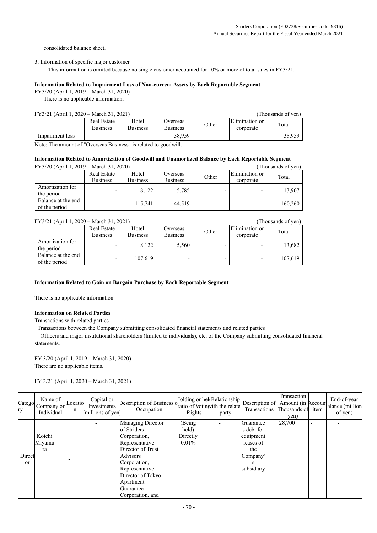consolidated balance sheet.

3. Information of specific major customer

This information is omitted because no single customer accounted for 10% or more of total sales in FY3/21.

#### **Information Related to Impairment Loss of Non-current Assets by Each Reportable Segment**

FY3/20 (April 1, 2019 – March 31, 2020)

There is no applicable information.

# FY3/21 (April 1, 2020 – March 31, 2021) (Thousands of yen)

| $1.1$ $3.21$ $1.1$ $1.1$ $1.20$ $20$ | 110043411430110111             |                          |                      |       |                             |        |
|--------------------------------------|--------------------------------|--------------------------|----------------------|-------|-----------------------------|--------|
|                                      | Real Estate<br><b>Business</b> | Hotel<br><b>Business</b> | Overseas<br>Business | Other | Elimination or<br>corporate | Total  |
| Impairment loss                      |                                |                          | 38.959               |       | -                           | 38,959 |

Note: The amount of "Overseas Business" is related to goodwill.

#### **Information Related to Amortization of Goodwill and Unamortized Balance by Each Reportable Segment**  $FV3/20 (A \text{ will } 1, 2019$  March 31, 2020) (Thousands of yen)

| $\Gamma$ 1 3/20 (April 1, 2019 – March 31, 2020) |                                |                          | Thousands of vehr           |       |                             |         |
|--------------------------------------------------|--------------------------------|--------------------------|-----------------------------|-------|-----------------------------|---------|
|                                                  | Real Estate<br><b>Business</b> | Hotel<br><b>Business</b> | Overseas<br><b>Business</b> | Other | Elimination or<br>corporate | Total   |
| Amortization for<br>the period                   |                                | 8.122                    | 5,785                       |       |                             | 13,907  |
| Balance at the end<br>of the period              |                                | 115,741                  | 44.519                      |       |                             | 160,260 |

## FY3/21 (April 1, 2020 – March 31, 2021) (Thousands of yen)

|                                     | Real Estate<br><b>Business</b> | Hotel<br><b>Business</b> | Overseas<br><b>Business</b> | Other | Elimination or<br>corporate | Total   |  |  |
|-------------------------------------|--------------------------------|--------------------------|-----------------------------|-------|-----------------------------|---------|--|--|
| Amortization for<br>the period      |                                | 8.122                    | 5,560                       |       |                             | 13,682  |  |  |
| Balance at the end<br>of the period |                                | 107,619                  |                             |       |                             | 107.619 |  |  |

#### **Information Related to Gain on Bargain Purchase by Each Reportable Segment**

There is no applicable information.

# **Information on Related Parties**

Transactions with related parties

Transactions between the Company submitting consolidated financial statements and related parties

Officers and major institutional shareholders (limited to individuals), etc. of the Company submitting consolidated financial statements.

FY 3/20 (April 1, 2019 – March 31, 2020) There are no applicable items.

FY 3/21 (April 1, 2020 – March 31, 2021)

| Catego<br>ry  | Name of<br>Company or<br>Individual | Locatio<br>n | Capital or<br>Investments<br>millions of yen | $\left\{\n\begin{array}{c}\n\text{folding or hell, Relationship} \\ \text{Description of } \text{Amount (in } \text{Accoun}\n\end{array}\n\right\}$<br>Occupation | ratio of Votingvith the relate<br>Rights | party | Transactions Thousands of | Transaction<br>yen) | item                     | End-of-year<br>balance (million<br>of yen) |
|---------------|-------------------------------------|--------------|----------------------------------------------|-------------------------------------------------------------------------------------------------------------------------------------------------------------------|------------------------------------------|-------|---------------------------|---------------------|--------------------------|--------------------------------------------|
|               |                                     |              |                                              | <b>Managing Director</b>                                                                                                                                          | (Being)                                  |       | Guarantee                 | 28,700              | $\overline{\phantom{0}}$ |                                            |
|               |                                     |              |                                              | of Striders                                                                                                                                                       | held)                                    |       | s debt for                |                     |                          |                                            |
|               | Koichi                              |              |                                              | Corporation,                                                                                                                                                      | Directly                                 |       | equipment                 |                     |                          |                                            |
|               | Miyamu                              |              |                                              | Representative                                                                                                                                                    | $0.01\%$                                 |       | leases of                 |                     |                          |                                            |
|               | ra                                  |              |                                              | Director of Trust                                                                                                                                                 |                                          |       | the                       |                     |                          |                                            |
| Direct        |                                     |              |                                              | Advisors                                                                                                                                                          |                                          |       | Company'                  |                     |                          |                                            |
| <sub>or</sub> |                                     |              |                                              | Corporation,                                                                                                                                                      |                                          |       |                           |                     |                          |                                            |
|               |                                     |              |                                              | Representative                                                                                                                                                    |                                          |       | subsidiary                |                     |                          |                                            |
|               |                                     |              |                                              | Director of Tokyo                                                                                                                                                 |                                          |       |                           |                     |                          |                                            |
|               |                                     |              |                                              | Apartment                                                                                                                                                         |                                          |       |                           |                     |                          |                                            |
|               |                                     |              |                                              | Guarantee                                                                                                                                                         |                                          |       |                           |                     |                          |                                            |
|               |                                     |              |                                              | Corporation. and                                                                                                                                                  |                                          |       |                           |                     |                          |                                            |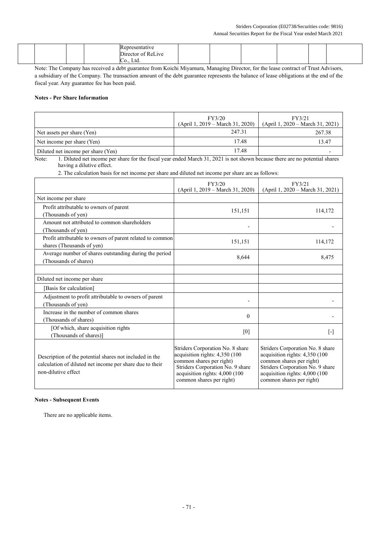#### Striders Corporation (E02738/Securities code: 9816) Annual Securities Report for the Fiscal Year ended March 2021

|  |  | Representative     |  |  |  |
|--|--|--------------------|--|--|--|
|  |  | Director of ReLive |  |  |  |
|  |  | Ltd<br>$- \cdot -$ |  |  |  |

Note: The Company has received a debt guarantee from Koichi Miyamura, Managing Director, for the lease contract of Trust Advisors, a subsidiary of the Company. The transaction amount of the debt guarantee represents the balance of lease obligations at the end of the fiscal year. Any guarantee fee has been paid.

# **Notes - Per Share Information**

|                                    | FY3/20<br>$(April 1, 2019 - March 31, 2020)$ | FY3/21<br>$(April 1, 2020 - March 31, 2021)$ |
|------------------------------------|----------------------------------------------|----------------------------------------------|
| Net assets per share (Yen)         | 247.31                                       | 267.38                                       |
| Net income per share (Yen)         | 17.48                                        | 13.47                                        |
| Diluted net income per share (Yen) | 17.48                                        |                                              |

Note: 1. Diluted net income per share for the fiscal year ended March 31, 2021 is not shown because there are no potential shares having a dilutive effect.

2. The calculation basis for net income per share and diluted net income per share are as follows:

|                                                                                                                                            | FY3/20<br>(April 1, 2019 – March 31, 2020)                                                                                                                                                       | FY3/21<br>(April 1, 2020 – March 31, 2021)                                                                                                                                                       |
|--------------------------------------------------------------------------------------------------------------------------------------------|--------------------------------------------------------------------------------------------------------------------------------------------------------------------------------------------------|--------------------------------------------------------------------------------------------------------------------------------------------------------------------------------------------------|
| Net income per share                                                                                                                       |                                                                                                                                                                                                  |                                                                                                                                                                                                  |
| Profit attributable to owners of parent<br>(Thousands of yen)                                                                              | 151,151                                                                                                                                                                                          | 114,172                                                                                                                                                                                          |
| Amount not attributed to common shareholders<br>(Thousands of yen)                                                                         |                                                                                                                                                                                                  |                                                                                                                                                                                                  |
| Profit attributable to owners of parent related to common<br>shares (Thousands of yen)                                                     | 151,151                                                                                                                                                                                          | 114,172                                                                                                                                                                                          |
| Average number of shares outstanding during the period<br>(Thousands of shares)                                                            | 8,644                                                                                                                                                                                            | 8,475                                                                                                                                                                                            |
|                                                                                                                                            |                                                                                                                                                                                                  |                                                                                                                                                                                                  |
| Diluted net income per share                                                                                                               |                                                                                                                                                                                                  |                                                                                                                                                                                                  |
| [Basis for calculation]                                                                                                                    |                                                                                                                                                                                                  |                                                                                                                                                                                                  |
| Adjustment to profit attributable to owners of parent<br>(Thousands of yen)                                                                |                                                                                                                                                                                                  |                                                                                                                                                                                                  |
| Increase in the number of common shares<br>(Thousands of shares)                                                                           | $\theta$                                                                                                                                                                                         |                                                                                                                                                                                                  |
| [Of which, share acquisition rights<br>(Thousands of shares)]                                                                              | [0]                                                                                                                                                                                              | $[\cdot]$                                                                                                                                                                                        |
| Description of the potential shares not included in the<br>calculation of diluted net income per share due to their<br>non-dilutive effect | Striders Corporation No. 8 share<br>acquisition rights: 4,350 (100<br>common shares per right)<br>Striders Corporation No. 9 share<br>acquisition rights: 4,000 (100<br>common shares per right) | Striders Corporation No. 8 share<br>acquisition rights: 4,350 (100<br>common shares per right)<br>Striders Corporation No. 9 share<br>acquisition rights: 4,000 (100<br>common shares per right) |

# **Notes - Subsequent Events**

There are no applicable items.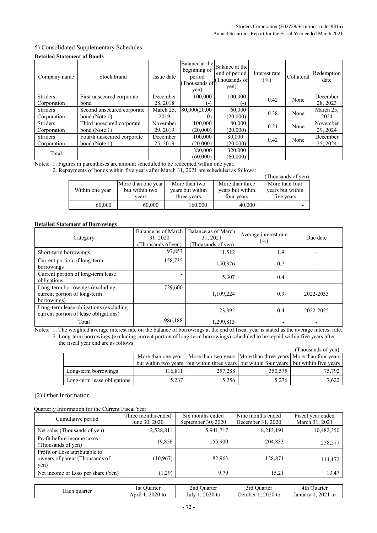# 5) Consolidated Supplementary Schedules

# **Detailed Statement of Bonds**

| Company name    | Stock brand                | Issue date | beginning of<br>period<br>Thousands of<br>yen) | Balance at the Balance at the<br>end of period<br>Thousands of<br>yen) | Interest rate<br>$(\%)$ | Collateral | Redemption<br>date |
|-----------------|----------------------------|------------|------------------------------------------------|------------------------------------------------------------------------|-------------------------|------------|--------------------|
| <b>Striders</b> | First unsecured corporate  | December   | 100,000                                        | 100,000                                                                | 0.42                    | None       | December           |
| Corporation     | bond                       | 28, 2018   | i – )                                          | $\overline{a}$                                                         |                         |            | 28, 2023           |
| <b>Striders</b> | Second unsecured corporate | March 25,  | 80,000(20,00                                   | 60,000                                                                 | 0.38                    | None       | March 25,          |
| Corporation     | bond (Note 1)              | 2019       | $\Omega$                                       | (20,000)                                                               |                         |            | 2024               |
| <b>Striders</b> | Third unsecured corporate  | November   | 100,000                                        | 80,000                                                                 | 0.21                    | None       | November           |
| Corporation     | bond (Note 1)              | 29, 2019   | (20,000)                                       | (20,000)                                                               |                         |            | 29, 2024           |
| <b>Striders</b> | Fourth unsecured corporate | December   | 100,000                                        | 80,000                                                                 | 0.42                    | None       | December           |
| Corporation     | bond (Note 1)              | 25, 2019   | (20,000)                                       | (20,000)                                                               |                         |            | 25, 2024           |
| Total           |                            |            | 380,000                                        | 320,000                                                                |                         |            |                    |
|                 |                            |            | (60,000)                                       | (60,000)                                                               |                         |            |                    |

Notes: 1. Figures in parentheses are amount scheduled to be redeemed within one year.

2. Repayments of bonds within five years after March 31, 2021 are scheduled as follows:

|                 |                    |                  |                  | (Thousands of yen) |
|-----------------|--------------------|------------------|------------------|--------------------|
|                 | More than one year | More than two    | More than three  | More than four     |
| Within one year | but within two     | years but within | years but within | years but within   |
|                 | vears              | three years      | four years       | five years         |
| 60,000          | 60,000             | 160,000          | 40,000           |                    |

# **Detailed Statement of Borrowings**

| Category                                                                        | Balance as of March<br>31, 2020<br>(Thousands of yen) | Balance as of March<br>31, 2021<br>Thousands of yen) | Average interest rate<br>$(\%)$ | Due date  |
|---------------------------------------------------------------------------------|-------------------------------------------------------|------------------------------------------------------|---------------------------------|-----------|
| Short-term borrowings                                                           | 97,853                                                | 11.512                                               | 1.9                             |           |
| Current portion of long-term<br>borrowings                                      | 158,735                                               | 150.376                                              | 0.7                             |           |
| Current portion of long-term lease<br>obligations                               |                                                       | 5,307                                                | 0.4                             |           |
| Long-term borrowings (excluding<br>current portion of long-term<br>borrowings)  | 729,600                                               | 1,109,224                                            | 0.9                             | 2022-2033 |
| Long-term lease obligations (excluding<br>current portion of lease obligations) |                                                       | 23,392                                               | 0.4                             | 2022-2025 |
| Total                                                                           | 986,188                                               | 1.299.813                                            |                                 |           |

Notes: 1. The weighted average interest rate on the balance of borrowings at the end of fiscal year is stated as the average interest rate.

2. Long-term borrowings (excluding current portion of long-term borrowings) scheduled to be repaid within five years after the fiscal year end are as follows:

|                             |         |                                                                                         |         | (Thousands of yen) |
|-----------------------------|---------|-----------------------------------------------------------------------------------------|---------|--------------------|
|                             |         | More than one year   More than two years   More than three years   More than four years |         |                    |
|                             |         | but within two years but within three years but within four years but within five years |         |                    |
| Long-term borrowings        | 116.811 | 257,288                                                                                 | 350,575 | 75.792             |
| Long-term lease obligations | 5,237   | 5,256                                                                                   | 5,276   | 7.622              |

# (2) Other Information

Quarterly Information for the Current Fiscal Year

| Cumulative period                                                        | Three months ended<br>June 30, 2020 | Six months ended<br>September 30, 2020 | Nine months ended<br>December 31, 2020 | Fiscal year ended<br>March 31, 2021 |
|--------------------------------------------------------------------------|-------------------------------------|----------------------------------------|----------------------------------------|-------------------------------------|
| Net sales (Thousands of yen)                                             | 2,528,811                           | 5,941,717                              | 8,213,191                              | 10,482,350                          |
| Profit before income taxes<br>(Thousands of yen)                         | 19,856                              | 155,900                                | 204,833                                | 258,577                             |
| Profit or Loss attributable to<br>owners of parent (Thousands of<br>yen) | (10, 967)                           | 82,963                                 | 128,871                                | 114,172                             |
| Net income or Loss per share (Yen)                                       | (1.29)                              | 9.79                                   | 15.21                                  | 13.47                               |

| Each quarter | 1 St<br>Juarter           | Juarter<br>2nd    | 3rd<br>Juarter        | 4th<br><b>Ouarter</b> |
|--------------|---------------------------|-------------------|-----------------------|-----------------------|
|              | $2020$ to<br>. .<br>April | $2020$ to<br>July | $2020$ to<br>Jctober. | 2021<br>January<br>tc |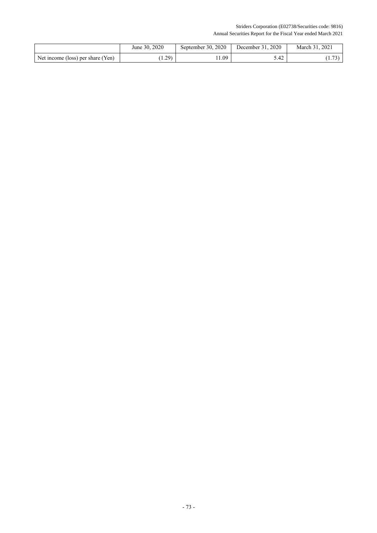Striders Corporation (E02738/Securities code: 9816) Annual Securities Report for the Fiscal Year ended March 2021

|                                   | June 30, 2020 | September 30, 2020 | December 31, 2020 | March 31, 2021 |
|-----------------------------------|---------------|--------------------|-------------------|----------------|
| Net income (loss) per share (Yen) | 1.29          | .1.09              | 5.42              | 72)<br>1.731   |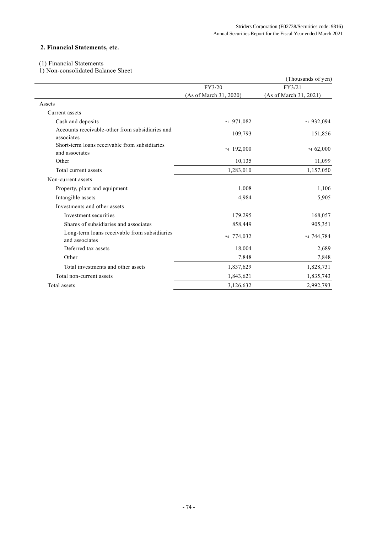# **2. Financial Statements, etc.**

# (1) Financial Statements

1) Non-consolidated Balance Sheet

|                                                                 |                        | (Thousands of yen)     |
|-----------------------------------------------------------------|------------------------|------------------------|
|                                                                 | FY3/20                 | FY3/21                 |
|                                                                 | (As of March 31, 2020) | (As of March 31, 2021) |
| Assets                                                          |                        |                        |
| Current assets                                                  |                        |                        |
| Cash and deposits                                               | $*1$ 971,082           | $*1932,094$            |
| Accounts receivable-other from subsidiaries and<br>associates   | 109,793                | 151,856                |
| Short-term loans receivable from subsidiaries<br>and associates | $*4$ 192,000           | $*462,000$             |
| Other                                                           | 10,135                 | 11,099                 |
| Total current assets                                            | 1,283,010              | 1,157,050              |
| Non-current assets                                              |                        |                        |
| Property, plant and equipment                                   | 1,008                  | 1,106                  |
| Intangible assets                                               | 4,984                  | 5,905                  |
| Investments and other assets                                    |                        |                        |
| Investment securities                                           | 179,295                | 168,057                |
| Shares of subsidiaries and associates                           | 858,449                | 905,351                |
| Long-term loans receivable from subsidiaries<br>and associates  | *4 774,032             | *4 744,784             |
| Deferred tax assets                                             | 18,004                 | 2,689                  |
| Other                                                           | 7,848                  | 7,848                  |
| Total investments and other assets                              | 1,837,629              | 1,828,731              |
| Total non-current assets                                        | 1,843,621              | 1,835,743              |
| Total assets                                                    | 3,126,632              | 2,992,793              |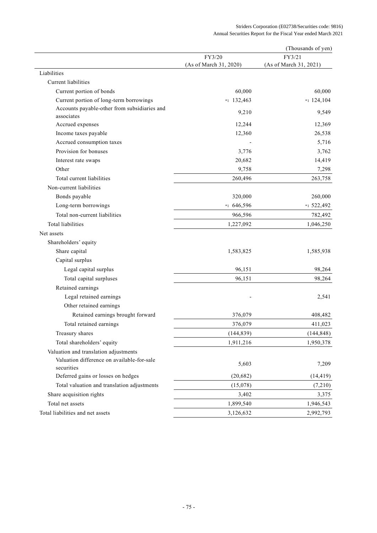|                                                                     |                        | (Thousands of yen)     |
|---------------------------------------------------------------------|------------------------|------------------------|
|                                                                     | FY3/20                 | FY3/21                 |
| Liabilities                                                         | (As of March 31, 2020) | (As of March 31, 2021) |
| Current liabilities                                                 |                        |                        |
|                                                                     | 60,000                 | 60,000                 |
| Current portion of bonds<br>Current portion of long-term borrowings | $*1$ 132,463           | $*1$ 124,104           |
| Accounts payable-other from subsidiaries and                        |                        |                        |
| associates                                                          | 9,210                  | 9,549                  |
| Accrued expenses                                                    | 12,244                 | 12,369                 |
| Income taxes payable                                                | 12,360                 | 26,538                 |
| Accrued consumption taxes                                           |                        | 5,716                  |
| Provision for bonuses                                               | 3,776                  | 3,762                  |
| Interest rate swaps                                                 | 20,682                 | 14,419                 |
| Other                                                               | 9,758                  | 7,298                  |
| Total current liabilities                                           | 260,496                | 263,758                |
| Non-current liabilities                                             |                        |                        |
| Bonds payable                                                       | 320,000                | 260,000                |
| Long-term borrowings                                                | $*1646,596$            | $*1$ 522,492           |
| Total non-current liabilities                                       | 966,596                | 782,492                |
| <b>Total liabilities</b>                                            | 1,227,092              | 1,046,250              |
| Net assets                                                          |                        |                        |
| Shareholders' equity                                                |                        |                        |
| Share capital                                                       | 1,583,825              | 1,585,938              |
| Capital surplus                                                     |                        |                        |
| Legal capital surplus                                               | 96,151                 | 98,264                 |
| Total capital surpluses                                             | 96,151                 | 98,264                 |
| Retained earnings                                                   |                        |                        |
| Legal retained earnings                                             |                        | 2,541                  |
| Other retained earnings                                             |                        |                        |
| Retained earnings brought forward                                   | 376,079                | 408,482                |
| Total retained earnings                                             | 376,079                | 411,023                |
| Treasury shares                                                     | (144, 839)             | (144, 848)             |
| Total shareholders' equity                                          | 1,911,216              | 1,950,378              |
| Valuation and translation adjustments                               |                        |                        |
| Valuation difference on available-for-sale<br>securities            | 5,603                  | 7,209                  |
| Deferred gains or losses on hedges                                  | (20, 682)              | (14, 419)              |
| Total valuation and translation adjustments                         | (15,078)               | (7,210)                |
| Share acquisition rights                                            | 3,402                  | 3,375                  |
| Total net assets                                                    | 1,899,540              | 1,946,543              |
| Total liabilities and net assets                                    | 3,126,632              | 2,992,793              |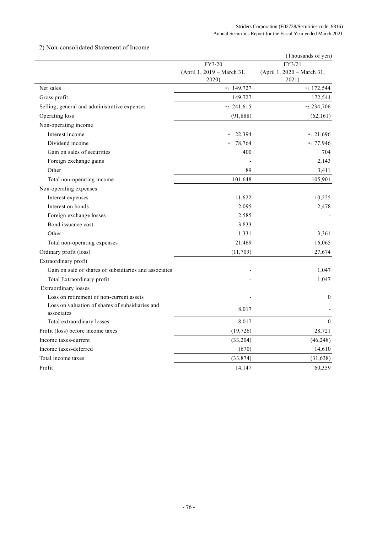# 2) Non-consolidated Statement of Income

| FY3/21<br>FY3/20<br>(April 1, 2019 - March 31,<br>(April 1, 2020 - March 31,<br>2020)<br>2021)<br>Net sales<br>$*1$ 149,727<br>Gross profit<br>149,727<br>Selling, general and administrative expenses<br>$*2$ 241,615<br>Operating loss<br>(91,888)<br>Non-operating income | *1 172,544<br>172,544 |
|------------------------------------------------------------------------------------------------------------------------------------------------------------------------------------------------------------------------------------------------------------------------------|-----------------------|
|                                                                                                                                                                                                                                                                              |                       |
|                                                                                                                                                                                                                                                                              |                       |
|                                                                                                                                                                                                                                                                              |                       |
|                                                                                                                                                                                                                                                                              |                       |
|                                                                                                                                                                                                                                                                              |                       |
|                                                                                                                                                                                                                                                                              | *2 234,706            |
|                                                                                                                                                                                                                                                                              | (62, 161)             |
|                                                                                                                                                                                                                                                                              |                       |
| Interest income<br>$*1$ 22,394                                                                                                                                                                                                                                               | $*121,696$            |
| Dividend income<br>$*1$ 78,764                                                                                                                                                                                                                                               | *1 77,946             |
| Gain on sales of securities<br>400                                                                                                                                                                                                                                           | 704                   |
| Foreign exchange gains                                                                                                                                                                                                                                                       | 2,143                 |
| 89<br>Other                                                                                                                                                                                                                                                                  | 3,411                 |
| Total non-operating income<br>101,648                                                                                                                                                                                                                                        | 105,901               |
| Non-operating expenses                                                                                                                                                                                                                                                       |                       |
| Interest expenses<br>11,622                                                                                                                                                                                                                                                  | 10,225                |
| Interest on bonds<br>2,095                                                                                                                                                                                                                                                   | 2,478                 |
| Foreign exchange losses<br>2,585                                                                                                                                                                                                                                             |                       |
| Bond issuance cost<br>3,833                                                                                                                                                                                                                                                  |                       |
| Other<br>1,331                                                                                                                                                                                                                                                               | 3,361                 |
| Total non-operating expenses<br>21,469                                                                                                                                                                                                                                       | 16,065                |
| Ordinary profit (loss)<br>(11,709)                                                                                                                                                                                                                                           | 27,674                |
| Extraordinary profit                                                                                                                                                                                                                                                         |                       |
| Gain on sale of shares of subsidiaries and associates                                                                                                                                                                                                                        | 1,047                 |
| Total Extraordinary profit                                                                                                                                                                                                                                                   | 1,047                 |
| <b>Extraordinary</b> losses                                                                                                                                                                                                                                                  |                       |
| Loss on retirement of non-current assets                                                                                                                                                                                                                                     | $\mathbf{0}$          |
| Loss on valuation of shares of subsidiaries and<br>8,017<br>associates                                                                                                                                                                                                       |                       |
| 8,017<br>Total extraordinary losses                                                                                                                                                                                                                                          | $\boldsymbol{0}$      |
| Profit (loss) before income taxes<br>(19, 726)                                                                                                                                                                                                                               | 28,721                |
| Income taxes-current<br>(33,204)                                                                                                                                                                                                                                             | (46, 248)             |
| Income taxes-deferred<br>(670)                                                                                                                                                                                                                                               | 14,610                |
| Total income taxes<br>(33,874)                                                                                                                                                                                                                                               | (31, 638)             |
| Profit<br>14,147                                                                                                                                                                                                                                                             | 60,359                |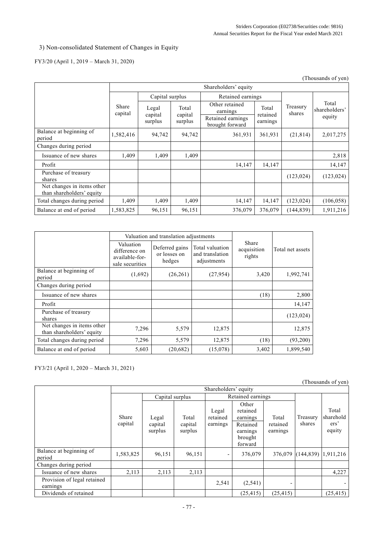# 3) Non-consolidated Statement of Changes in Equity

# FY3/20 (April 1, 2019 – March 31, 2020)

|                                                         |                  |                             |                             |                                                                    |                               |                    | (Thousands of yen)               |  |
|---------------------------------------------------------|------------------|-----------------------------|-----------------------------|--------------------------------------------------------------------|-------------------------------|--------------------|----------------------------------|--|
|                                                         |                  | Shareholders' equity        |                             |                                                                    |                               |                    |                                  |  |
|                                                         |                  | Capital surplus             |                             | Retained earnings                                                  |                               |                    |                                  |  |
|                                                         | Share<br>capital | Legal<br>capital<br>surplus | Total<br>capital<br>surplus | Other retained<br>earnings<br>Retained earnings<br>brought forward | Total<br>retained<br>earnings | Treasury<br>shares | Total<br>shareholders'<br>equity |  |
| Balance at beginning of<br>period                       | 1,582,416        | 94,742                      | 94,742                      | 361,931                                                            | 361,931                       | (21, 814)          | 2,017,275                        |  |
| Changes during period                                   |                  |                             |                             |                                                                    |                               |                    |                                  |  |
| Issuance of new shares                                  | 1,409            | 1,409                       | 1,409                       |                                                                    |                               |                    | 2,818                            |  |
| Profit                                                  |                  |                             |                             | 14,147                                                             | 14,147                        |                    | 14,147                           |  |
| Purchase of treasury<br>shares                          |                  |                             |                             |                                                                    |                               | (123, 024)         | (123, 024)                       |  |
| Net changes in items other<br>than shareholders' equity |                  |                             |                             |                                                                    |                               |                    |                                  |  |
| Total changes during period                             | 1,409            | 1,409                       | 1,409                       | 14,147                                                             | 14,147                        | (123, 024)         | (106, 058)                       |  |
| Balance at end of period                                | 1,583,825        | 96,151                      | 96,151                      | 376,079                                                            | 376,079                       | (144, 839)         | 1,911,216                        |  |

|                                                         |                                                                 | Valuation and translation adjustments    |                                                   |                                |                  |
|---------------------------------------------------------|-----------------------------------------------------------------|------------------------------------------|---------------------------------------------------|--------------------------------|------------------|
|                                                         | Valuation<br>difference on<br>available-for-<br>sale securities | Deferred gains<br>or losses on<br>hedges | Total valuation<br>and translation<br>adjustments | Share<br>acquisition<br>rights | Total net assets |
| Balance at beginning of<br>period                       | (1,692)                                                         | (26,261)                                 | (27, 954)                                         | 3,420                          | 1,992,741        |
| Changes during period                                   |                                                                 |                                          |                                                   |                                |                  |
| Issuance of new shares                                  |                                                                 |                                          |                                                   | (18)                           | 2,800            |
| Profit                                                  |                                                                 |                                          |                                                   |                                | 14,147           |
| Purchase of treasury<br>shares                          |                                                                 |                                          |                                                   |                                | (123, 024)       |
| Net changes in items other<br>than shareholders' equity | 7,296                                                           | 5,579                                    | 12,875                                            |                                | 12,875           |
| Total changes during period                             | 7,296                                                           | 5,579                                    | 12,875                                            | (18)                           | (93, 200)        |
| Balance at end of period                                | 5,603                                                           | (20,682)                                 | (15,078)                                          | 3,402                          | 1,899,540        |

FY3/21 (April 1, 2020 – March 31, 2021)

(Thousands of yen)

|                                         | Shareholders' equity |                             |                             |                               |                                                                             |                               |                    |                                                  |
|-----------------------------------------|----------------------|-----------------------------|-----------------------------|-------------------------------|-----------------------------------------------------------------------------|-------------------------------|--------------------|--------------------------------------------------|
|                                         |                      | Capital surplus             |                             | Retained earnings             |                                                                             |                               |                    |                                                  |
|                                         | Share<br>capital     | Legal<br>capital<br>surplus | Total<br>capital<br>surplus | Legal<br>retained<br>earnings | Other<br>retained<br>earnings<br>Retained<br>earnings<br>brought<br>forward | Total<br>retained<br>earnings | Treasury<br>shares | Total<br>sharehold<br>ers <sup>2</sup><br>equity |
| Balance at beginning of<br>period       | 1,583,825            | 96,151                      | 96,151                      |                               | 376,079                                                                     |                               |                    | 376,079 (144,839) 1.911,216                      |
| Changes during period                   |                      |                             |                             |                               |                                                                             |                               |                    |                                                  |
| Issuance of new shares                  | 2,113                | 2,113                       | 2,113                       |                               |                                                                             |                               |                    | 4,227                                            |
| Provision of legal retained<br>earnings |                      |                             |                             | 2,541                         | (2,541)                                                                     |                               |                    |                                                  |
| Dividends of retained                   |                      |                             |                             |                               | (25, 415)                                                                   | (25, 415)                     |                    | (25, 415)                                        |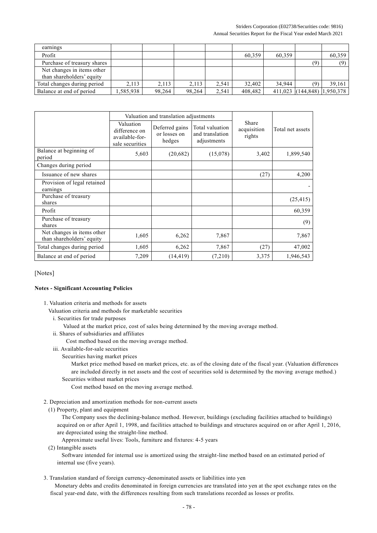### Striders Corporation (E02738/Securities code: 9816) Annual Securities Report for the Fiscal Year ended March 2021

| earnings                                                |           |        |        |       |         |        |                             |        |
|---------------------------------------------------------|-----------|--------|--------|-------|---------|--------|-----------------------------|--------|
| Profit                                                  |           |        |        |       | 60.359  | 60.359 |                             | 60.359 |
| Purchase of treasury shares                             |           |        |        |       |         |        | (9)                         | (9)    |
| Net changes in items other<br>than shareholders' equity |           |        |        |       |         |        |                             |        |
| Total changes during period                             | 2.113     | 2,113  | 2.113  | 2.541 | 32,402  | 34,944 |                             | 39.161 |
| Balance at end of period                                | 1,585,938 | 98,264 | 98,264 | 2.541 | 408.482 |        | 411,023 (144,848) 1,950,378 |        |

|                                                         |                                                                 | Valuation and translation adjustments    |                                                   |                                |                  |
|---------------------------------------------------------|-----------------------------------------------------------------|------------------------------------------|---------------------------------------------------|--------------------------------|------------------|
|                                                         | Valuation<br>difference on<br>available-for-<br>sale securities | Deferred gains<br>or losses on<br>hedges | Total valuation<br>and translation<br>adjustments | Share<br>acquisition<br>rights | Total net assets |
| Balance at beginning of<br>period                       | 5,603                                                           | (20, 682)                                | (15,078)                                          | 3,402                          | 1,899,540        |
| Changes during period                                   |                                                                 |                                          |                                                   |                                |                  |
| Issuance of new shares                                  |                                                                 |                                          |                                                   | (27)                           | 4,200            |
| Provision of legal retained<br>earnings                 |                                                                 |                                          |                                                   |                                |                  |
| Purchase of treasury<br>shares                          |                                                                 |                                          |                                                   |                                | (25, 415)        |
| Profit                                                  |                                                                 |                                          |                                                   |                                | 60,359           |
| Purchase of treasury<br>shares                          |                                                                 |                                          |                                                   |                                | (9)              |
| Net changes in items other<br>than shareholders' equity | 1,605                                                           | 6,262                                    | 7,867                                             |                                | 7,867            |
| Total changes during period                             | 1,605                                                           | 6,262                                    | 7,867                                             | (27)                           | 47,002           |
| Balance at end of period                                | 7,209                                                           | (14, 419)                                | (7,210)                                           | 3,375                          | 1,946,543        |

[Notes]

### **Notes - Significant Accounting Policies**

- 1. Valuation criteria and methods for assets
	- Valuation criteria and methods for marketable securities
		- i. Securities for trade purposes
			- Valued at the market price, cost of sales being determined by the moving average method.
		- ii. Shares of subsidiaries and affiliates
			- Cost method based on the moving average method.
		- iii. Available-for-sale securities
			- Securities having market prices

Market price method based on market prices, etc. as of the closing date of the fiscal year. (Valuation differences are included directly in net assets and the cost of securities sold is determined by the moving average method.)

Securities without market prices

Cost method based on the moving average method.

- 2. Depreciation and amortization methods for non-current assets
- (1) Property, plant and equipment

The Company uses the declining-balance method. However, buildings (excluding facilities attached to buildings) acquired on or after April 1, 1998, and facilities attached to buildings and structures acquired on or after April 1, 2016, are depreciated using the straight-line method.

Approximate useful lives: Tools, furniture and fixtures: 4-5 years

(2) Intangible assets

Software intended for internal use is amortized using the straight-line method based on an estimated period of internal use (five years).

3. Translation standard of foreign currency-denominated assets or liabilities into yen

Monetary debts and credits denominated in foreign currencies are translated into yen at the spot exchange rates on the fiscal year-end date, with the differences resulting from such translations recorded as losses or profits.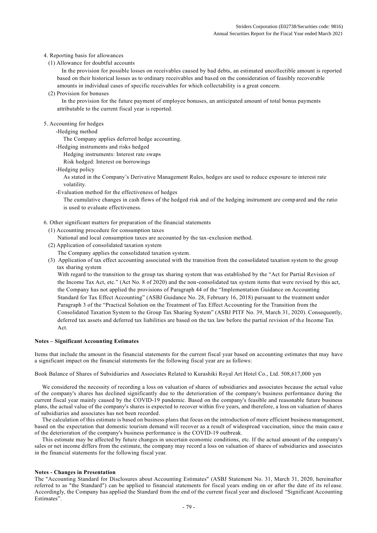### 4. Reporting basis for allowances

(1) Allowance for doubtful accounts

In the provision for possible losses on receivables caused by bad debts, an estimated uncollectible amount is reported based on their historical losses as to ordinary receivables and based on the consideration of feasibly recoverable amounts in individual cases of specific receivables for which collectability is a great concern.

### (2) Provision for bonuses

In the provision for the future payment of employee bonuses, an anticipated amount of total bonus payments attributable to the current fiscal year is reported.

### 5. Accounting for hedges

### -Hedging method

- The Company applies deferred hedge accounting.
- -Hedging instruments and risks hedged
	- Hedging instruments: Interest rate swaps
	- Risk hedged: Interest on borrowings
- -Hedging policy

As stated in the Company's Derivative Management Rules, hedges are used to reduce exposure to interest rate volatility.

-Evaluation method for the effectiveness of hedges

The cumulative changes in cash flows of the hedged risk and of the hedging instrument are comp ared and the ratio is used to evaluate effectiveness.

- 6. Other significant matters for preparation of the financial statements
	- (1) Accounting procedure for consumption taxes
		- National and local consumption taxes are accounted by the tax-exclusion method.
	- (2) Application of consolidated taxation system
		- The Company applies the consolidated taxation system.
	- (3) Application of tax effect accounting associated with the transition from the consolidated taxation system to the group tax sharing system

With regard to the transition to the group tax sharing system that was established by the "Act for Partial Revision of the Income Tax Act, etc." (Act No. 8 of 2020) and the non-consolidated tax system items that were revised by this act, the Company has not applied the provisions of Paragraph 44 of the "Implementation Guidance on Accounting Standard for Tax Effect Accounting" (ASBJ Guidance No. 28, February 16, 2018) pursuant to the treatment under Paragraph 3 of the "Practical Solution on the Treatment of Tax Effect Accounting for the Transition from the Consolidated Taxation System to the Group Tax Sharing System" (ASBJ PITF No. 39, March 31, 2020). Consequently, deferred tax assets and deferred tax liabilities are based on the tax law before the partial revision of the Income Tax Act.

#### **Notes – Significant Accounting Estimates**

Items that include the amount in the financial statements for the current fiscal year based on accounting estimates that may have a significant impact on the financial statements for the following fiscal year are as follows:

Book Balance of Shares of Subsidiaries and Associates Related to Kurashiki Royal Art Hotel Co., Ltd. 508,617,000 yen

 We considered the necessity of recording a loss on valuation of shares of subsidiaries and associates because the actual value of the company's shares has declined significantly due to the deterioration of the company's business performance during the current fiscal year mainly caused by the COVID-19 pandemic. Based on the company's feasible and reasonable future business plans, the actual value of the company's shares is expected to recover within five years, and therefore, a loss on valuation of shares of subsidiaries and associates has not been recorded.

 The calculation of this estimate is based on business plans that focus on the introduction of more efficient business management, based on the expectation that domestic tourism demand will recover as a result of widespread vaccination, since the main caus e of the deterioration of the company's business performance is the COVID-19 outbreak.

 This estimate may be affected by future changes in uncertain economic conditions, etc. If the actual amount of the company's sales or net income differs from the estimate, the company may record a loss on valuation of shares of subsidiaries and associates in the financial statements for the following fiscal year.

#### **Notes - Changes in Presentation**

The "Accounting Standard for Disclosures about Accounting Estimates" (ASBJ Statement No. 31, March 31, 2020, hereinafter referred to as "the Standard") can be applied to financial statements for fiscal years ending on or after the date of its rel ease. Accordingly, the Company has applied the Standard from the end of the current fiscal year and disclosed "Significant Accounting Estimates".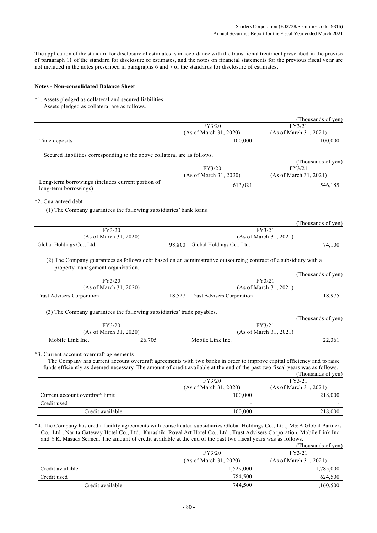The application of the standard for disclosure of estimates is in accordance with the transitional treatment prescribed in the proviso of paragraph 11 of the standard for disclosure of estimates, and the notes on financial statements for the previous fiscal ye ar are not included in the notes prescribed in paragraphs 6 and 7 of the standards for disclosure of estimates.

### **Notes - Non-consolidated Balance Sheet**

\*1. Assets pledged as collateral and secured liabilities Assets pledged as collateral are as follows.

|                                                                                                                                                                                                                                                                                                      |                                      | (Thousands of yen)           |
|------------------------------------------------------------------------------------------------------------------------------------------------------------------------------------------------------------------------------------------------------------------------------------------------------|--------------------------------------|------------------------------|
|                                                                                                                                                                                                                                                                                                      | FY3/20                               | FY3/21                       |
|                                                                                                                                                                                                                                                                                                      | (As of March 31, 2020)               | (As of March 31, 2021)       |
| Time deposits                                                                                                                                                                                                                                                                                        | 100,000                              | 100,000                      |
| Secured liabilities corresponding to the above collateral are as follows.                                                                                                                                                                                                                            |                                      |                              |
|                                                                                                                                                                                                                                                                                                      |                                      | (Thousands of yen)           |
|                                                                                                                                                                                                                                                                                                      | FY3/20                               | FY3/21                       |
|                                                                                                                                                                                                                                                                                                      | (As of March 31, 2020)               | (As of March 31, 2021)       |
| Long-term borrowings (includes current portion of<br>long-term borrowings)                                                                                                                                                                                                                           | 613,021                              | 546,185                      |
| *2. Guaranteed debt                                                                                                                                                                                                                                                                                  |                                      |                              |
| (1) The Company guarantees the following subsidiaries' bank loans.                                                                                                                                                                                                                                   |                                      |                              |
|                                                                                                                                                                                                                                                                                                      |                                      | (Thousands of yen)           |
| FY3/20                                                                                                                                                                                                                                                                                               |                                      | FY3/21                       |
| (As of March 31, 2020)                                                                                                                                                                                                                                                                               |                                      | (As of March 31, 2021)       |
| Global Holdings Co., Ltd.                                                                                                                                                                                                                                                                            | 98,800<br>Global Holdings Co., Ltd.  | 74,100                       |
| (2) The Company guarantees as follows debt based on an administrative outsourcing contract of a subsidiary with a<br>property management organization.<br>FY3/20                                                                                                                                     |                                      | (Thousands of yen)<br>FY3/21 |
| (As of March 31, 2020)                                                                                                                                                                                                                                                                               |                                      | (As of March 31, 2021)       |
| Trust Advisers Corporation                                                                                                                                                                                                                                                                           | Trust Advisers Corporation<br>18,527 | 18,975                       |
| (3) The Company guarantees the following subsidiaries' trade payables.                                                                                                                                                                                                                               |                                      |                              |
|                                                                                                                                                                                                                                                                                                      |                                      | (Thousands of yen)           |
| FY3/20                                                                                                                                                                                                                                                                                               |                                      | FY3/21                       |
| (As of March 31, 2020)                                                                                                                                                                                                                                                                               |                                      | (As of March 31, 2021)       |
| Mobile Link Inc.<br>26,705                                                                                                                                                                                                                                                                           | Mobile Link Inc.                     | 22,361                       |
| *3. Current account overdraft agreements<br>The Company has current account overdraft agreements with two banks in order to improve capital efficiency and to raise<br>funds efficiently as deemed necessary. The amount of credit available at the end of the past two fiscal years was as follows. | FY3/20                               | (Thousands of yen)<br>FY3/21 |
|                                                                                                                                                                                                                                                                                                      |                                      |                              |
|                                                                                                                                                                                                                                                                                                      |                                      |                              |
|                                                                                                                                                                                                                                                                                                      | (As of March 31, 2020)               | (As of March 31, 2021)       |
| Current account overdraft limit                                                                                                                                                                                                                                                                      | 100,000                              | 218,000                      |
| Credit used<br>Credit available                                                                                                                                                                                                                                                                      | 100,000                              | 218,000                      |

\*4. The Company has credit facility agreements with consolidated subsidiaries Global Holdings Co., Ltd., M&A Global Partners Co., Ltd., Narita Gateway Hotel Co., Ltd., Kurashiki Royal Art Hotel Co., Ltd., Trust Advisers Corporation, Mobile Link Inc. and Y.K. Masuda Seimen. The amount of credit available at the end of the past two fiscal years was as follows.

|                  |                        | (Thousands of yen)     |
|------------------|------------------------|------------------------|
|                  | FY3/20                 | FY3/21                 |
|                  | (As of March 31, 2020) | (As of March 31, 2021) |
| Credit available | 1,529,000              | 1,785,000              |
| Credit used      | 784.500                | 624,500                |
| Credit available | 744.500                | 1,160,500              |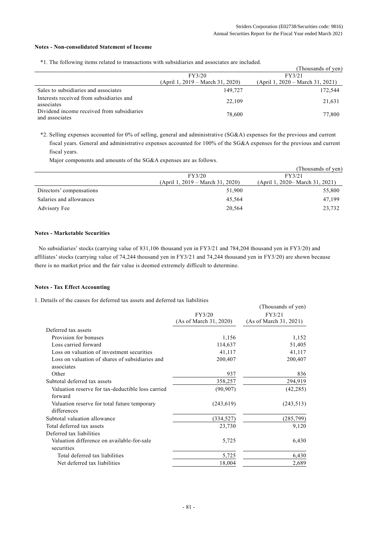$\sigma$   $\sigma$   $\sigma$   $\sigma$ 

### **Notes - Non-consolidated Statement of Income**

\*1. The following items related to transactions with subsidiaries and associates are included.

|                                                              |                                  | (Thousands of yen)               |
|--------------------------------------------------------------|----------------------------------|----------------------------------|
|                                                              | FY3/20                           | FY3/21                           |
|                                                              | (April 1, 2019 – March 31, 2020) | (April 1, 2020 – March 31, 2021) |
| Sales to subsidiaries and associates                         | 149,727                          | 172,544                          |
| Interests received from subsidiaries and<br>associates       | 22,109                           | 21.631                           |
| Dividend income received from subsidiaries<br>and associates | 78,600                           | 77,800                           |

\*2. Selling expenses accounted for 0% of selling, general and administrative (SG&A) expenses for the previous and current fiscal years. General and administrative expenses accounted for 100% of the SG&A expenses for the previous and current fiscal years.

Major components and amounts of the SG&A expenses are as follows.

|                          |                                  | (Thousands of yen)               |
|--------------------------|----------------------------------|----------------------------------|
|                          | FY3/20                           | FY3/21                           |
|                          | (April 1, 2019 – March 31, 2020) | (April 1, 2020 – March 31, 2021) |
| Directors' compensations | 51,900                           | 55,800                           |
| Salaries and allowances  | 45.564                           | 47.199                           |
| Advisory Fee             | 20,564                           | 23,732                           |

## **Notes - Marketable Securities**

No subsidiaries' stocks (carrying value of 831,106 thousand yen in FY3/21 and 784,204 thousand yen in FY3/20) and affiliates' stocks (carrying value of 74,244 thousand yen in FY3/21 and 74,244 thousand yen in FY3/20) are shown because there is no market price and the fair value is deemed extremely difficult to determine.

### **Notes - Tax Effect Accounting**

1. Details of the causes for deferred tax assets and deferred tax liabilities

|                                                               | FY3/20<br>(As of March 31, 2020) | (I nousands of yen)<br>FY3/21<br>(As of March 31, 2021) |
|---------------------------------------------------------------|----------------------------------|---------------------------------------------------------|
|                                                               |                                  |                                                         |
| Deferred tax assets                                           |                                  |                                                         |
| Provision for bonuses                                         | 1,156                            | 1,152                                                   |
| Loss carried forward                                          | 114,637                          | 51,405                                                  |
| Loss on valuation of investment securities                    | 41,117                           | 41,117                                                  |
| Loss on valuation of shares of subsidiaries and<br>associates | 200,407                          | 200,407                                                 |
| Other                                                         | 937                              | 836                                                     |
| Subtotal deferred tax assets                                  | 358,257                          | 294,919                                                 |
| Valuation reserve for tax-deductible loss carried<br>forward  | (90, 907)                        | (42, 285)                                               |
| Valuation reserve for total future temporary<br>differences   | (243, 619)                       | (243, 513)                                              |
| Subtotal valuation allowance                                  | (334, 527)                       | (285,799)                                               |
| Total deferred tax assets                                     | 23,730                           | 9,120                                                   |
| Deferred tax liabilities                                      |                                  |                                                         |
| Valuation difference on available-for-sale<br>securities      | 5,725                            | 6,430                                                   |
| Total deferred tax liabilities                                | 5,725                            | 6,430                                                   |
| Net deferred tax liabilities                                  | 18,004                           | 2,689                                                   |
|                                                               |                                  |                                                         |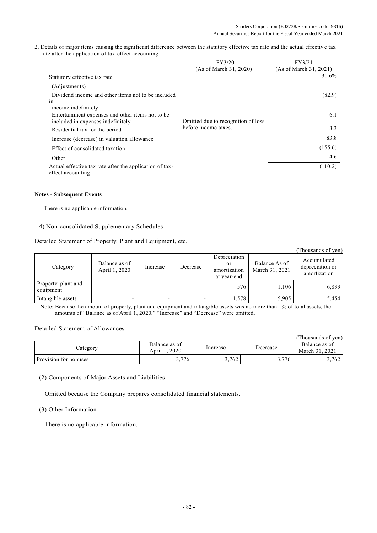2. Details of major items causing the significant difference between the statutory effective tax rate and the actual effectiv e tax rate after the application of tax-effect accounting

|                                                         | FY3/20                             | FY3/21                 |
|---------------------------------------------------------|------------------------------------|------------------------|
|                                                         | (As of March 31, 2020)             | (As of March 31, 2021) |
| Statutory effective tax rate                            |                                    | 30.6%                  |
| (Adjustments)                                           |                                    |                        |
| Dividend income and other items not to be included      |                                    | (82.9)                 |
| 1n                                                      |                                    |                        |
| income indefinitely                                     |                                    |                        |
| Entertainment expenses and other items not to be        |                                    | 6.1                    |
| included in expenses indefinitely                       | Omitted due to recognition of loss |                        |
| Residential tax for the period                          | before income taxes.               | 3.3                    |
| Increase (decrease) in valuation allowance              |                                    | 83.8                   |
| Effect of consolidated taxation                         |                                    | (155.6)                |
| Other                                                   |                                    | 4.6                    |
| Actual effective tax rate after the application of tax- |                                    | (110.2)                |
| effect accounting                                       |                                    |                        |

## **Notes - Subsequent Events**

There is no applicable information.

## 4) Non-consolidated Supplementary Schedules

Detailed Statement of Property, Plant and Equipment, etc.

|                                  |                                |          |          |                                                   |                                 | (Thousands of yen)                             |
|----------------------------------|--------------------------------|----------|----------|---------------------------------------------------|---------------------------------|------------------------------------------------|
| Category                         | Balance as of<br>April 1, 2020 | Increase | Decrease | Depreciation<br>or<br>amortization<br>at year-end | Balance As of<br>March 31, 2021 | Accumulated<br>depreciation or<br>amortization |
| Property, plant and<br>equipment |                                |          |          | 576                                               | 1.106                           | 6,833                                          |
| Intangible assets                |                                |          |          | 1,578                                             | 5,905                           | 5,454                                          |

Note: Because the amount of property, plant and equipment and intangible assets was no more than 1% of total assets, the amounts of "Balance as of April 1, 2020," "Increase" and "Decrease" were omitted.

## Detailed Statement of Allowances

|                              |                                |          |          | (Thousands of yen)                  |
|------------------------------|--------------------------------|----------|----------|-------------------------------------|
| $\angle$ ategory             | Balance as of<br>April 1, 2020 | Increase | Decrease | Balance as of<br>.2021<br>March 31. |
| <b>Provision for bonuses</b> | 3,776                          | 3,762    | 3,776    | 3,762                               |

(2) Components of Major Assets and Liabilities

Omitted because the Company prepares consolidated financial statements.

## (3) Other Information

There is no applicable information.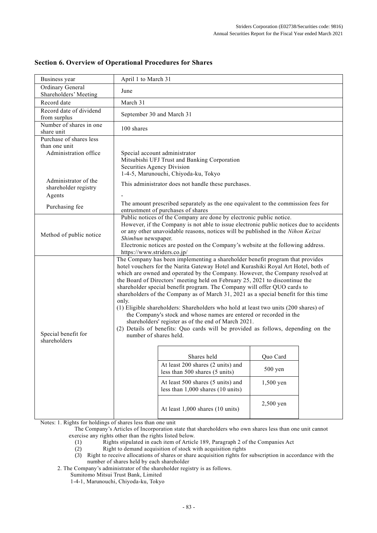| Business year                                                     | April 1 to March 31                                                                                                                                                                                                                                                                                                                                                                        |                                                                                                                                                                                                                                                                                                                                                                                                                                                                                                                                                                                                                                                                                                                                                                                                                 |                       |  |
|-------------------------------------------------------------------|--------------------------------------------------------------------------------------------------------------------------------------------------------------------------------------------------------------------------------------------------------------------------------------------------------------------------------------------------------------------------------------------|-----------------------------------------------------------------------------------------------------------------------------------------------------------------------------------------------------------------------------------------------------------------------------------------------------------------------------------------------------------------------------------------------------------------------------------------------------------------------------------------------------------------------------------------------------------------------------------------------------------------------------------------------------------------------------------------------------------------------------------------------------------------------------------------------------------------|-----------------------|--|
| Ordinary General<br>Shareholders' Meeting                         | June                                                                                                                                                                                                                                                                                                                                                                                       |                                                                                                                                                                                                                                                                                                                                                                                                                                                                                                                                                                                                                                                                                                                                                                                                                 |                       |  |
| Record date                                                       | March 31                                                                                                                                                                                                                                                                                                                                                                                   |                                                                                                                                                                                                                                                                                                                                                                                                                                                                                                                                                                                                                                                                                                                                                                                                                 |                       |  |
| Record date of dividend<br>from surplus                           | September 30 and March 31                                                                                                                                                                                                                                                                                                                                                                  |                                                                                                                                                                                                                                                                                                                                                                                                                                                                                                                                                                                                                                                                                                                                                                                                                 |                       |  |
| Number of shares in one<br>share unit                             | 100 shares                                                                                                                                                                                                                                                                                                                                                                                 |                                                                                                                                                                                                                                                                                                                                                                                                                                                                                                                                                                                                                                                                                                                                                                                                                 |                       |  |
| Purchase of shares less<br>than one unit<br>Administration office | Securities Agency Division                                                                                                                                                                                                                                                                                                                                                                 | Special account administrator<br>Mitsubishi UFJ Trust and Banking Corporation                                                                                                                                                                                                                                                                                                                                                                                                                                                                                                                                                                                                                                                                                                                                   |                       |  |
| Administrator of the<br>shareholder registry<br>Agents            |                                                                                                                                                                                                                                                                                                                                                                                            | 1-4-5, Marunouchi, Chiyoda-ku, Tokyo<br>This administrator does not handle these purchases.                                                                                                                                                                                                                                                                                                                                                                                                                                                                                                                                                                                                                                                                                                                     |                       |  |
| Purchasing fee                                                    |                                                                                                                                                                                                                                                                                                                                                                                            | The amount prescribed separately as the one equivalent to the commission fees for<br>entrustment of purchases of shares                                                                                                                                                                                                                                                                                                                                                                                                                                                                                                                                                                                                                                                                                         |                       |  |
| Method of public notice                                           | Public notices of the Company are done by electronic public notice.<br>However, if the Company is not able to issue electronic public notices due to accidents<br>or any other unavoidable reasons, notices will be published in the Nihon Keizai<br>Shimbun newspaper.<br>Electronic notices are posted on the Company's website at the following address.<br>https://www.striders.co.jp/ |                                                                                                                                                                                                                                                                                                                                                                                                                                                                                                                                                                                                                                                                                                                                                                                                                 |                       |  |
| Special benefit for<br>shareholders                               | only.<br>number of shares held.                                                                                                                                                                                                                                                                                                                                                            | The Company has been implementing a shareholder benefit program that provides<br>hotel vouchers for the Narita Gateway Hotel and Kurashiki Royal Art Hotel, both of<br>which are owned and operated by the Company. However, the Company resolved at<br>the Board of Directors' meeting held on February 25, 2021 to discontinue the<br>shareholder special benefit program. The Company will offer QUO cards to<br>shareholders of the Company as of March 31, 2021 as a special benefit for this time<br>(1) Eligible shareholders: Shareholders who hold at least two units (200 shares) of<br>the Company's stock and whose names are entered or recorded in the<br>shareholders' register as of the end of March 2021.<br>(2) Details of benefits: Quo cards will be provided as follows, depending on the |                       |  |
|                                                                   |                                                                                                                                                                                                                                                                                                                                                                                            | Shares held<br>At least 200 shares (2 units) and                                                                                                                                                                                                                                                                                                                                                                                                                                                                                                                                                                                                                                                                                                                                                                | Quo Card<br>$500$ yen |  |
|                                                                   |                                                                                                                                                                                                                                                                                                                                                                                            | less than 500 shares (5 units)<br>At least 500 shares (5 units) and<br>less than $1,000$ shares $(10 \text{ units})$                                                                                                                                                                                                                                                                                                                                                                                                                                                                                                                                                                                                                                                                                            | 1,500 yen             |  |
|                                                                   |                                                                                                                                                                                                                                                                                                                                                                                            | At least 1,000 shares (10 units)                                                                                                                                                                                                                                                                                                                                                                                                                                                                                                                                                                                                                                                                                                                                                                                | 2,500 yen             |  |

# **Section 6. Overview of Operational Procedures for Shares**

Notes: 1. Rights for holdings of shares less than one unit

The Company's Articles of Incorporation state that shareholders who own shares less than one unit cannot exercise any rights other than the rights listed below.

- (1) Rights stipulated in each item of Article 189, Paragraph 2 of the Companies Act
- (2) Right to demand acquisition of stock with acquisition rights
- (3) Right to receive allocations of shares or share acquisition rights for subscription in accordance with the number of shares held by each shareholder
- 2. The Company's administrator of the shareholder registry is as follows.

Sumitomo Mitsui Trust Bank, Limited

1-4-1, Marunouchi, Chiyoda-ku, Tokyo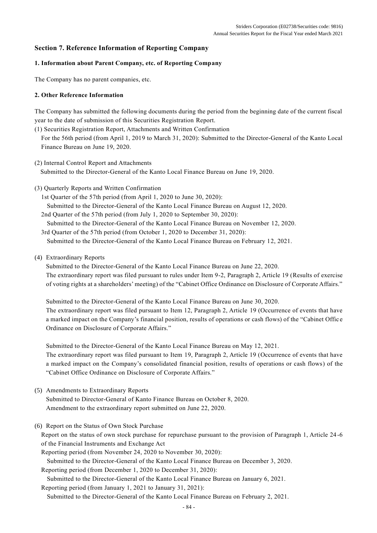# **Section 7. Reference Information of Reporting Company**

# **1. Information about Parent Company, etc. of Reporting Company**

The Company has no parent companies, etc.

# **2. Other Reference Information**

The Company has submitted the following documents during the period from the beginning date of the current fiscal year to the date of submission of this Securities Registration Report.

(1) Securities Registration Report, Attachments and Written Confirmation

For the 56th period (from April 1, 2019 to March 31, 2020): Submitted to the Director-General of the Kanto Local Finance Bureau on June 19, 2020.

- (2) Internal Control Report and Attachments Submitted to the Director-General of the Kanto Local Finance Bureau on June 19, 2020.
- (3) Quarterly Reports and Written Confirmation

1st Quarter of the 57th period (from April 1, 2020 to June 30, 2020):

Submitted to the Director-General of the Kanto Local Finance Bureau on August 12, 2020.

2nd Quarter of the 57th period (from July 1, 2020 to September 30, 2020):

Submitted to the Director-General of the Kanto Local Finance Bureau on November 12, 2020.

3rd Quarter of the 57th period (from October 1, 2020 to December 31, 2020): Submitted to the Director-General of the Kanto Local Finance Bureau on February 12, 2021.

# (4) Extraordinary Reports

Submitted to the Director-General of the Kanto Local Finance Bureau on June 22, 2020. The extraordinary report was filed pursuant to rules under Item 9-2, Paragraph 2, Article 19 (Results of exercise of voting rights at a shareholders' meeting) of the "Cabinet Office Ordinance on Disclosure of Corporate Affairs."

Submitted to the Director-General of the Kanto Local Finance Bureau on June 30, 2020. The extraordinary report was filed pursuant to Item 12, Paragraph 2, Article 19 (Occurrence of events that have a marked impact on the Company's financial position, results of operations or cash flows) of the "Cabinet Offic e Ordinance on Disclosure of Corporate Affairs."

Submitted to the Director-General of the Kanto Local Finance Bureau on May 12, 2021. The extraordinary report was filed pursuant to Item 19, Paragraph 2, Article 19 (Occurrence of events that have a marked impact on the Company's consolidated financial position, results of operations or cash flows) of the "Cabinet Office Ordinance on Disclosure of Corporate Affairs."

(5) Amendments to Extraordinary Reports

Submitted to Director-General of Kanto Finance Bureau on October 8, 2020. Amendment to the extraordinary report submitted on June 22, 2020.

(6) Report on the Status of Own Stock Purchase

Report on the status of own stock purchase for repurchase pursuant to the provision of Paragraph 1, Article 24 -6 of the Financial Instruments and Exchange Act

Reporting period (from November 24, 2020 to November 30, 2020):

Submitted to the Director-General of the Kanto Local Finance Bureau on December 3, 2020.

Reporting period (from December 1, 2020 to December 31, 2020):

Submitted to the Director-General of the Kanto Local Finance Bureau on January 6, 2021.

Reporting period (from January 1, 2021 to January 31, 2021): Submitted to the Director-General of the Kanto Local Finance Bureau on February 2, 2021.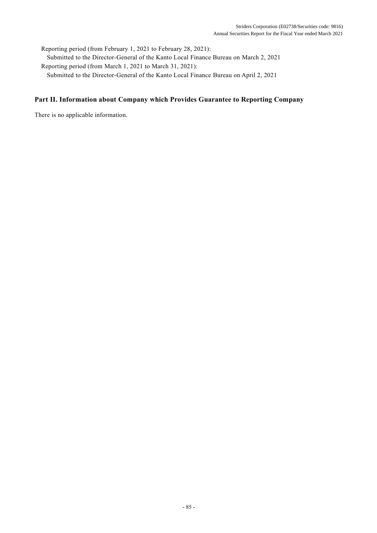Reporting period (from February 1, 2021 to February 28, 2021): Submitted to the Director-General of the Kanto Local Finance Bureau on March 2, 2021 Reporting period (from March 1, 2021 to March 31, 2021): Submitted to the Director-General of the Kanto Local Finance Bureau on April 2, 2021

# **Part II. Information about Company which Provides Guarantee to Reporting Company**

There is no applicable information.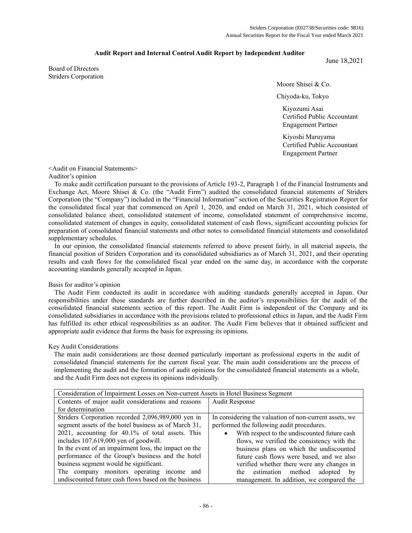### **Audit Report and Internal Control Audit Report by Independent Auditor**

Board of Directors Striders Corporation

Moore Shisei & Co.

Chiyoda-ku, Tokyo

Kiyozumi Asai Certified Public Accountant Engagement Partner

June 18,2021

Kiyoshi Maruyama Certified Public Accountant Engagement Partner

## <Audit on Financial Statements>

### Auditor's opinion

To make audit certification pursuant to the provisions of Article 193-2, Paragraph 1 of the Financial Instruments and Exchange Act, Moore Shisei & Co. (the "Audit Firm") audited the consolidated financial statements of Striders Corporation (the "Company") included in the "Financial Information" section of the Securities Registration Report for the consolidated fiscal year that commenced on April 1, 2020, and ended on March 31, 2021, which consisted of consolidated balance sheet, consolidated statement of income, consolidated statement of comprehensive income, consolidated statement of changes in equity, consolidated statement of cash flows, significant accounting policies for preparation of consolidated financial statements and other notes to consolidated financial statements and consolidated supplementary schedules.

In our opinion, the consolidated financial statements referred to above present fairly, in all material aspects, the financial position of Striders Corporation and its consolidated subsidiaries as of March 31, 2021, and their operating results and cash flows for the consolidated fiscal year ended on the same day, in accordance with the corporate accounting standards generally accepted in Japan.

### Basis for auditor's opinion

The Audit Firm conducted its audit in accordance with auditing standards generally accepted in Japan. Our responsibilities under those standards are further described in the auditor's responsibilities for the audit of the consolidated financial statements section of this report. The Audit Firm is independent of the Company and its consolidated subsidiaries in accordance with the provisions related to professional ethics in Japan, and the Audit Firm has fulfilled its other ethical responsibilities as an auditor. The Audit Firm believes that it obtained sufficient and appropriate audit evidence that forms the basis for expressing its opinions.

### Key Audit Considerations

The main audit considerations are those deemed particularly important as professional experts in the audit of consolidated financial statements for the current fiscal year. The main audit considerations are the process of implementing the audit and the formation of audit opinions for the consolidated financial statements as a whole, and the Audit Firm does not express its opinions individually.

| Consideration of Impairment Losses on Non-current Assets in Hotel Business Segment |                                                        |  |
|------------------------------------------------------------------------------------|--------------------------------------------------------|--|
| Contents of major audit considerations and reasons                                 | <b>Audit Response</b>                                  |  |
| for determination                                                                  |                                                        |  |
| Striders Corporation recorded 2,096,989,000 yen in                                 | In considering the valuation of non-current assets, we |  |
| segment assets of the hotel business as of March 31,                               | performed the following audit procedures.              |  |
| 2021, accounting for 40.1% of total assets. This                                   | • With respect to the undiscounted future cash         |  |
| includes 107,619,000 yen of goodwill.                                              | flows, we verified the consistency with the            |  |
| In the event of an impairment loss, the impact on the                              | business plans on which the undiscounted               |  |
| performance of the Group's business and the hotel                                  | future cash flows were based, and we also              |  |
| business segment would be significant.                                             | verified whether there were any changes in             |  |
| The company monitors operating income and                                          | the estimation method<br>adopted<br>by                 |  |
| undiscounted future cash flows based on the business                               | management. In addition, we compared the               |  |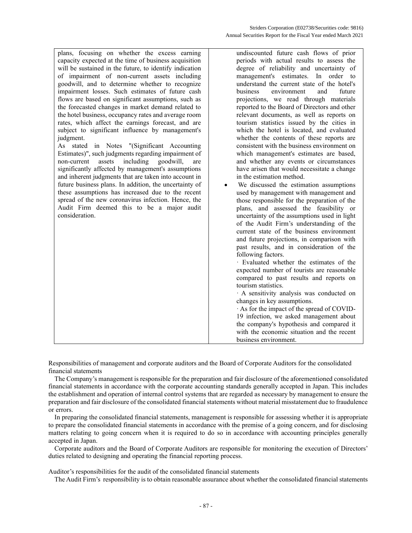| plans, focusing on whether the excess earning           | undiscounted future cash flows of prior      |
|---------------------------------------------------------|----------------------------------------------|
| capacity expected at the time of business acquisition   | periods with actual results to assess the    |
| will be sustained in the future, to identify indication | degree of reliability and uncertainty of     |
| of impairment of non-current assets including           | management's estimates.<br>In order to       |
| goodwill, and to determine whether to recognize         | understand the current state of the hotel's  |
|                                                         | business<br>future                           |
| impairment losses. Such estimates of future cash        | environment<br>and                           |
| flows are based on significant assumptions, such as     | projections, we read through materials       |
| the forecasted changes in market demand related to      | reported to the Board of Directors and other |
| the hotel business, occupancy rates and average room    | relevant documents, as well as reports on    |
| rates, which affect the earnings forecast, and are      | tourism statistics issued by the cities in   |
| subject to significant influence by management's        | which the hotel is located, and evaluated    |
| judgment.                                               | whether the contents of these reports are    |
| As stated in Notes "(Significant Accounting             | consistent with the business environment on  |
| Estimates)", such judgments regarding impairment of     | which management's estimates are based,      |
| including<br>assets<br>goodwill,<br>non-current<br>are  | and whether any events or circumstances      |
| significantly affected by management's assumptions      | have arisen that would necessitate a change  |
| and inherent judgments that are taken into account in   | in the estimation method.                    |
| future business plans. In addition, the uncertainty of  | We discussed the estimation assumptions      |
| these assumptions has increased due to the recent       | used by management with management and       |
| spread of the new coronavirus infection. Hence, the     | those responsible for the preparation of the |
| Audit Firm deemed this to be a major audit              | plans, and assessed the feasibility or       |
| consideration.                                          | uncertainty of the assumptions used in light |
|                                                         | of the Audit Firm's understanding of the     |
|                                                         | current state of the business environment    |
|                                                         | and future projections, in comparison with   |
|                                                         | past results, and in consideration of the    |
|                                                         | following factors.                           |
|                                                         | · Evaluated whether the estimates of the     |
|                                                         | expected number of tourists are reasonable   |
|                                                         | compared to past results and reports on      |
|                                                         | tourism statistics.                          |
|                                                         | · A sensitivity analysis was conducted on    |
|                                                         |                                              |
|                                                         | changes in key assumptions.                  |
|                                                         | As for the impact of the spread of COVID-    |
|                                                         | 19 infection, we asked management about      |
|                                                         | the company's hypothesis and compared it     |
|                                                         | with the economic situation and the recent   |
|                                                         | business environment.                        |

Responsibilities of management and corporate auditors and the Board of Corporate Auditors for the consolidated financial statements

The Company's management is responsible for the preparation and fair disclosure of the aforementioned consolidated financial statements in accordance with the corporate accounting standards generally accepted in Japan. This includes the establishment and operation of internal control systems that are regarded as necessary by management to ensure the preparation and fair disclosure of the consolidated financial statements without material misstatement due to fraudulence or errors.

In preparing the consolidated financial statements, management is responsible for assessing whether it is appropriate to prepare the consolidated financial statements in accordance with the premise of a going concern, and for disclosing matters relating to going concern when it is required to do so in accordance with accounting principles generally accepted in Japan.

Corporate auditors and the Board of Corporate Auditors are responsible for monitoring the execution of Directors' duties related to designing and operating the financial reporting process.

Auditor's responsibilities for the audit of the consolidated financial statements

The Audit Firm's responsibility is to obtain reasonable assurance about whether the consolidated financial statements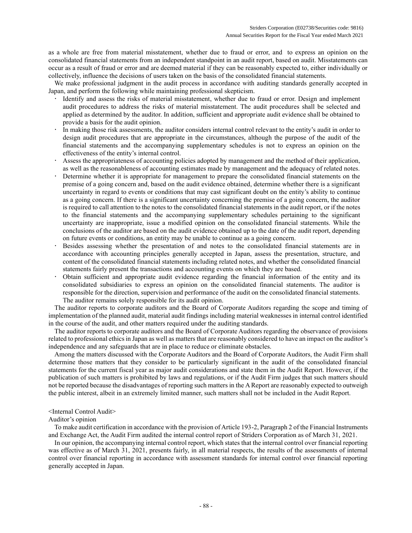as a whole are free from material misstatement, whether due to fraud or error, and to express an opinion on the consolidated financial statements from an independent standpoint in an audit report, based on audit. Misstatements can occur as a result of fraud or error and are deemed material if they can be reasonably expected to, either individually or collectively, influence the decisions of users taken on the basis of the consolidated financial statements.

We make professional judgment in the audit process in accordance with auditing standards generally accepted in Japan, and perform the following while maintaining professional skepticism.

- Identify and assess the risks of material misstatement, whether due to fraud or error. Design and implement audit procedures to address the risks of material misstatement. The audit procedures shall be selected and applied as determined by the auditor. In addition, sufficient and appropriate audit evidence shall be obtained to provide a basis for the audit opinion.
- In making those risk assessments, the auditor considers internal control relevant to the entity's audit in order to design audit procedures that are appropriate in the circumstances, although the purpose of the audit of the financial statements and the accompanying supplementary schedules is not to express an opinion on the effectiveness of the entity's internal control.
- Assess the appropriateness of accounting policies adopted by management and the method of their application, as well as the reasonableness of accounting estimates made by management and the adequacy of related notes.
- Determine whether it is appropriate for management to prepare the consolidated financial statements on the premise of a going concern and, based on the audit evidence obtained, determine whether there is a significant uncertainty in regard to events or conditions that may cast significant doubt on the entity's ability to continue as a going concern. If there is a significant uncertainty concerning the premise of a going concern, the auditor is required to call attention to the notes to the consolidated financial statements in the audit report, or if the notes to the financial statements and the accompanying supplementary schedules pertaining to the significant uncertainty are inappropriate, issue a modified opinion on the consolidated financial statements. While the conclusions of the auditor are based on the audit evidence obtained up to the date of the audit report, depending on future events or conditions, an entity may be unable to continue as a going concern.
- Besides assessing whether the presentation of and notes to the consolidated financial statements are in accordance with accounting principles generally accepted in Japan, assess the presentation, structure, and content of the consolidated financial statements including related notes, and whether the consolidated financial statements fairly present the transactions and accounting events on which they are based.
- Obtain sufficient and appropriate audit evidence regarding the financial information of the entity and its consolidated subsidiaries to express an opinion on the consolidated financial statements. The auditor is responsible for the direction, supervision and performance of the audit on the consolidated financial statements. The auditor remains solely responsible for its audit opinion.

The auditor reports to corporate auditors and the Board of Corporate Auditors regarding the scope and timing of implementation of the planned audit, material audit findings including material weaknesses in internal control identified in the course of the audit, and other matters required under the auditing standards.

The auditor reports to corporate auditors and the Board of Corporate Auditors regarding the observance of provisions related to professional ethics in Japan as well as matters that are reasonably considered to have an impact on the auditor's independence and any safeguards that are in place to reduce or eliminate obstacles.

Among the matters discussed with the Corporate Auditors and the Board of Corporate Auditors, the Audit Firm shall determine those matters that they consider to be particularly significant in the audit of the consolidated financial statements for the current fiscal year as major audit considerations and state them in the Audit Report. However, if the publication of such matters is prohibited by laws and regulations, or if the Audit Firm judges that such matters should not be reported because the disadvantages of reporting such matters in the A Report are reasonably expected to outweigh the public interest, albeit in an extremely limited manner, such matters shall not be included in the Audit Report.

### <Internal Control Audit>

#### Auditor's opinion

To make audit certification in accordance with the provision of Article 193-2, Paragraph 2 of the Financial Instruments and Exchange Act, the Audit Firm audited the internal control report of Striders Corporation as of March 31, 2021.

In our opinion, the accompanying internal control report, which states that the internal control over financial reporting was effective as of March 31, 2021, presents fairly, in all material respects, the results of the assessments of internal control over financial reporting in accordance with assessment standards for internal control over financial reporting generally accepted in Japan.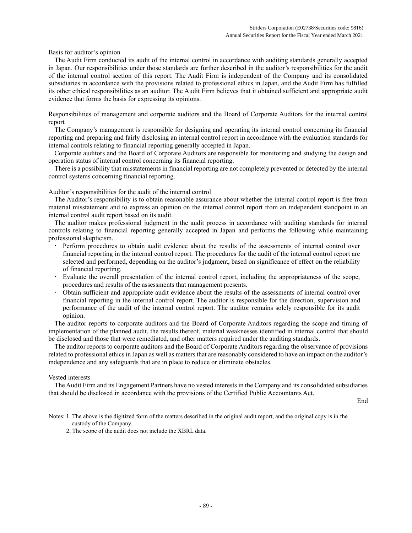Basis for auditor's opinion

The Audit Firm conducted its audit of the internal control in accordance with auditing standards generally accepted in Japan. Our responsibilities under those standards are further described in the auditor's responsibilities for the audit of the internal control section of this report. The Audit Firm is independent of the Company and its consolidated subsidiaries in accordance with the provisions related to professional ethics in Japan, and the Audit Firm has fulfilled its other ethical responsibilities as an auditor. The Audit Firm believes that it obtained sufficient and appropriate audit evidence that forms the basis for expressing its opinions.

Responsibilities of management and corporate auditors and the Board of Corporate Auditors for the internal control report

The Company's management is responsible for designing and operating its internal control concerning its financial reporting and preparing and fairly disclosing an internal control report in accordance with the evaluation standards for internal controls relating to financial reporting generally accepted in Japan.

Corporate auditors and the Board of Corporate Auditors are responsible for monitoring and studying the design and operation status of internal control concerning its financial reporting.

There is a possibility that misstatements in financial reporting are not completely prevented or detected by the internal control systems concerning financial reporting.

Auditor's responsibilities for the audit of the internal control

The Auditor's responsibility is to obtain reasonable assurance about whether the internal control report is free from material misstatement and to express an opinion on the internal control report from an independent standpoint in an internal control audit report based on its audit.

The auditor makes professional judgment in the audit process in accordance with auditing standards for internal controls relating to financial reporting generally accepted in Japan and performs the following while maintaining professional skepticism.

- Perform procedures to obtain audit evidence about the results of the assessments of internal control over financial reporting in the internal control report. The procedures for the audit of the internal control report are selected and performed, depending on the auditor's judgment, based on significance of effect on the reliability of financial reporting.
- Evaluate the overall presentation of the internal control report, including the appropriateness of the scope, procedures and results of the assessments that management presents.
- Obtain sufficient and appropriate audit evidence about the results of the assessments of internal control over financial reporting in the internal control report. The auditor is responsible for the direction, supervision and performance of the audit of the internal control report. The auditor remains solely responsible for its audit opinion.

The auditor reports to corporate auditors and the Board of Corporate Auditors regarding the scope and timing of implementation of the planned audit, the results thereof, material weaknesses identified in internal control that should be disclosed and those that were remediated, and other matters required under the auditing standards.

The auditor reports to corporate auditors and the Board of Corporate Auditors regarding the observance of provisions related to professional ethics in Japan as well as matters that are reasonably considered to have an impact on the auditor's independence and any safeguards that are in place to reduce or eliminate obstacles.

### Vested interests

The Audit Firm and its Engagement Partners have no vested interests in the Company and its consolidated subsidiaries that should be disclosed in accordance with the provisions of the Certified Public Accountants Act.

End

Notes: 1. The above is the digitized form of the matters described in the original audit report, and the original copy is in the custody of the Company.

2. The scope of the audit does not include the XBRL data.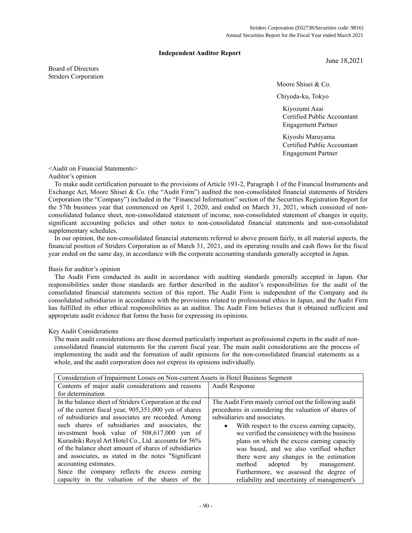### **Independent Auditor Report**

Board of Directors Striders Corporation June 18,2021

Moore Shisei & Co.

Chiyoda-ku, Tokyo

Kiyozumi Asai Certified Public Accountant Engagement Partner

Kiyoshi Maruyama Certified Public Accountant Engagement Partner

# <Audit on Financial Statements>

### Auditor's opinion

To make audit certification pursuant to the provisions of Article 193-2, Paragraph 1 of the Financial Instruments and Exchange Act, Moore Shisei & Co. (the "Audit Firm") audited the non-consolidated financial statements of Striders Corporation (the "Company") included in the "Financial Information" section of the Securities Registration Report for the 57th business year that commenced on April 1, 2020, and ended on March 31, 2021, which consisted of nonconsolidated balance sheet, non-consolidated statement of income, non-consolidated statement of changes in equity, significant accounting policies and other notes to non-consolidated financial statements and non-consolidated supplementary schedules.

In our opinion, the non-consolidated financial statements referred to above present fairly, in all material aspects, the financial position of Striders Corporation as of March 31, 2021, and its operating results and cash flows for the fiscal year ended on the same day, in accordance with the corporate accounting standards generally accepted in Japan.

### Basis for auditor's opinion

The Audit Firm conducted its audit in accordance with auditing standards generally accepted in Japan. Our responsibilities under those standards are further described in the auditor's responsibilities for the audit of the consolidated financial statements section of this report. The Audit Firm is independent of the Company and its consolidated subsidiaries in accordance with the provisions related to professional ethics in Japan, and the Audit Firm has fulfilled its other ethical responsibilities as an auditor. The Audit Firm believes that it obtained sufficient and appropriate audit evidence that forms the basis for expressing its opinions.

### Key Audit Considerations

The main audit considerations are those deemed particularly important as professional experts in the audit of nonconsolidated financial statements for the current fiscal year. The main audit considerations are the process of implementing the audit and the formation of audit opinions for the non-consolidated financial statements as a whole, and the audit corporation does not express its opinions individually.

| Consideration of Impairment Losses on Non-current Assets in Hotel Business Segment |                                                           |  |
|------------------------------------------------------------------------------------|-----------------------------------------------------------|--|
| Contents of major audit considerations and reasons                                 | <b>Audit Response</b>                                     |  |
| for determination                                                                  |                                                           |  |
| In the balance sheet of Striders Corporation at the end                            | The Audit Firm mainly carried out the following audit     |  |
| of the current fiscal year, 905,351,000 yen of shares                              | procedures in considering the valuation of shares of      |  |
| of subsidiaries and associates are recorded. Among                                 | subsidiaries and associates.                              |  |
| such shares of subsidiaries and associates, the                                    | With respect to the excess earning capacity,<br>$\bullet$ |  |
| investment book value of 508,617,000 yen of                                        | we verified the consistency with the business             |  |
| Kurashiki Royal Art Hotel Co., Ltd. accounts for 56%                               | plans on which the excess earning capacity                |  |
| of the balance sheet amount of shares of subsidiaries                              | was based, and we also verified whether                   |  |
| and associates, as stated in the notes "Significant                                | there were any changes in the estimation                  |  |
| accounting estimates.                                                              | method<br>adopted by<br>management.                       |  |
| Since the company reflects the excess earning                                      | Furthermore, we assessed the degree of                    |  |
| capacity in the valuation of the shares of the                                     | reliability and uncertainty of management's               |  |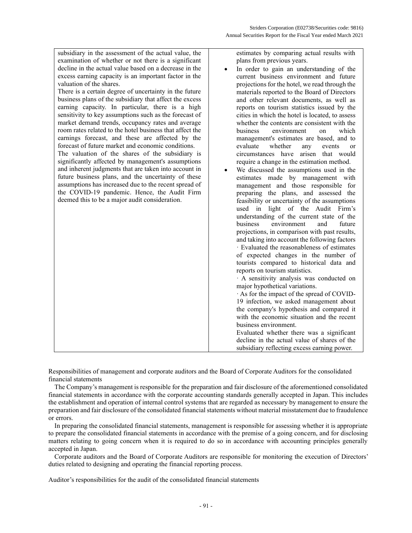| subsidiary in the assessment of the actual value, the<br>examination of whether or not there is a significant<br>decline in the actual value based on a decrease in the<br>excess earning capacity is an important factor in the<br>valuation of the shares.<br>There is a certain degree of uncertainty in the future<br>business plans of the subsidiary that affect the excess<br>earning capacity. In particular, there is a high<br>sensitivity to key assumptions such as the forecast of<br>market demand trends, occupancy rates and average<br>room rates related to the hotel business that affect the<br>earnings forecast, and these are affected by the<br>forecast of future market and economic conditions.<br>The valuation of the shares of the subsidiary is<br>significantly affected by management's assumptions<br>and inherent judgments that are taken into account in<br>future business plans, and the uncertainty of these<br>assumptions has increased due to the recent spread of<br>the COVID-19 pandemic. Hence, the Audit Firm<br>deemed this to be a major audit consideration. | estimates by comparing actual results with<br>plans from previous years.<br>In order to gain an understanding of the<br>current business environment and future<br>projections for the hotel, we read through the<br>materials reported to the Board of Directors<br>and other relevant documents, as well as<br>reports on tourism statistics issued by the<br>cities in which the hotel is located, to assess<br>whether the contents are consistent with the<br>business<br>environment<br>which<br>on<br>management's estimates are based, and to<br>evaluate<br>whether<br>events<br>any<br><sub>or</sub><br>circumstances have arisen that would<br>require a change in the estimation method.<br>We discussed the assumptions used in the<br>estimates made by management with<br>management and those responsible for<br>preparing the plans, and assessed the<br>feasibility or uncertainty of the assumptions<br>used in light of the Audit Firm's<br>understanding of the current state of the<br>environment<br>business<br>and<br>future<br>projections, in comparison with past results,<br>and taking into account the following factors<br>· Evaluated the reasonableness of estimates<br>of expected changes in the number of<br>tourists compared to historical data and<br>reports on tourism statistics.<br>· A sensitivity analysis was conducted on<br>major hypothetical variations.<br>As for the impact of the spread of COVID- |
|-----------------------------------------------------------------------------------------------------------------------------------------------------------------------------------------------------------------------------------------------------------------------------------------------------------------------------------------------------------------------------------------------------------------------------------------------------------------------------------------------------------------------------------------------------------------------------------------------------------------------------------------------------------------------------------------------------------------------------------------------------------------------------------------------------------------------------------------------------------------------------------------------------------------------------------------------------------------------------------------------------------------------------------------------------------------------------------------------------------------|----------------------------------------------------------------------------------------------------------------------------------------------------------------------------------------------------------------------------------------------------------------------------------------------------------------------------------------------------------------------------------------------------------------------------------------------------------------------------------------------------------------------------------------------------------------------------------------------------------------------------------------------------------------------------------------------------------------------------------------------------------------------------------------------------------------------------------------------------------------------------------------------------------------------------------------------------------------------------------------------------------------------------------------------------------------------------------------------------------------------------------------------------------------------------------------------------------------------------------------------------------------------------------------------------------------------------------------------------------------------------------------------------------------------------------------------------------|
|                                                                                                                                                                                                                                                                                                                                                                                                                                                                                                                                                                                                                                                                                                                                                                                                                                                                                                                                                                                                                                                                                                                 |                                                                                                                                                                                                                                                                                                                                                                                                                                                                                                                                                                                                                                                                                                                                                                                                                                                                                                                                                                                                                                                                                                                                                                                                                                                                                                                                                                                                                                                          |
|                                                                                                                                                                                                                                                                                                                                                                                                                                                                                                                                                                                                                                                                                                                                                                                                                                                                                                                                                                                                                                                                                                                 | 19 infection, we asked management about<br>the company's hypothesis and compared it<br>with the economic situation and the recent<br>business environment.<br>Evaluated whether there was a significant<br>decline in the actual value of shares of the<br>subsidiary reflecting excess earning power.                                                                                                                                                                                                                                                                                                                                                                                                                                                                                                                                                                                                                                                                                                                                                                                                                                                                                                                                                                                                                                                                                                                                                   |

Responsibilities of management and corporate auditors and the Board of Corporate Auditors for the consolidated financial statements

The Company's management is responsible for the preparation and fair disclosure of the aforementioned consolidated financial statements in accordance with the corporate accounting standards generally accepted in Japan. This includes the establishment and operation of internal control systems that are regarded as necessary by management to ensure the preparation and fair disclosure of the consolidated financial statements without material misstatement due to fraudulence or errors.

In preparing the consolidated financial statements, management is responsible for assessing whether it is appropriate to prepare the consolidated financial statements in accordance with the premise of a going concern, and for disclosing matters relating to going concern when it is required to do so in accordance with accounting principles generally accepted in Japan.

Corporate auditors and the Board of Corporate Auditors are responsible for monitoring the execution of Directors' duties related to designing and operating the financial reporting process.

Auditor's responsibilities for the audit of the consolidated financial statements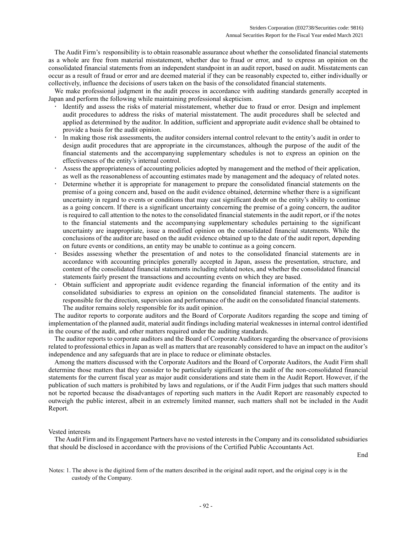The Audit Firm's responsibility is to obtain reasonable assurance about whether the consolidated financial statements as a whole are free from material misstatement, whether due to fraud or error, and to express an opinion on the consolidated financial statements from an independent standpoint in an audit report, based on audit. Misstatements can occur as a result of fraud or error and are deemed material if they can be reasonably expected to, either individually or collectively, influence the decisions of users taken on the basis of the consolidated financial statements.

We make professional judgment in the audit process in accordance with auditing standards generally accepted in Japan and perform the following while maintaining professional skepticism.

- Identify and assess the risks of material misstatement, whether due to fraud or error. Design and implement audit procedures to address the risks of material misstatement. The audit procedures shall be selected and applied as determined by the auditor. In addition, sufficient and appropriate audit evidence shall be obtained to provide a basis for the audit opinion.
- In making those risk assessments, the auditor considers internal control relevant to the entity's audit in order to design audit procedures that are appropriate in the circumstances, although the purpose of the audit of the financial statements and the accompanying supplementary schedules is not to express an opinion on the effectiveness of the entity's internal control.
- Assess the appropriateness of accounting policies adopted by management and the method of their application, as well as the reasonableness of accounting estimates made by management and the adequacy of related notes.
- Determine whether it is appropriate for management to prepare the consolidated financial statements on the premise of a going concern and, based on the audit evidence obtained, determine whether there is a significant uncertainty in regard to events or conditions that may cast significant doubt on the entity's ability to continue as a going concern. If there is a significant uncertainty concerning the premise of a going concern, the auditor is required to call attention to the notes to the consolidated financial statements in the audit report, or if the notes to the financial statements and the accompanying supplementary schedules pertaining to the significant uncertainty are inappropriate, issue a modified opinion on the consolidated financial statements. While the conclusions of the auditor are based on the audit evidence obtained up to the date of the audit report, depending on future events or conditions, an entity may be unable to continue as a going concern.
- Besides assessing whether the presentation of and notes to the consolidated financial statements are in accordance with accounting principles generally accepted in Japan, assess the presentation, structure, and content of the consolidated financial statements including related notes, and whether the consolidated financial statements fairly present the transactions and accounting events on which they are based.
- Obtain sufficient and appropriate audit evidence regarding the financial information of the entity and its consolidated subsidiaries to express an opinion on the consolidated financial statements. The auditor is responsible for the direction, supervision and performance of the audit on the consolidated financial statements. The auditor remains solely responsible for its audit opinion.

The auditor reports to corporate auditors and the Board of Corporate Auditors regarding the scope and timing of implementation of the planned audit, material audit findings including material weaknesses in internal control identified in the course of the audit, and other matters required under the auditing standards.

The auditor reports to corporate auditors and the Board of Corporate Auditors regarding the observance of provisions related to professional ethics in Japan as well as matters that are reasonably considered to have an impact on the auditor's independence and any safeguards that are in place to reduce or eliminate obstacles.

Among the matters discussed with the Corporate Auditors and the Board of Corporate Auditors, the Audit Firm shall determine those matters that they consider to be particularly significant in the audit of the non-consolidated financial statements for the current fiscal year as major audit considerations and state them in the Audit Report. However, if the publication of such matters is prohibited by laws and regulations, or if the Audit Firm judges that such matters should not be reported because the disadvantages of reporting such matters in the Audit Report are reasonably expected to outweigh the public interest, albeit in an extremely limited manner, such matters shall not be included in the Audit Report.

### Vested interests

The Audit Firm and its Engagement Partners have no vested interests in the Company and its consolidated subsidiaries that should be disclosed in accordance with the provisions of the Certified Public Accountants Act.

End

Notes: 1. The above is the digitized form of the matters described in the original audit report, and the original copy is in the custody of the Company.